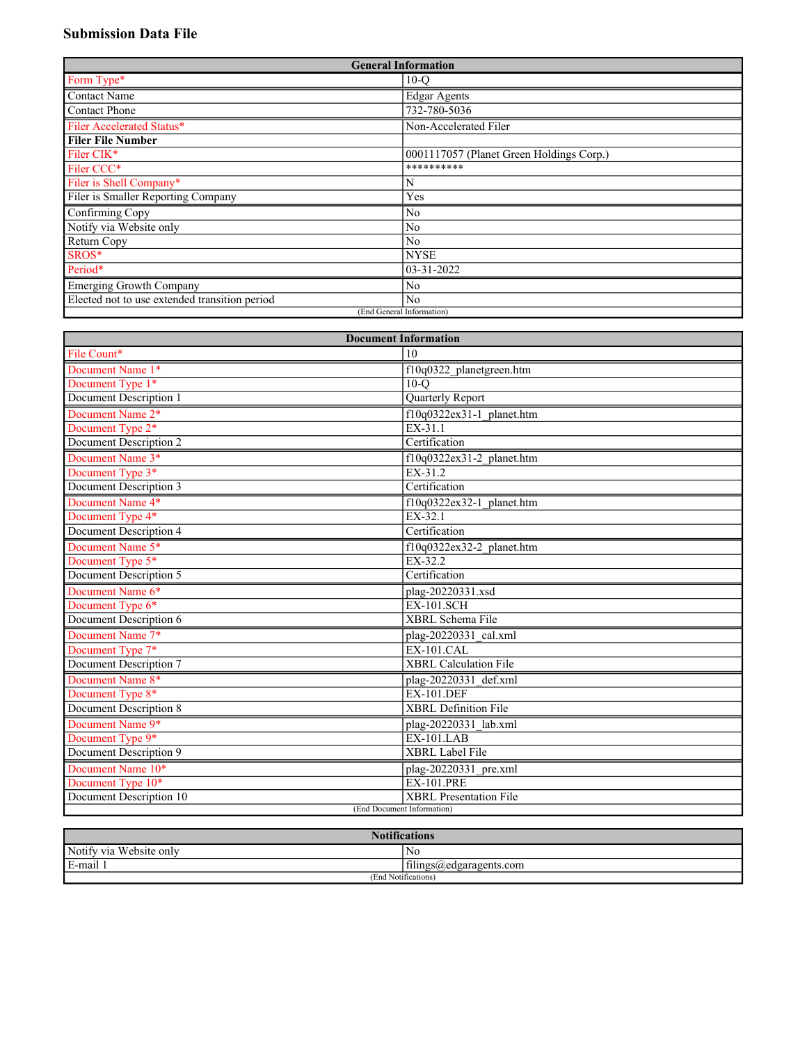# **Submission Data File**

| <b>General Information</b>                    |                                          |  |
|-----------------------------------------------|------------------------------------------|--|
| Form Type*                                    | $10-o$                                   |  |
| <b>Contact Name</b>                           | <b>Edgar Agents</b>                      |  |
| <b>Contact Phone</b>                          | 732-780-5036                             |  |
| Filer Accelerated Status*                     | Non-Accelerated Filer                    |  |
| <b>Filer File Number</b>                      |                                          |  |
| Filer CIK*                                    | 0001117057 (Planet Green Holdings Corp.) |  |
| Filer CCC*                                    | **********                               |  |
| Filer is Shell Company*                       | N                                        |  |
| Filer is Smaller Reporting Company            | Yes                                      |  |
| Confirming Copy                               | No                                       |  |
| Notify via Website only                       | N <sub>o</sub>                           |  |
| Return Copy                                   | N <sub>o</sub>                           |  |
| SROS*                                         | <b>NYSE</b>                              |  |
| Period*                                       | 03-31-2022                               |  |
| <b>Emerging Growth Company</b>                | N <sub>o</sub>                           |  |
| Elected not to use extended transition period | N <sub>o</sub>                           |  |
| (End General Information)                     |                                          |  |

| <b>Document Information</b>   |                               |  |
|-------------------------------|-------------------------------|--|
| File Count*                   | 10                            |  |
| Document Name 1*              | f10q0322 planetgreen.htm      |  |
| Document Type 1*              | $10-o$                        |  |
| <b>Document Description 1</b> | <b>Quarterly Report</b>       |  |
| Document Name 2*              | $f10q0322ex31-1$ planet.htm   |  |
| Document Type 2*              | $EX-31.1$                     |  |
| Document Description 2        | Certification                 |  |
| Document Name 3*              | $f10q0322ex31-2$ planet.htm   |  |
| Document Type 3*              | $EX-31.2$                     |  |
| Document Description 3        | Certification                 |  |
| Document Name 4*              | $f10q0322ex32-1$ planet.htm   |  |
| Document Type 4*              | EX-32.1                       |  |
| Document Description 4        | Certification                 |  |
| Document Name 5*              | $f10q0322ex32-2$ planet.htm   |  |
| Document Type 5*              | EX-32.2                       |  |
| Document Description 5        | Certification                 |  |
| Document Name 6*              | plag-20220331.xsd             |  |
| Document Type 6*              | <b>EX-101.SCH</b>             |  |
| Document Description 6        | <b>XBRL</b> Schema File       |  |
| Document Name 7*              | plag-20220331 cal.xml         |  |
| Document Type 7*              | <b>EX-101.CAL</b>             |  |
| Document Description 7        | <b>XBRL</b> Calculation File  |  |
| Document Name 8*              | plag-20220331 def.xml         |  |
| Document Type 8*              | <b>EX-101.DEF</b>             |  |
| <b>Document Description 8</b> | <b>XBRL</b> Definition File   |  |
| Document Name 9*              | plag-20220331 lab.xml         |  |
| Document Type 9*              | $EX-101.LAB$                  |  |
| Document Description 9        | <b>XBRL Label File</b>        |  |
| Document Name 10*             | plag-20220331 pre.xml         |  |
| Document Type 10*             | <b>EX-101.PRE</b>             |  |
| Document Description 10       | <b>XBRL</b> Presentation File |  |
|                               | (End Document Information)    |  |

| <b>Notifications</b>    |                                                |  |
|-------------------------|------------------------------------------------|--|
| Notify via Website only | No                                             |  |
| E-mail                  | $\text{filings}(\hat{\alpha})$ edgaragents.com |  |
| (End Notifications)     |                                                |  |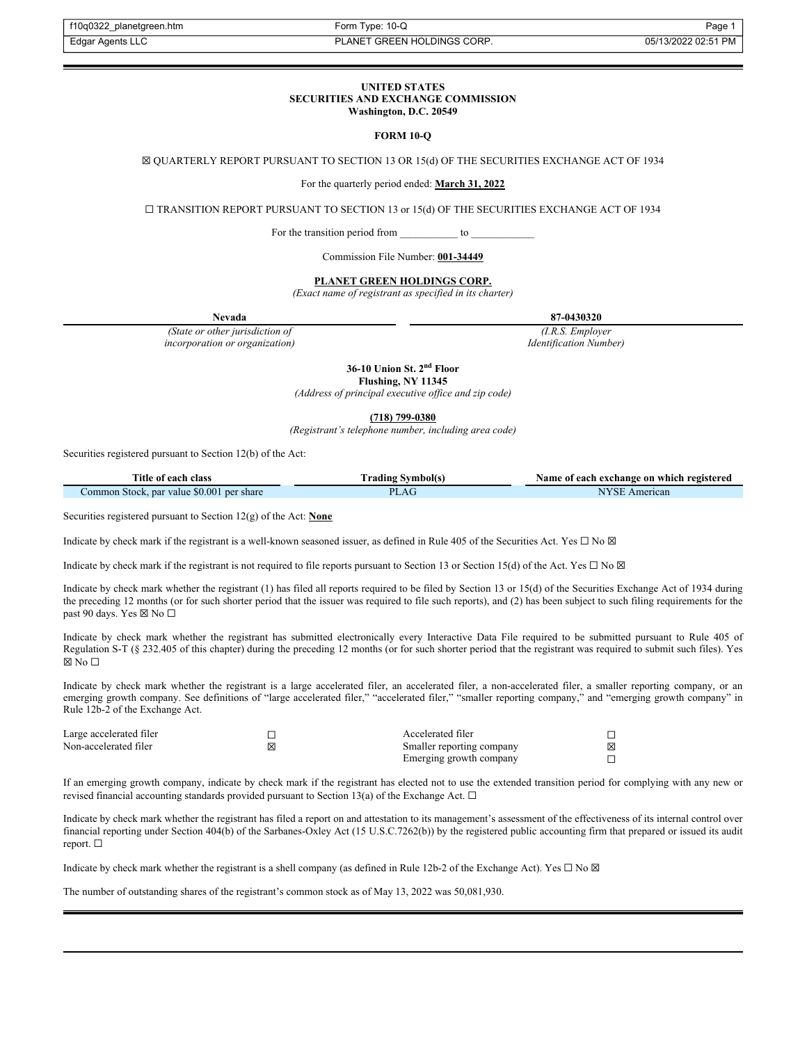| 10q0322<br>planetgreen.htm | $10 - Q$<br>Form Type:                         | Page                    |
|----------------------------|------------------------------------------------|-------------------------|
| Edgar Agents LLC           | LDINGS CORP<br><b>GREEN HOLD</b><br>ום<br>LANE | ∵PM.<br>5/13/2022 02:51 |

#### **UNITED STATES SECURITIES AND EXCHANGE COMMISSION Washington, D.C. 20549**

### **FORM 10-Q**

☒ QUARTERLY REPORT PURSUANT TO SECTION 13 OR 15(d) OF THE SECURITIES EXCHANGE ACT OF 1934

For the quarterly period ended: **March 31, 2022**

☐ TRANSITION REPORT PURSUANT TO SECTION 13 or 15(d) OF THE SECURITIES EXCHANGE ACT OF 1934

For the transition period from to

Commission File Number: **001-34449**

### **PLANET GREEN HOLDINGS CORP.**

*(Exact name of registrant as specified in its charter)*

*(State or other jurisdiction of (I.R.S. Employer incorporation or organization) Identification Number)* 

**Nevada 87-0430320** 

**36-10 Union St. 2nd Floor Flushing, NY 11345** 

*(Address of principal executive office and zip code)* 

**(718) 799-0380**

*(Registrant's telephone number, including area code)* 

Securities registered pursuant to Section 12(b) of the Act:

| $- - -$<br>`itle of<br>. class<br>' each                     | ' Symbol(s<br>rading                                                                                                                          | Name of<br>each exchange on which !<br>`registered |
|--------------------------------------------------------------|-----------------------------------------------------------------------------------------------------------------------------------------------|----------------------------------------------------|
| $$0.00^{\circ}$<br>per share<br>Common Stock.<br>. par value | DT<br>'LAC<br>$\mathcal{L}^{\text{max}}_{\text{max}}$ and $\mathcal{L}^{\text{max}}_{\text{max}}$ and $\mathcal{L}^{\text{max}}_{\text{max}}$ | American                                           |

Securities registered pursuant to Section 12(g) of the Act: **None**

Indicate by check mark if the registrant is a well-known seasoned issuer, as defined in Rule 405 of the Securities Act. Yes  $\Box$  No  $\boxtimes$ 

Indicate by check mark if the registrant is not required to file reports pursuant to Section 13 or Section 15(d) of the Act. Yes  $\Box$  No  $\boxtimes$ 

Indicate by check mark whether the registrant (1) has filed all reports required to be filed by Section 13 or 15(d) of the Securities Exchange Act of 1934 during the preceding 12 months (or for such shorter period that the issuer was required to file such reports), and (2) has been subject to such filing requirements for the past 90 days. Yes ⊠ No □

Indicate by check mark whether the registrant has submitted electronically every Interactive Data File required to be submitted pursuant to Rule 405 of Regulation S-T (§ 232.405 of this chapter) during the preceding 12 months (or for such shorter period that the registrant was required to submit such files). Yes  $\boxtimes$  No  $\square$ 

Indicate by check mark whether the registrant is a large accelerated filer, an accelerated filer, a non-accelerated filer, a smaller reporting company, or an emerging growth company. See definitions of "large accelerated filer," "accelerated filer," "smaller reporting company," and "emerging growth company" in Rule 12b-2 of the Exchange Act.

| Large accelerated filer |   | Accelerated filer         |   |
|-------------------------|---|---------------------------|---|
| Non-accelerated filer   | ⊠ | Smaller reporting company | 冈 |
|                         |   | Emerging growth company   |   |

If an emerging growth company, indicate by check mark if the registrant has elected not to use the extended transition period for complying with any new or revised financial accounting standards provided pursuant to Section 13(a) of the Exchange Act.  $\Box$ 

Indicate by check mark whether the registrant has filed a report on and attestation to its management's assessment of the effectiveness of its internal control over financial reporting under Section 404(b) of the Sarbanes-Oxley Act (15 U.S.C.7262(b)) by the registered public accounting firm that prepared or issued its audit report. ☐

Indicate by check mark whether the registrant is a shell company (as defined in Rule 12b-2 of the Exchange Act). Yes  $\Box$  No  $\boxtimes$ 

The number of outstanding shares of the registrant's common stock as of May 13, 2022 was 50,081,930.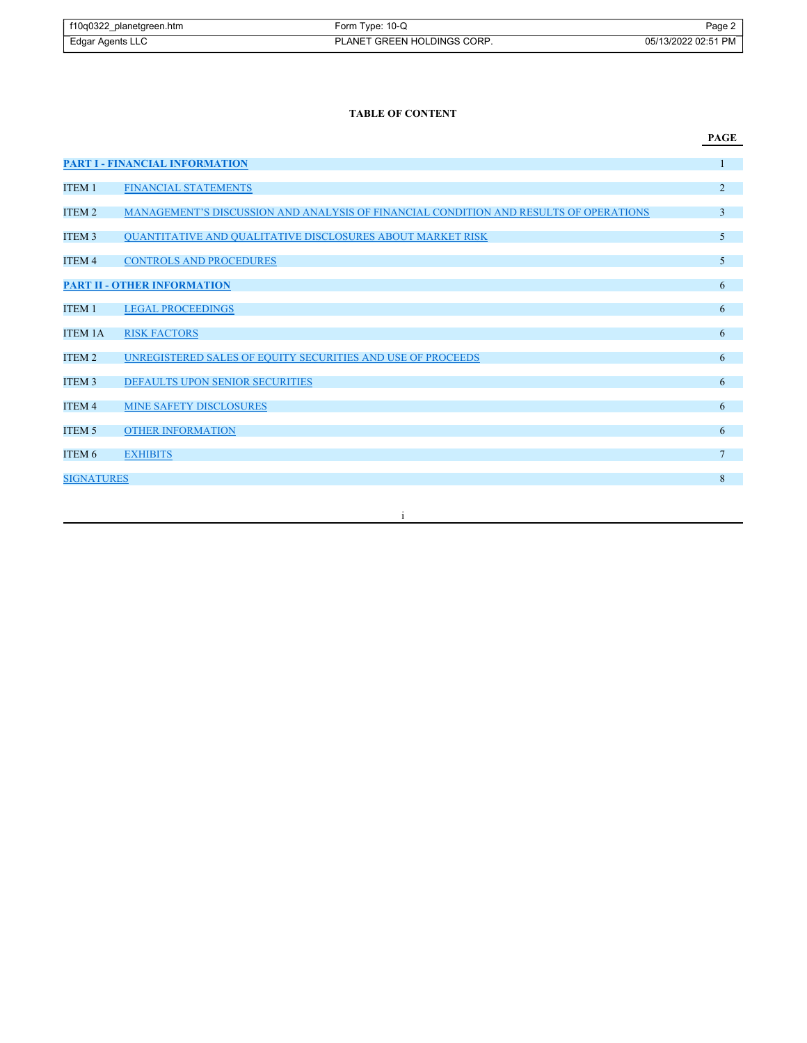| f10q0322_planetgreen.htm | Form Type: 10-Q                         | Page 2              |
|--------------------------|-----------------------------------------|---------------------|
| Edgar Agents LLC         | T GREEN HOLDINGS CORP.<br><b>PLANET</b> | 05/13/2022 02:51 PM |

# **TABLE OF CONTENT**

|                   |                                                                                       | <b>PAGE</b>     |
|-------------------|---------------------------------------------------------------------------------------|-----------------|
|                   | <b>PART I - FINANCIAL INFORMATION</b>                                                 | 1               |
| <b>ITEM1</b>      | <b>FINANCIAL STATEMENTS</b>                                                           | 2               |
| ITEM <sub>2</sub> | MANAGEMENT'S DISCUSSION AND ANALYSIS OF FINANCIAL CONDITION AND RESULTS OF OPERATIONS | 3               |
| ITEM <sub>3</sub> | QUANTITATIVE AND QUALITATIVE DISCLOSURES ABOUT MARKET RISK                            | 5               |
| <b>ITEM4</b>      | <b>CONTROLS AND PROCEDURES</b>                                                        | 5               |
|                   | <b>PART II - OTHER INFORMATION</b>                                                    | 6               |
| <b>ITEM1</b>      | <b>LEGAL PROCEEDINGS</b>                                                              | 6               |
| <b>ITEM 1A</b>    | <b>RISK FACTORS</b>                                                                   | 6               |
| <b>ITEM2</b>      | UNREGISTERED SALES OF EQUITY SECURITIES AND USE OF PROCEEDS                           | 6               |
| <b>ITEM3</b>      | DEFAULTS UPON SENIOR SECURITIES                                                       | 6               |
| <b>ITEM4</b>      | <b>MINE SAFETY DISCLOSURES</b>                                                        | 6               |
| ITEM <sub>5</sub> | <b>OTHER INFORMATION</b>                                                              | 6               |
| ITEM <sub>6</sub> | <b>EXHIBITS</b>                                                                       | $7\phantom{.0}$ |
| <b>SIGNATURES</b> |                                                                                       | 8               |
|                   |                                                                                       |                 |

i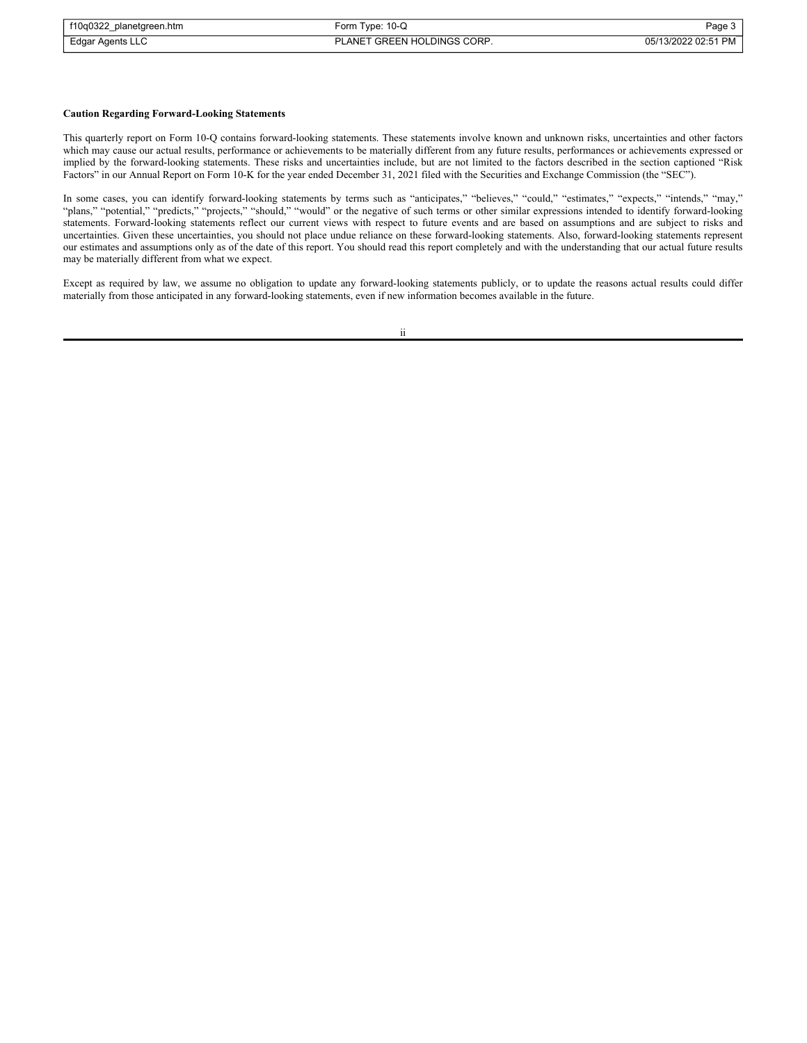| f10q0322 planetgreen.htm | Form Type: 10-Q             | Page 3              |
|--------------------------|-----------------------------|---------------------|
| Edgar Agents LLC         | PLANET GREEN HOLDINGS CORP. | 05/13/2022 02:51 PM |

### **Caution Regarding Forward-Looking Statements**

This quarterly report on Form 10-Q contains forward-looking statements. These statements involve known and unknown risks, uncertainties and other factors which may cause our actual results, performance or achievements to be materially different from any future results, performances or achievements expressed or implied by the forward-looking statements. These risks and uncertainties include, but are not limited to the factors described in the section captioned "Risk Factors" in our Annual Report on Form 10-K for the year ended December 31, 2021 filed with the Securities and Exchange Commission (the "SEC").

In some cases, you can identify forward-looking statements by terms such as "anticipates," "believes," "could," "estimates," "expects," "intends," "may," "plans," "potential," "predicts," "projects," "should," "would" or the negative of such terms or other similar expressions intended to identify forward-looking statements. Forward-looking statements reflect our current views with respect to future events and are based on assumptions and are subject to risks and uncertainties. Given these uncertainties, you should not place undue reliance on these forward-looking statements. Also, forward-looking statements represent our estimates and assumptions only as of the date of this report. You should read this report completely and with the understanding that our actual future results may be materially different from what we expect.

Except as required by law, we assume no obligation to update any forward-looking statements publicly, or to update the reasons actual results could differ materially from those anticipated in any forward-looking statements, even if new information becomes available in the future.

ii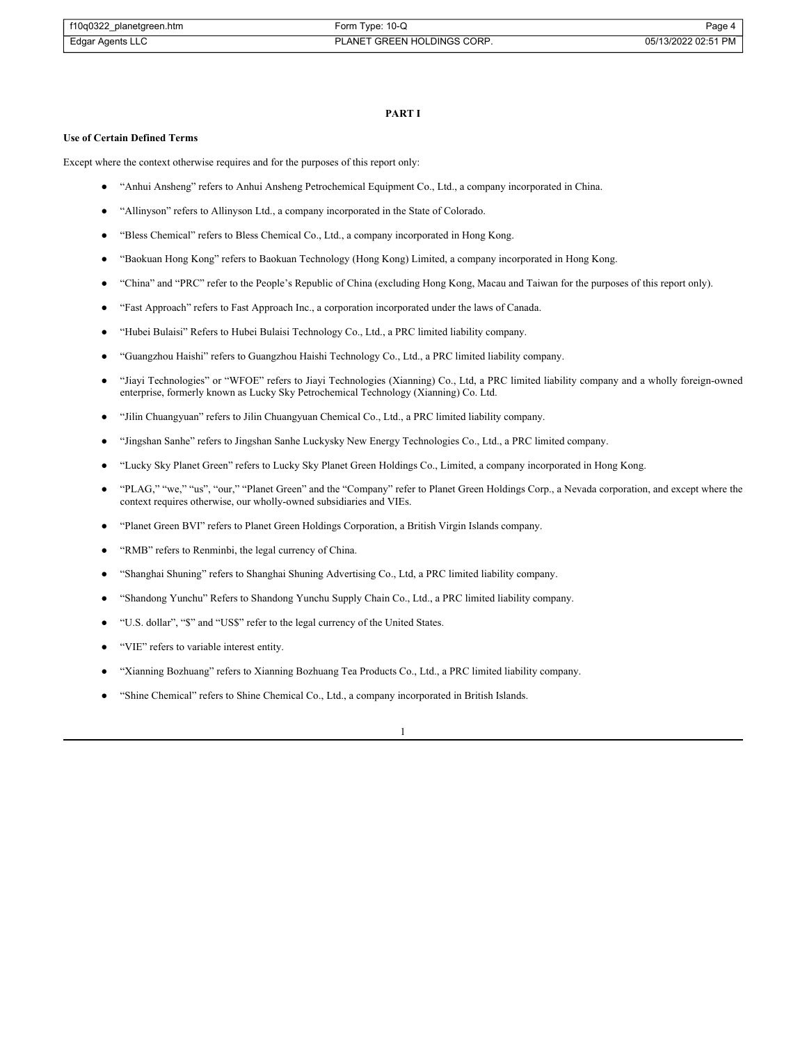## **PART I**

#### **Use of Certain Defined Terms**

Except where the context otherwise requires and for the purposes of this report only:

- "Anhui Ansheng" refers to Anhui Ansheng Petrochemical Equipment Co., Ltd., a company incorporated in China.
- "Allinyson" refers to Allinyson Ltd., a company incorporated in the State of Colorado.
- "Bless Chemical" refers to Bless Chemical Co., Ltd., a company incorporated in Hong Kong.
- "Baokuan Hong Kong" refers to Baokuan Technology (Hong Kong) Limited, a company incorporated in Hong Kong.
- "China" and "PRC" refer to the People's Republic of China (excluding Hong Kong, Macau and Taiwan for the purposes of this report only).
- "Fast Approach" refers to Fast Approach Inc., a corporation incorporated under the laws of Canada.
- "Hubei Bulaisi" Refers to Hubei Bulaisi Technology Co., Ltd., a PRC limited liability company.
- "Guangzhou Haishi" refers to Guangzhou Haishi Technology Co., Ltd., a PRC limited liability company.
- "Jiayi Technologies" or "WFOE" refers to Jiayi Technologies (Xianning) Co., Ltd, a PRC limited liability company and a wholly foreign-owned enterprise, formerly known as Lucky Sky Petrochemical Technology (Xianning) Co. Ltd.
- "Jilin Chuangyuan" refers to Jilin Chuangyuan Chemical Co., Ltd., a PRC limited liability company.
- "Jingshan Sanhe" refers to Jingshan Sanhe Luckysky New Energy Technologies Co., Ltd., a PRC limited company.
- "Lucky Sky Planet Green" refers to Lucky Sky Planet Green Holdings Co., Limited, a company incorporated in Hong Kong.
- "PLAG," "we," "us", "our," "Planet Green" and the "Company" refer to Planet Green Holdings Corp., a Nevada corporation, and except where the context requires otherwise, our wholly-owned subsidiaries and VIEs.
- "Planet Green BVI" refers to Planet Green Holdings Corporation, a British Virgin Islands company.
- "RMB" refers to Renminbi, the legal currency of China.
- "Shanghai Shuning" refers to Shanghai Shuning Advertising Co., Ltd, a PRC limited liability company.
- "Shandong Yunchu" Refers to Shandong Yunchu Supply Chain Co., Ltd., a PRC limited liability company.
- "U.S. dollar", "\$" and "US\$" refer to the legal currency of the United States.
- "VIE" refers to variable interest entity.
- "Xianning Bozhuang" refers to Xianning Bozhuang Tea Products Co., Ltd., a PRC limited liability company.
- "Shine Chemical" refers to Shine Chemical Co., Ltd., a company incorporated in British Islands.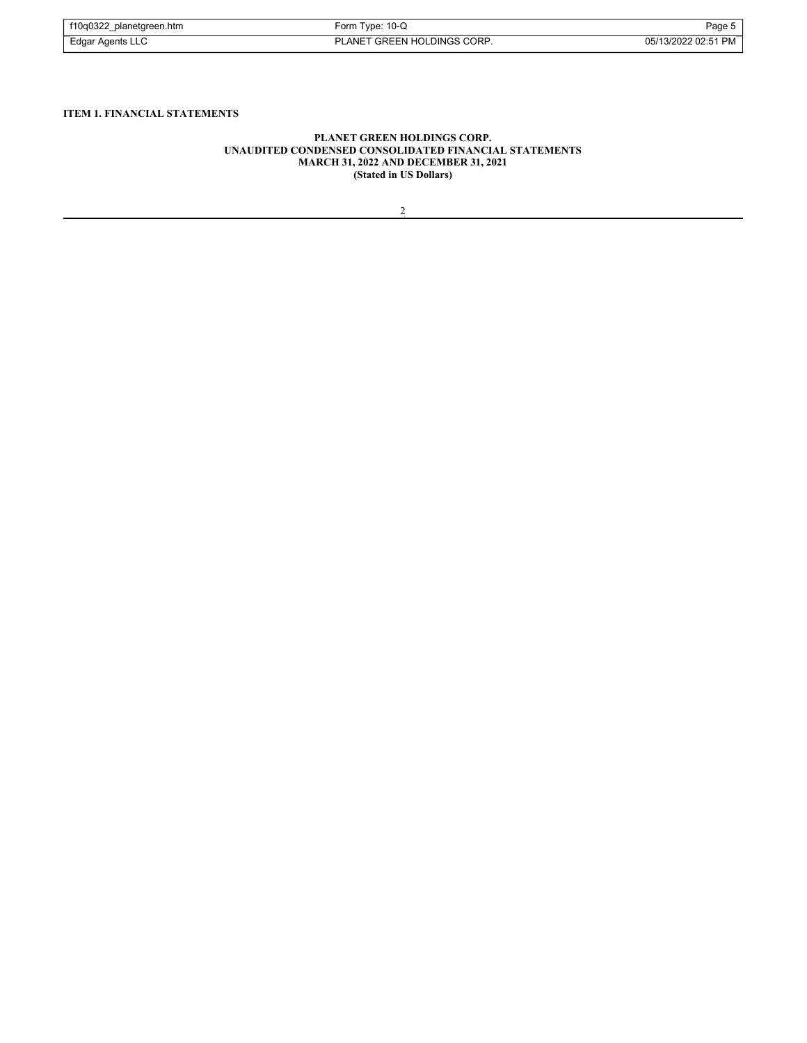| f10q0322 planetgreen.htm | Form Type: 10-Q             | Page 5              |
|--------------------------|-----------------------------|---------------------|
| Edgar Agents LLC         | PLANET GREEN HOLDINGS CORP. | 05/13/2022 02:51 PM |

# **ITEM 1. FINANCIAL STATEMENTS**

# **PLANET GREEN HOLDINGS CORP. UNAUDITED CONDENSED CONSOLIDATED FINANCIAL STATEMENTS MARCH 31, 2022 AND DECEMBER 31, 2021 (Stated in US Dollars)**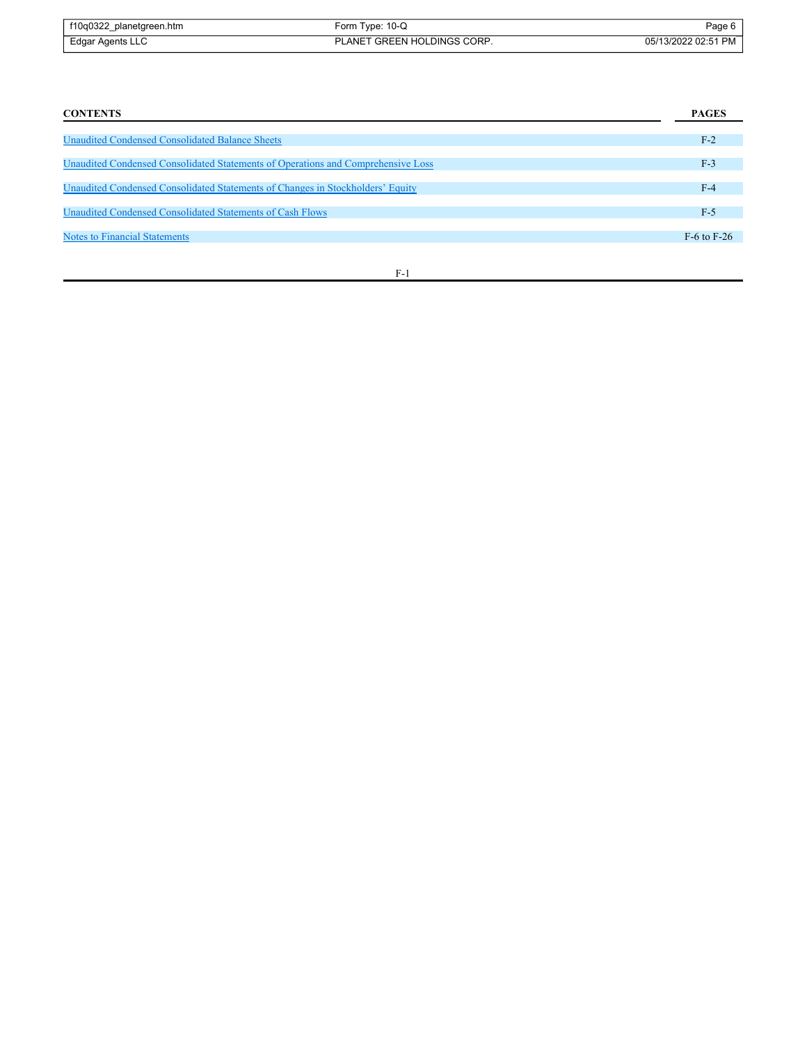| f10q0322 planetgreen.htm | Form Type: 10-Q             | Page 6              |
|--------------------------|-----------------------------|---------------------|
| Edgar Agents LLC         | PLANET GREEN HOLDINGS CORP. | 05/13/2022 02:51 PM |

| <b>CONTENTS</b>                                                                  | <b>PAGES</b>    |
|----------------------------------------------------------------------------------|-----------------|
|                                                                                  |                 |
| Unaudited Condensed Consolidated Balance Sheets                                  | $F-2$           |
|                                                                                  |                 |
| Unaudited Condensed Consolidated Statements of Operations and Comprehensive Loss | $F-3$           |
|                                                                                  |                 |
| Unaudited Condensed Consolidated Statements of Changes in Stockholders' Equity   | $F-4$           |
|                                                                                  |                 |
| Unaudited Condensed Consolidated Statements of Cash Flows                        | $F-5$           |
|                                                                                  |                 |
| <b>Notes to Financial Statements</b>                                             | $F-6$ to $F-26$ |
|                                                                                  |                 |
|                                                                                  |                 |

|--|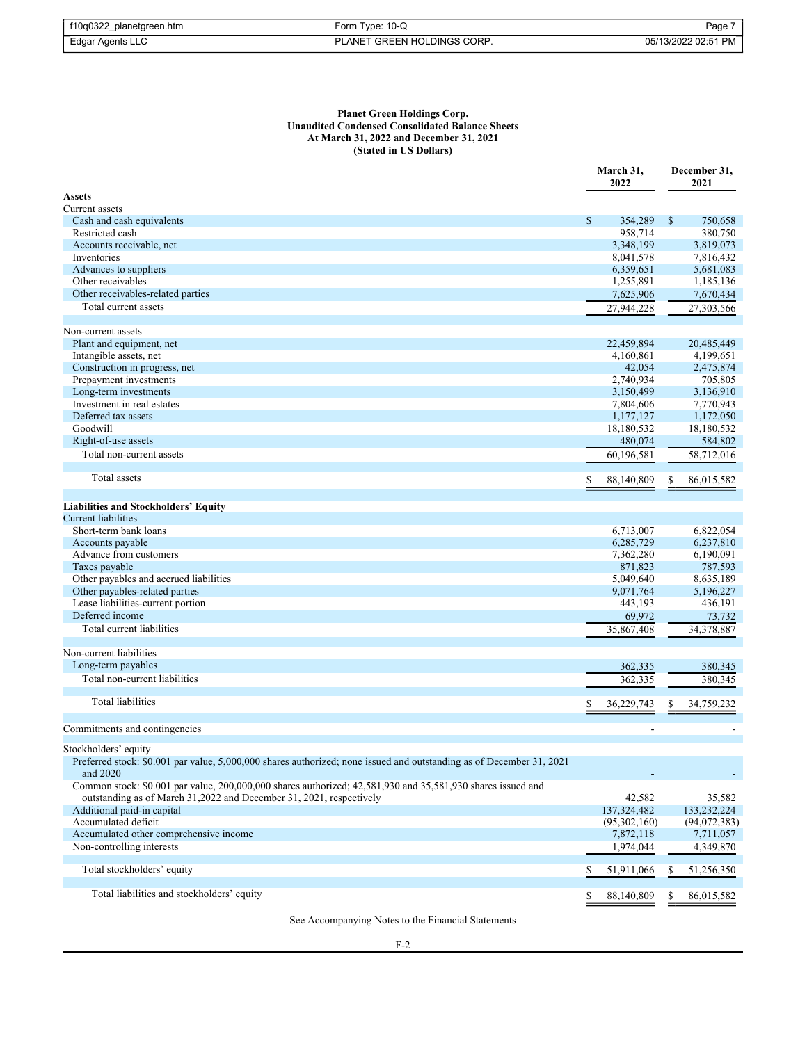| f10q0322 planetgreen.htm | Form Type: 10-Q             | Page 7              |
|--------------------------|-----------------------------|---------------------|
| Edgar Agents LLC         | PLANET GREEN HOLDINGS CORP. | 05/13/2022 02:51 PM |

#### **Planet Green Holdings Corp. Unaudited Condensed Consolidated Balance Sheets At March 31, 2022 and December 31, 2021 (Stated in US Dollars)**

|                                                                                                                                              |              | March 31,<br>2022 |              | December 31,<br>2021 |
|----------------------------------------------------------------------------------------------------------------------------------------------|--------------|-------------------|--------------|----------------------|
| Assets                                                                                                                                       |              |                   |              |                      |
| Current assets                                                                                                                               |              |                   |              |                      |
| Cash and cash equivalents                                                                                                                    | $\mathbb{S}$ | 354,289           | $\mathbb{S}$ | 750,658              |
| Restricted cash                                                                                                                              |              | 958,714           |              | 380,750              |
| Accounts receivable, net                                                                                                                     |              | 3,348,199         |              | 3,819,073            |
| Inventories                                                                                                                                  |              | 8,041,578         |              | 7,816,432            |
| Advances to suppliers                                                                                                                        |              | 6,359,651         |              | 5,681,083            |
| Other receivables                                                                                                                            |              | 1,255,891         |              | 1,185,136            |
| Other receivables-related parties                                                                                                            |              | 7,625,906         |              | 7,670,434            |
| Total current assets                                                                                                                         |              | 27,944,228        |              | 27,303,566           |
| Non-current assets                                                                                                                           |              |                   |              |                      |
| Plant and equipment, net                                                                                                                     |              | 22,459,894        |              | 20,485,449           |
| Intangible assets, net                                                                                                                       |              | 4,160,861         |              | 4,199,651            |
| Construction in progress, net                                                                                                                |              | 42,054            |              | 2,475,874            |
| Prepayment investments                                                                                                                       |              | 2,740,934         |              | 705,805              |
| Long-term investments                                                                                                                        |              | 3,150,499         |              | 3,136,910            |
| Investment in real estates                                                                                                                   |              | 7,804,606         |              | 7,770,943            |
| Deferred tax assets                                                                                                                          |              | 1,177,127         |              | 1,172,050            |
| Goodwill                                                                                                                                     |              | 18,180,532        |              | 18,180,532           |
| Right-of-use assets                                                                                                                          |              | 480,074           |              | 584,802              |
| Total non-current assets                                                                                                                     |              | 60,196,581        |              | 58,712,016           |
|                                                                                                                                              |              |                   |              |                      |
| Total assets                                                                                                                                 | S            | 88,140,809        | \$           | 86,015,582           |
| <b>Liabilities and Stockholders' Equity</b>                                                                                                  |              |                   |              |                      |
| <b>Current liabilities</b>                                                                                                                   |              |                   |              |                      |
| Short-term bank loans                                                                                                                        |              | 6,713,007         |              | 6,822,054            |
| Accounts payable                                                                                                                             |              | 6,285,729         |              | 6,237,810            |
| Advance from customers                                                                                                                       |              | 7,362,280         |              | 6,190,091            |
| Taxes payable                                                                                                                                |              | 871,823           |              | 787,593              |
| Other payables and accrued liabilities                                                                                                       |              | 5,049,640         |              | 8,635,189            |
| Other payables-related parties                                                                                                               |              | 9,071,764         |              | 5,196,227            |
| Lease liabilities-current portion                                                                                                            |              | 443,193           |              | 436,191              |
| Deferred income                                                                                                                              |              | 69,972            |              | 73,732               |
| Total current liabilities                                                                                                                    |              | 35,867,408        |              | 34,378,887           |
| Non-current liabilities                                                                                                                      |              |                   |              |                      |
|                                                                                                                                              |              |                   |              |                      |
| Long-term payables                                                                                                                           |              | 362,335           |              | 380,345              |
| Total non-current liabilities                                                                                                                |              | 362,335           |              | 380,345              |
| Total liabilities                                                                                                                            | S            | 36,229,743        |              | 34,759,232           |
| Commitments and contingencies                                                                                                                |              |                   |              |                      |
|                                                                                                                                              |              |                   |              |                      |
| Stockholders' equity<br>Preferred stock: \$0.001 par value, 5,000,000 shares authorized; none issued and outstanding as of December 31, 2021 |              |                   |              |                      |
| and 2020                                                                                                                                     |              |                   |              |                      |
| Common stock: \$0.001 par value, 200,000,000 shares authorized; 42,581,930 and 35,581,930 shares issued and                                  |              |                   |              |                      |
| outstanding as of March 31,2022 and December 31, 2021, respectively                                                                          |              | 42,582            |              | 35,582               |
| Additional paid-in capital                                                                                                                   |              | 137, 324, 482     |              | 133,232,224          |
| Accumulated deficit                                                                                                                          |              | (95,302,160)      |              | (94,072,383)         |
| Accumulated other comprehensive income                                                                                                       |              | 7,872,118         |              | 7,711,057            |
| Non-controlling interests                                                                                                                    |              | 1,974,044         |              | 4,349,870            |
|                                                                                                                                              |              |                   |              |                      |
| Total stockholders' equity                                                                                                                   | S            | 51,911,066        | S.           | 51,256,350           |
| Total liabilities and stockholders' equity                                                                                                   | \$           | 88,140,809        | \$           | 86,015,582           |

See Accompanying Notes to the Financial Statements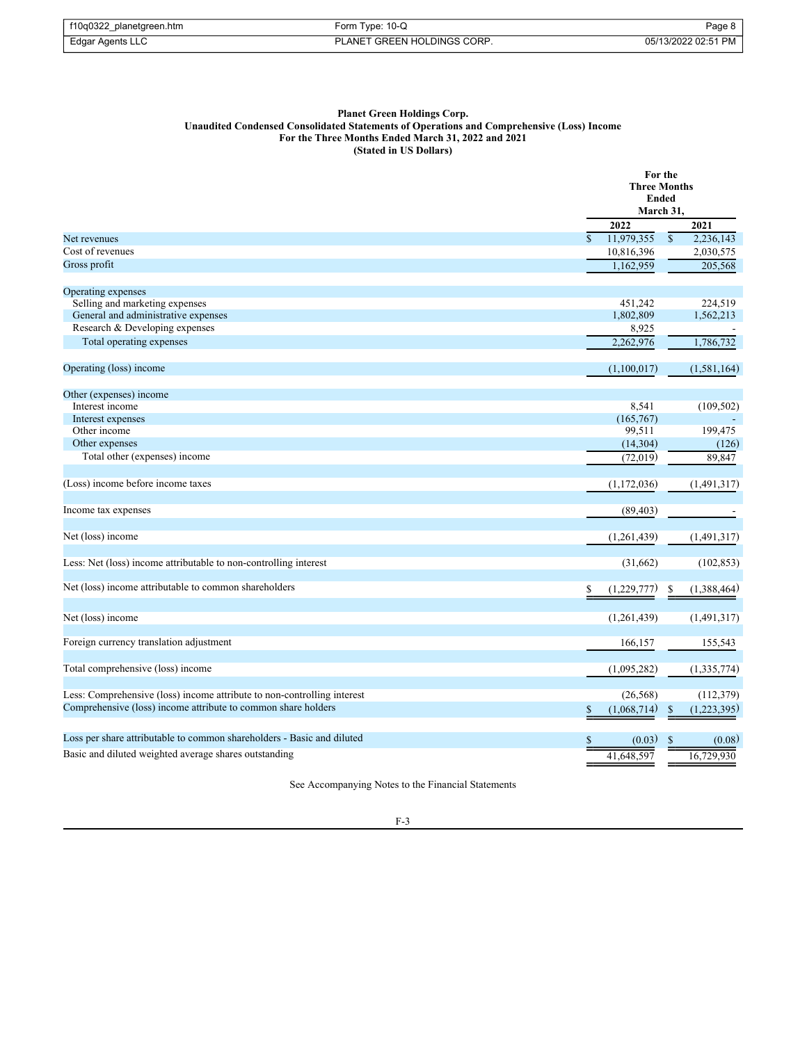| f10q0322 planetgreen.htm | Form Type: 10-Q                       | Paqe 8              |
|--------------------------|---------------------------------------|---------------------|
| Edgar Agents LLC         | <b>「GREEN HOLDINGS CORP</b><br>PLANET | 05/13/2022 02:51 PM |

### **Planet Green Holdings Corp. Unaudited Condensed Consolidated Statements of Operations and Comprehensive (Loss) Income For the Three Months Ended March 31, 2022 and 2021 (Stated in US Dollars)**

|                                                                         | For the<br><b>Three Months</b><br>Ended<br>March 31, |                          |
|-------------------------------------------------------------------------|------------------------------------------------------|--------------------------|
|                                                                         | 2022                                                 | 2021                     |
| Net revenues                                                            | 11,979,355<br>\$.                                    | $\mathbf S$<br>2,236,143 |
| Cost of revenues                                                        | 10,816,396                                           | 2,030,575                |
| Gross profit                                                            | 1,162,959                                            | 205,568                  |
| Operating expenses                                                      |                                                      |                          |
| Selling and marketing expenses                                          | 451,242                                              | 224,519                  |
| General and administrative expenses                                     | 1,802,809                                            | 1,562,213                |
| Research & Developing expenses                                          | 8,925                                                |                          |
| Total operating expenses                                                | 2,262,976                                            | 1,786,732                |
| Operating (loss) income                                                 | (1,100,017)                                          | (1,581,164)              |
| Other (expenses) income                                                 |                                                      |                          |
| Interest income                                                         | 8,541                                                | (109, 502)               |
| Interest expenses                                                       | (165,767)                                            |                          |
| Other income                                                            | 99,511                                               | 199,475                  |
| Other expenses                                                          | (14,304)                                             | (126)                    |
| Total other (expenses) income                                           | (72, 019)                                            | 89,847                   |
| (Loss) income before income taxes                                       | (1,172,036)                                          | (1,491,317)              |
| Income tax expenses                                                     | (89, 403)                                            |                          |
| Net (loss) income                                                       | (1,261,439)                                          | (1,491,317)              |
| Less: Net (loss) income attributable to non-controlling interest        | (31,662)                                             | (102, 853)               |
| Net (loss) income attributable to common shareholders                   |                                                      |                          |
|                                                                         | \$<br>(1,229,777)                                    | \$<br>(1,388,464)        |
| Net (loss) income                                                       | (1,261,439)                                          | (1,491,317)              |
| Foreign currency translation adjustment                                 | 166,157                                              | 155,543                  |
| Total comprehensive (loss) income                                       | (1,095,282)                                          | (1,335,774)              |
| Less: Comprehensive (loss) income attribute to non-controlling interest | (26, 568)                                            | (112,379)                |
| Comprehensive (loss) income attribute to common share holders           | (1,068,714)<br>\$                                    | (1,223,395)<br>\$        |
| Loss per share attributable to common shareholders - Basic and diluted  | \$<br>(0.03)                                         | \$<br>(0.08)             |
| Basic and diluted weighted average shares outstanding                   | 41,648,597                                           | 16,729,930               |

See Accompanying Notes to the Financial Statements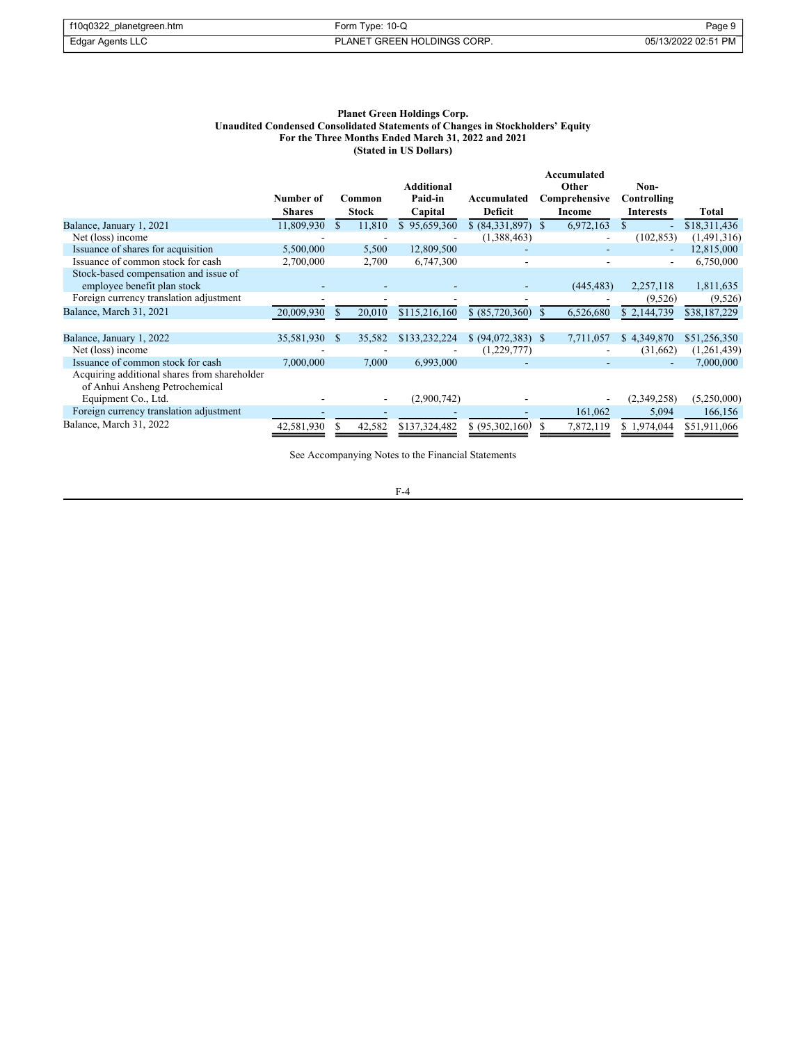| f10q0322<br>planetgreen.htm | Form Type: 10-Q                                  | Page .              |
|-----------------------------|--------------------------------------------------|---------------------|
| Edgar Agents LLC            | <b>GREEN HOLDINGS CORP</b><br>PLANE <sup>-</sup> | 05/13/2022 02:51 PM |

### **Planet Green Holdings Corp. Unaudited Condensed Consolidated Statements of Changes in Stockholders' Equity For the Three Months Ended March 31, 2022 and 2021 (Stated in US Dollars)**

|                                                                                | Number of     |          | Common       | Additional<br>Paid-in | Accumulated      |    | Accumulated<br>Other<br>Comprehensive | Non-<br>Controlling |              |
|--------------------------------------------------------------------------------|---------------|----------|--------------|-----------------------|------------------|----|---------------------------------------|---------------------|--------------|
|                                                                                | <b>Shares</b> |          | <b>Stock</b> | Capital               | Deficit          |    | Income                                | <b>Interests</b>    | Total        |
| Balance, January 1, 2021                                                       | 11,809,930    |          | 11,810       | \$95,659,360          | \$ (84,331,897)  | S. | 6,972,163                             |                     | \$18,311,436 |
| Net (loss) income                                                              |               |          |              |                       | (1,388,463)      |    |                                       | (102, 853)          | (1,491,316)  |
| Issuance of shares for acquisition                                             | 5,500,000     |          | 5,500        | 12,809,500            |                  |    |                                       | ٠                   | 12,815,000   |
| Issuance of common stock for cash                                              | 2,700,000     |          | 2,700        | 6,747,300             |                  |    |                                       |                     | 6,750,000    |
| Stock-based compensation and issue of<br>employee benefit plan stock           |               |          |              |                       |                  |    | (445, 483)                            | 2,257,118           | 1,811,635    |
| Foreign currency translation adjustment                                        |               |          |              |                       |                  |    |                                       | (9,526)             | (9,526)      |
| Balance, March 31, 2021                                                        | 20,009,930    | S        | 20,010       | \$115,216,160         | \$ (85,720,360)  | S. | 6,526,680                             | \$2,144,739         | \$38,187,229 |
| Balance, January 1, 2022                                                       | 35,581,930    | <b>S</b> | 35,582       | \$133,232,224         |                  |    | 7,711,057                             | \$4,349,870         | \$51,256,350 |
| Net (loss) income                                                              |               |          |              |                       | (1,229,777)      |    |                                       | (31,662)            | (1,261,439)  |
| Issuance of common stock for cash                                              | 7,000,000     |          | 7,000        | 6,993,000             |                  |    |                                       |                     | 7,000,000    |
| Acquiring additional shares from shareholder<br>of Anhui Ansheng Petrochemical |               |          |              |                       |                  |    |                                       |                     |              |
| Equipment Co., Ltd.                                                            |               |          |              | (2,900,742)           |                  |    |                                       | (2,349,258)         | (5,250,000)  |
| Foreign currency translation adjustment                                        |               |          |              |                       |                  |    | 161,062                               | 5,094               | 166,156      |
| Balance, March 31, 2022                                                        | 42,581,930    |          | 42,582       | \$137,324,482         | $$$ (95,302,160) |    | 7,872,119                             | \$1,974,044         | \$51,911,066 |

See Accompanying Notes to the Financial Statements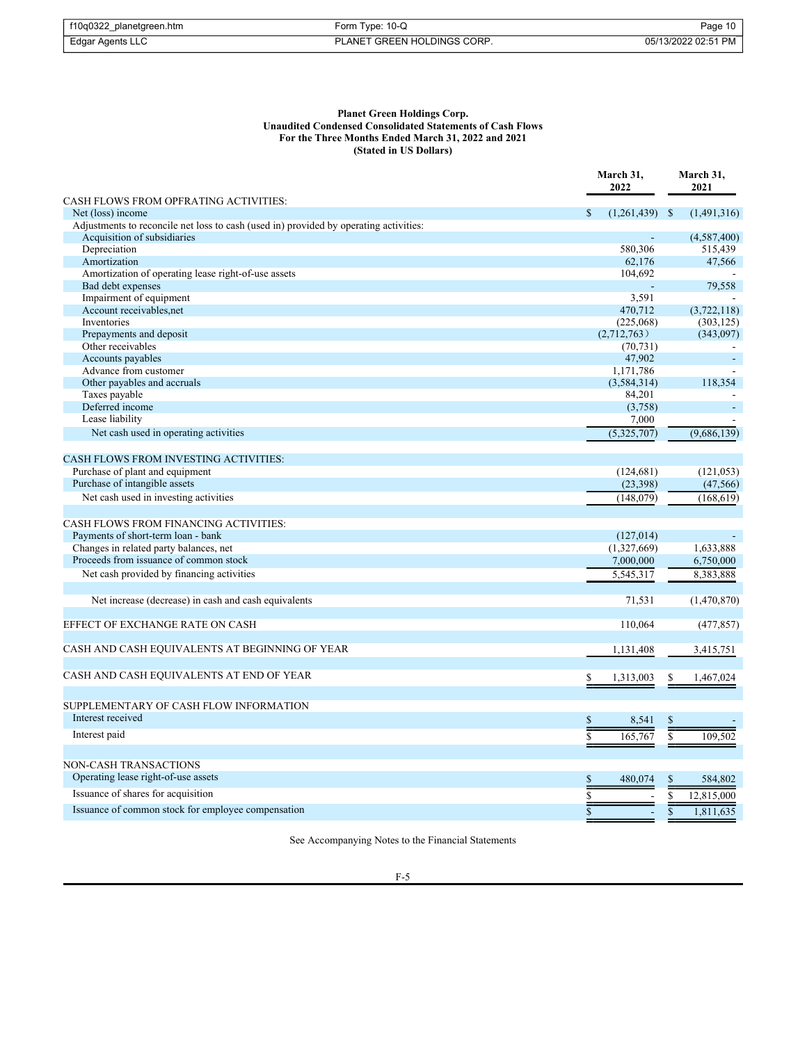| f10q0322 planetgreen.htm | Form Type: 10-Q             | Page 10             |
|--------------------------|-----------------------------|---------------------|
| Edgar Agents LLC         | PLANET GREEN HOLDINGS CORP. | 05/13/2022 02:51 PM |

### **Planet Green Holdings Corp. Unaudited Condensed Consolidated Statements of Cash Flows For the Three Months Ended March 31, 2022 and 2021 (Stated in US Dollars)**

| CASH FLOWS FROM OPFRATING ACTIVITIES:                                                 | March 31,<br>2022           | March 31,<br>2021            |
|---------------------------------------------------------------------------------------|-----------------------------|------------------------------|
| Net (loss) income                                                                     | $\mathbb{S}$<br>(1,261,439) | <b>S</b><br>(1,491,316)      |
| Adjustments to reconcile net loss to cash (used in) provided by operating activities: |                             |                              |
| Acquisition of subsidiaries                                                           |                             | (4,587,400)                  |
| Depreciation                                                                          | 580,306                     | 515,439                      |
| Amortization                                                                          | 62,176                      | 47,566                       |
| Amortization of operating lease right-of-use assets                                   | 104,692                     |                              |
| Bad debt expenses                                                                     |                             | 79,558                       |
| Impairment of equipment                                                               | 3,591                       |                              |
| Account receivables.net                                                               | 470,712                     | (3,722,118)                  |
| Inventories                                                                           | (225,068)                   | (303, 125)                   |
| Prepayments and deposit                                                               | (2,712,763)                 | (343,097)                    |
| Other receivables                                                                     | (70, 731)                   |                              |
| Accounts payables                                                                     | 47,902                      |                              |
| Advance from customer                                                                 | 1,171,786                   |                              |
| Other payables and accruals                                                           | (3,584,314)                 | 118,354                      |
| Taxes payable                                                                         | 84,201                      |                              |
| Deferred income                                                                       | (3,758)                     |                              |
| Lease liability                                                                       | 7,000                       |                              |
| Net cash used in operating activities                                                 | (5,325,707)                 | (9,686,139)                  |
| <b>CASH FLOWS FROM INVESTING ACTIVITIES:</b>                                          |                             |                              |
| Purchase of plant and equipment                                                       | (124, 681)                  | (121, 053)                   |
| Purchase of intangible assets                                                         | (23,398)                    | (47, 566)                    |
| Net cash used in investing activities                                                 | (148,079)                   | (168, 619)                   |
| CASH FLOWS FROM FINANCING ACTIVITIES:                                                 |                             |                              |
| Payments of short-term loan - bank                                                    | (127, 014)                  |                              |
| Changes in related party balances, net                                                | (1,327,669)                 | 1,633,888                    |
| Proceeds from issuance of common stock                                                | 7,000,000                   | 6,750,000                    |
| Net cash provided by financing activities                                             | 5,545,317                   | 8,383,888                    |
|                                                                                       |                             |                              |
| Net increase (decrease) in cash and cash equivalents                                  | 71,531                      | (1,470,870)                  |
| EFFECT OF EXCHANGE RATE ON CASH                                                       | 110,064                     | (477, 857)                   |
| CASH AND CASH EQUIVALENTS AT BEGINNING OF YEAR                                        |                             |                              |
|                                                                                       | 1,131,408                   | 3,415,751                    |
| CASH AND CASH EQUIVALENTS AT END OF YEAR                                              | \$<br>1,313,003             | \$<br>1,467,024              |
| SUPPLEMENTARY OF CASH FLOW INFORMATION                                                |                             |                              |
| Interest received                                                                     | \$<br>8,541                 | \$                           |
| Interest paid                                                                         | $\bar{s}$<br>165,767        | $\overline{s}$<br>109,502    |
| <b>NON-CASH TRANSACTIONS</b>                                                          |                             |                              |
| Operating lease right-of-use assets                                                   | 480,074                     | 584,802<br>\$                |
| Issuance of shares for acquisition                                                    | s<br>=<br>s                 | $\overline{s}$<br>12,815,000 |
| Issuance of common stock for employee compensation                                    | $\overline{\$}$             | $\bar{s}$<br>1,811,635       |

See Accompanying Notes to the Financial Statements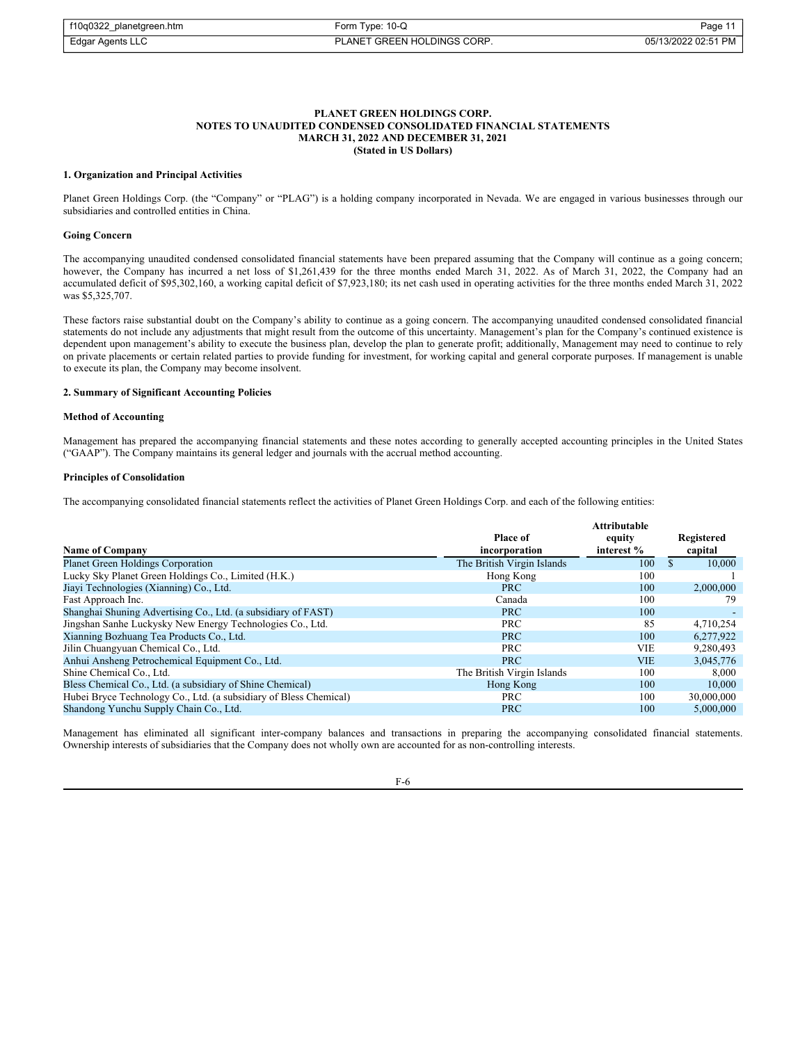| f10q0322 planetgreen.htm | Form Type: 10-Q             | Paqe 1              |
|--------------------------|-----------------------------|---------------------|
| Edgar Agents LLC         | PLANET GREEN HOLDINGS CORP. | 05/13/2022 02:51 PM |

### **PLANET GREEN HOLDINGS CORP. NOTES TO UNAUDITED CONDENSED CONSOLIDATED FINANCIAL STATEMENTS MARCH 31, 2022 AND DECEMBER 31, 2021 (Stated in US Dollars)**

### **1. Organization and Principal Activities**

Planet Green Holdings Corp. (the "Company" or "PLAG") is a holding company incorporated in Nevada. We are engaged in various businesses through our subsidiaries and controlled entities in China.

#### **Going Concern**

The accompanying unaudited condensed consolidated financial statements have been prepared assuming that the Company will continue as a going concern; however, the Company has incurred a net loss of \$1,261,439 for the three months ended March 31, 2022. As of March 31, 2022, the Company had an accumulated deficit of \$95,302,160, a working capital deficit of \$7,923,180; its net cash used in operating activities for the three months ended March 31, 2022 was \$5,325,707.

These factors raise substantial doubt on the Company's ability to continue as a going concern. The accompanying unaudited condensed consolidated financial statements do not include any adjustments that might result from the outcome of this uncertainty. Management's plan for the Company's continued existence is dependent upon management's ability to execute the business plan, develop the plan to generate profit; additionally, Management may need to continue to rely on private placements or certain related parties to provide funding for investment, for working capital and general corporate purposes. If management is unable to execute its plan, the Company may become insolvent.

### **2. Summary of Significant Accounting Policies**

#### **Method of Accounting**

Management has prepared the accompanying financial statements and these notes according to generally accepted accounting principles in the United States ("GAAP"). The Company maintains its general ledger and journals with the accrual method accounting.

### **Principles of Consolidation**

The accompanying consolidated financial statements reflect the activities of Planet Green Holdings Corp. and each of the following entities:

|                                                                   |                            | <b>Attributable</b> |                   |
|-------------------------------------------------------------------|----------------------------|---------------------|-------------------|
|                                                                   | Place of                   | equity              | <b>Registered</b> |
| <b>Name of Company</b>                                            | incorporation              | interest %          | capital           |
| <b>Planet Green Holdings Corporation</b>                          | The British Virgin Islands | 100                 | 10,000            |
| Lucky Sky Planet Green Holdings Co., Limited (H.K.)               | Hong Kong                  | 100                 |                   |
| Jiayi Technologies (Xianning) Co., Ltd.                           | PRC                        | 100                 | 2,000,000         |
| Fast Approach Inc.                                                | Canada                     | 100                 | 79                |
| Shanghai Shuning Advertising Co., Ltd. (a subsidiary of FAST)     | <b>PRC</b>                 | 100                 |                   |
| Jingshan Sanhe Luckysky New Energy Technologies Co., Ltd.         | <b>PRC</b>                 | 85                  | 4,710,254         |
| Xianning Bozhuang Tea Products Co., Ltd.                          | <b>PRC</b>                 | 100                 | 6.277.922         |
| Jilin Chuangyuan Chemical Co., Ltd.                               | <b>PRC</b>                 | VIE                 | 9,280,493         |
| Anhui Ansheng Petrochemical Equipment Co., Ltd.                   | <b>PRC</b>                 | <b>VIE</b>          | 3,045,776         |
| Shine Chemical Co., Ltd.                                          | The British Virgin Islands | 100                 | 8,000             |
| Bless Chemical Co., Ltd. (a subsidiary of Shine Chemical)         | Hong Kong                  | 100                 | 10,000            |
| Hubei Bryce Technology Co., Ltd. (a subsidiary of Bless Chemical) | <b>PRC</b>                 | 100                 | 30,000,000        |
| Shandong Yunchu Supply Chain Co., Ltd.                            | <b>PRC</b>                 | 100                 | 5,000,000         |

Management has eliminated all significant inter-company balances and transactions in preparing the accompanying consolidated financial statements. Ownership interests of subsidiaries that the Company does not wholly own are accounted for as non-controlling interests.

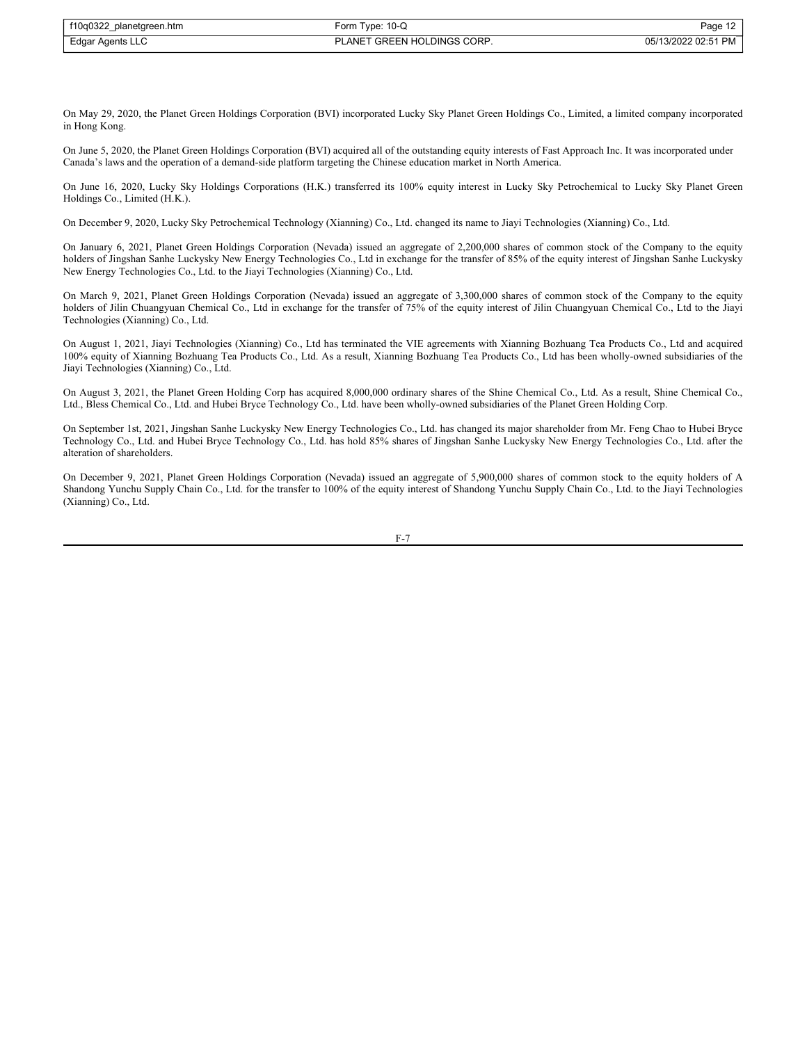| f10q0322<br>planetgreen.htm | Form Type: 10-Q                            | Page 12             |
|-----------------------------|--------------------------------------------|---------------------|
| Edgar Agents LLC            | <sup>-</sup> GREEN HOLDINGS CORP<br>PLANET | 05/13/2022 02:51 PM |

On May 29, 2020, the Planet Green Holdings Corporation (BVI) incorporated Lucky Sky Planet Green Holdings Co., Limited, a limited company incorporated in Hong Kong.

On June 5, 2020, the Planet Green Holdings Corporation (BVI) acquired all of the outstanding equity interests of Fast Approach Inc. It was incorporated under Canada's laws and the operation of a demand-side platform targeting the Chinese education market in North America.

On June 16, 2020, Lucky Sky Holdings Corporations (H.K.) transferred its 100% equity interest in Lucky Sky Petrochemical to Lucky Sky Planet Green Holdings Co., Limited (H.K.).

On December 9, 2020, Lucky Sky Petrochemical Technology (Xianning) Co., Ltd. changed its name to Jiayi Technologies (Xianning) Co., Ltd.

On January 6, 2021, Planet Green Holdings Corporation (Nevada) issued an aggregate of 2,200,000 shares of common stock of the Company to the equity holders of Jingshan Sanhe Luckysky New Energy Technologies Co., Ltd in exchange for the transfer of 85% of the equity interest of Jingshan Sanhe Luckysky New Energy Technologies Co., Ltd. to the Jiayi Technologies (Xianning) Co., Ltd.

On March 9, 2021, Planet Green Holdings Corporation (Nevada) issued an aggregate of 3,300,000 shares of common stock of the Company to the equity holders of Jilin Chuangyuan Chemical Co., Ltd in exchange for the transfer of 75% of the equity interest of Jilin Chuangyuan Chemical Co., Ltd to the Jiayi Technologies (Xianning) Co., Ltd.

On August 1, 2021, Jiayi Technologies (Xianning) Co., Ltd has terminated the VIE agreements with Xianning Bozhuang Tea Products Co., Ltd and acquired 100% equity of Xianning Bozhuang Tea Products Co., Ltd. As a result, Xianning Bozhuang Tea Products Co., Ltd has been wholly-owned subsidiaries of the Jiayi Technologies (Xianning) Co., Ltd.

On August 3, 2021, the Planet Green Holding Corp has acquired 8,000,000 ordinary shares of the Shine Chemical Co., Ltd. As a result, Shine Chemical Co., Ltd., Bless Chemical Co., Ltd. and Hubei Bryce Technology Co., Ltd. have been wholly-owned subsidiaries of the Planet Green Holding Corp.

On September 1st, 2021, Jingshan Sanhe Luckysky New Energy Technologies Co., Ltd. has changed its major shareholder from Mr. Feng Chao to Hubei Bryce Technology Co., Ltd. and Hubei Bryce Technology Co., Ltd. has hold 85% shares of Jingshan Sanhe Luckysky New Energy Technologies Co., Ltd. after the alteration of shareholders.

On December 9, 2021, Planet Green Holdings Corporation (Nevada) issued an aggregate of 5,900,000 shares of common stock to the equity holders of A Shandong Yunchu Supply Chain Co., Ltd. for the transfer to 100% of the equity interest of Shandong Yunchu Supply Chain Co., Ltd. to the Jiayi Technologies (Xianning) Co., Ltd.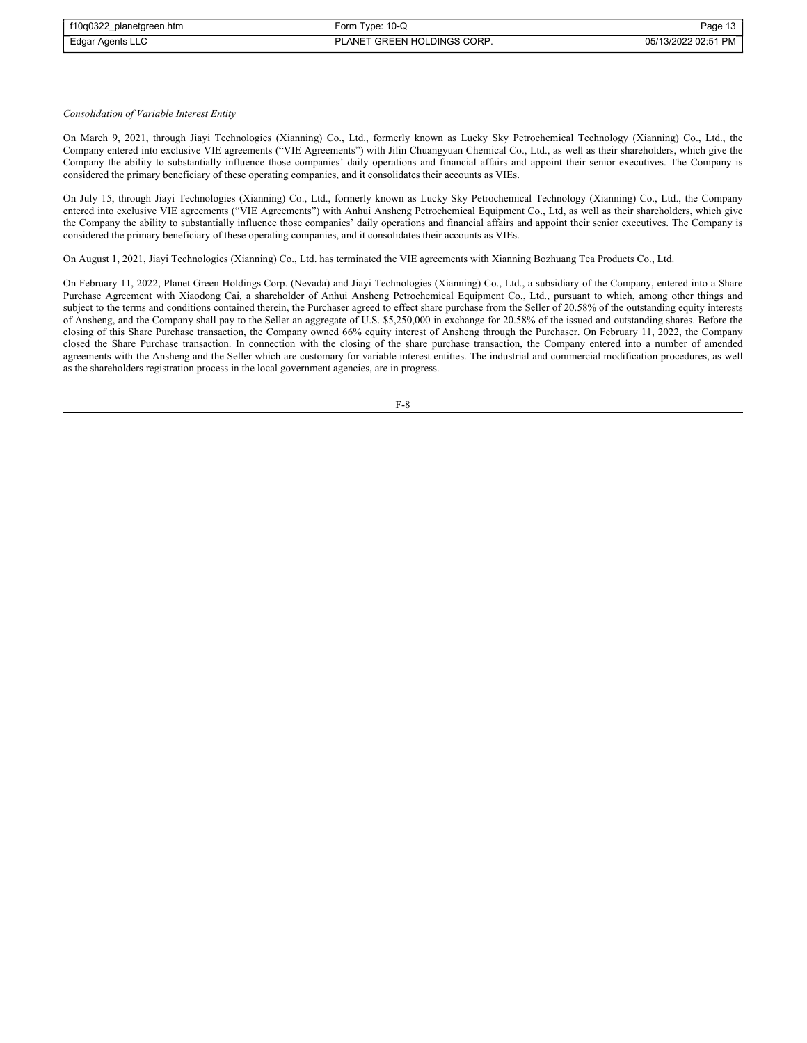# *Consolidation of Variable Interest Entity*

On March 9, 2021, through Jiayi Technologies (Xianning) Co., Ltd., formerly known as Lucky Sky Petrochemical Technology (Xianning) Co., Ltd., the Company entered into exclusive VIE agreements ("VIE Agreements") with Jilin Chuangyuan Chemical Co., Ltd., as well as their shareholders, which give the Company the ability to substantially influence those companies' daily operations and financial affairs and appoint their senior executives. The Company is considered the primary beneficiary of these operating companies, and it consolidates their accounts as VIEs.

On July 15, through Jiayi Technologies (Xianning) Co., Ltd., formerly known as Lucky Sky Petrochemical Technology (Xianning) Co., Ltd., the Company entered into exclusive VIE agreements ("VIE Agreements") with Anhui Ansheng Petrochemical Equipment Co., Ltd, as well as their shareholders, which give the Company the ability to substantially influence those companies' daily operations and financial affairs and appoint their senior executives. The Company is considered the primary beneficiary of these operating companies, and it consolidates their accounts as VIEs.

On August 1, 2021, Jiayi Technologies (Xianning) Co., Ltd. has terminated the VIE agreements with Xianning Bozhuang Tea Products Co., Ltd.

On February 11, 2022, Planet Green Holdings Corp. (Nevada) and Jiayi Technologies (Xianning) Co., Ltd., a subsidiary of the Company, entered into a Share Purchase Agreement with Xiaodong Cai, a shareholder of Anhui Ansheng Petrochemical Equipment Co., Ltd., pursuant to which, among other things and subject to the terms and conditions contained therein, the Purchaser agreed to effect share purchase from the Seller of 20.58% of the outstanding equity interests of Ansheng, and the Company shall pay to the Seller an aggregate of U.S. \$5,250,000 in exchange for 20.58% of the issued and outstanding shares. Before the closing of this Share Purchase transaction, the Company owned 66% equity interest of Ansheng through the Purchaser. On February 11, 2022, the Company closed the Share Purchase transaction. In connection with the closing of the share purchase transaction, the Company entered into a number of amended agreements with the Ansheng and the Seller which are customary for variable interest entities. The industrial and commercial modification procedures, as well as the shareholders registration process in the local government agencies, are in progress.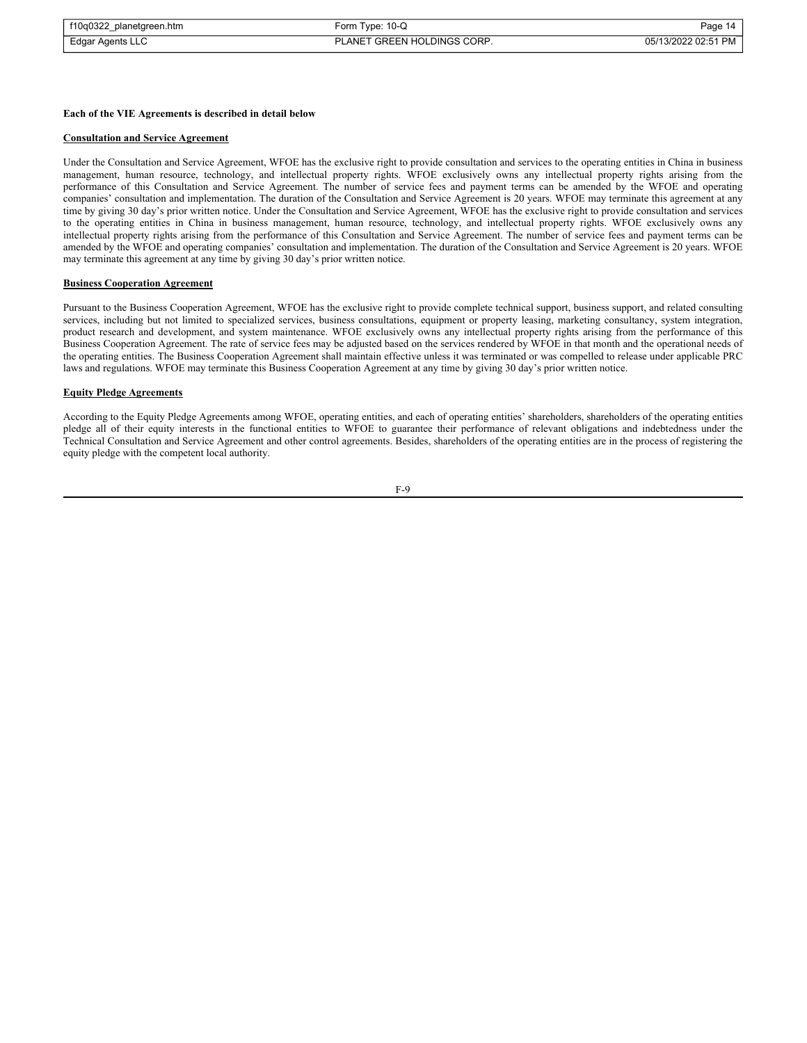| f10q0322 planetgreen.htm | Form Type: 10-Q             | Page 14             |
|--------------------------|-----------------------------|---------------------|
| Edgar Agents LLC         | PLANET GREEN HOLDINGS CORP. | 05/13/2022 02:51 PM |

### **Each of the VIE Agreements is described in detail below**

#### **Consultation and Service Agreement**

Under the Consultation and Service Agreement, WFOE has the exclusive right to provide consultation and services to the operating entities in China in business management, human resource, technology, and intellectual property rights. WFOE exclusively owns any intellectual property rights arising from the performance of this Consultation and Service Agreement. The number of service fees and payment terms can be amended by the WFOE and operating companies' consultation and implementation. The duration of the Consultation and Service Agreement is 20 years. WFOE may terminate this agreement at any time by giving 30 day's prior written notice. Under the Consultation and Service Agreement, WFOE has the exclusive right to provide consultation and services to the operating entities in China in business management, human resource, technology, and intellectual property rights. WFOE exclusively owns any intellectual property rights arising from the performance of this Consultation and Service Agreement. The number of service fees and payment terms can be amended by the WFOE and operating companies' consultation and implementation. The duration of the Consultation and Service Agreement is 20 years. WFOE may terminate this agreement at any time by giving 30 day's prior written notice.

#### **Business Cooperation Agreement**

Pursuant to the Business Cooperation Agreement, WFOE has the exclusive right to provide complete technical support, business support, and related consulting services, including but not limited to specialized services, business consultations, equipment or property leasing, marketing consultancy, system integration, product research and development, and system maintenance. WFOE exclusively owns any intellectual property rights arising from the performance of this Business Cooperation Agreement. The rate of service fees may be adjusted based on the services rendered by WFOE in that month and the operational needs of the operating entities. The Business Cooperation Agreement shall maintain effective unless it was terminated or was compelled to release under applicable PRC laws and regulations. WFOE may terminate this Business Cooperation Agreement at any time by giving 30 day's prior written notice.

### **Equity Pledge Agreements**

According to the Equity Pledge Agreements among WFOE, operating entities, and each of operating entities' shareholders, shareholders of the operating entities pledge all of their equity interests in the functional entities to WFOE to guarantee their performance of relevant obligations and indebtedness under the Technical Consultation and Service Agreement and other control agreements. Besides, shareholders of the operating entities are in the process of registering the equity pledge with the competent local authority.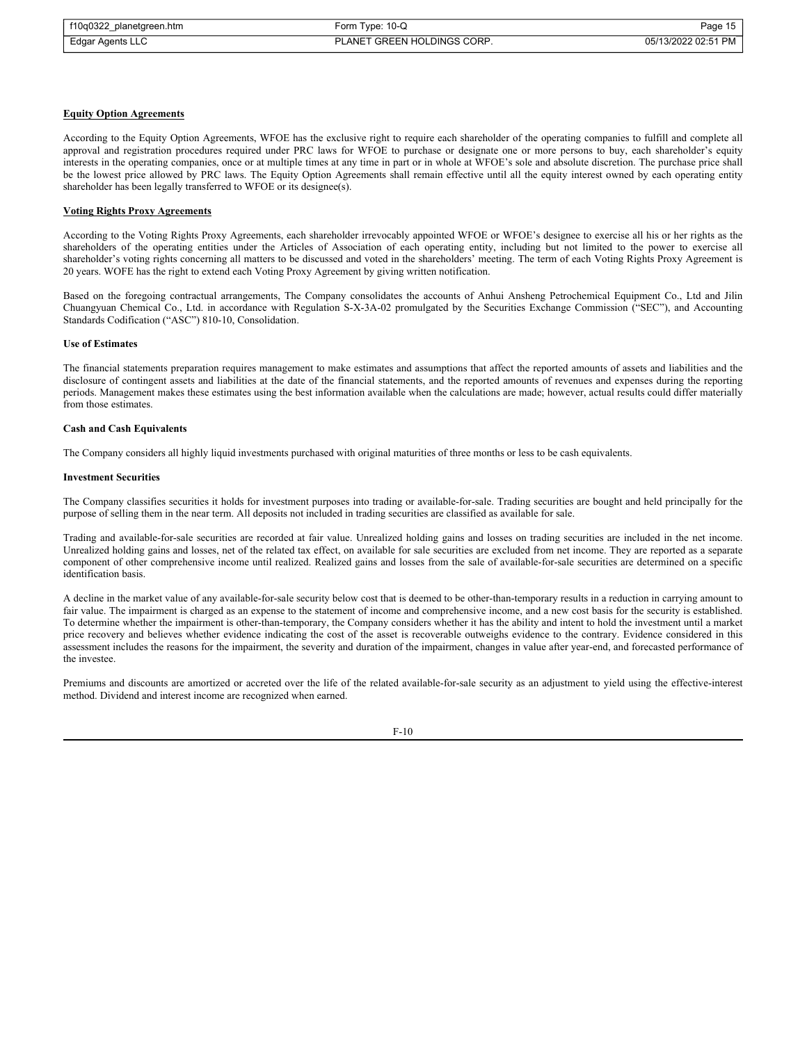| f10q0322_planetgreen.htm | Form Type: 10-Q             | Page 15             |
|--------------------------|-----------------------------|---------------------|
| Edgar Agents LLC         | PLANET GREEN HOLDINGS CORP. | 05/13/2022 02:51 PM |

# **Equity Option Agreements**

According to the Equity Option Agreements, WFOE has the exclusive right to require each shareholder of the operating companies to fulfill and complete all approval and registration procedures required under PRC laws for WFOE to purchase or designate one or more persons to buy, each shareholder's equity interests in the operating companies, once or at multiple times at any time in part or in whole at WFOE's sole and absolute discretion. The purchase price shall be the lowest price allowed by PRC laws. The Equity Option Agreements shall remain effective until all the equity interest owned by each operating entity shareholder has been legally transferred to WFOE or its designee(s).

### **Voting Rights Proxy Agreements**

According to the Voting Rights Proxy Agreements, each shareholder irrevocably appointed WFOE or WFOE's designee to exercise all his or her rights as the shareholders of the operating entities under the Articles of Association of each operating entity, including but not limited to the power to exercise all shareholder's voting rights concerning all matters to be discussed and voted in the shareholders' meeting. The term of each Voting Rights Proxy Agreement is 20 years. WOFE has the right to extend each Voting Proxy Agreement by giving written notification.

Based on the foregoing contractual arrangements, The Company consolidates the accounts of Anhui Ansheng Petrochemical Equipment Co., Ltd and Jilin Chuangyuan Chemical Co., Ltd. in accordance with Regulation S-X-3A-02 promulgated by the Securities Exchange Commission ("SEC"), and Accounting Standards Codification ("ASC") 810-10, Consolidation.

### **Use of Estimates**

The financial statements preparation requires management to make estimates and assumptions that affect the reported amounts of assets and liabilities and the disclosure of contingent assets and liabilities at the date of the financial statements, and the reported amounts of revenues and expenses during the reporting periods. Management makes these estimates using the best information available when the calculations are made; however, actual results could differ materially from those estimates.

#### **Cash and Cash Equivalents**

The Company considers all highly liquid investments purchased with original maturities of three months or less to be cash equivalents.

### **Investment Securities**

The Company classifies securities it holds for investment purposes into trading or available-for-sale. Trading securities are bought and held principally for the purpose of selling them in the near term. All deposits not included in trading securities are classified as available for sale.

Trading and available-for-sale securities are recorded at fair value. Unrealized holding gains and losses on trading securities are included in the net income. Unrealized holding gains and losses, net of the related tax effect, on available for sale securities are excluded from net income. They are reported as a separate component of other comprehensive income until realized. Realized gains and losses from the sale of available-for-sale securities are determined on a specific identification basis.

A decline in the market value of any available-for-sale security below cost that is deemed to be other-than-temporary results in a reduction in carrying amount to fair value. The impairment is charged as an expense to the statement of income and comprehensive income, and a new cost basis for the security is established. To determine whether the impairment is other-than-temporary, the Company considers whether it has the ability and intent to hold the investment until a market price recovery and believes whether evidence indicating the cost of the asset is recoverable outweighs evidence to the contrary. Evidence considered in this assessment includes the reasons for the impairment, the severity and duration of the impairment, changes in value after year-end, and forecasted performance of the investee.

Premiums and discounts are amortized or accreted over the life of the related available-for-sale security as an adjustment to yield using the effective-interest method. Dividend and interest income are recognized when earned.

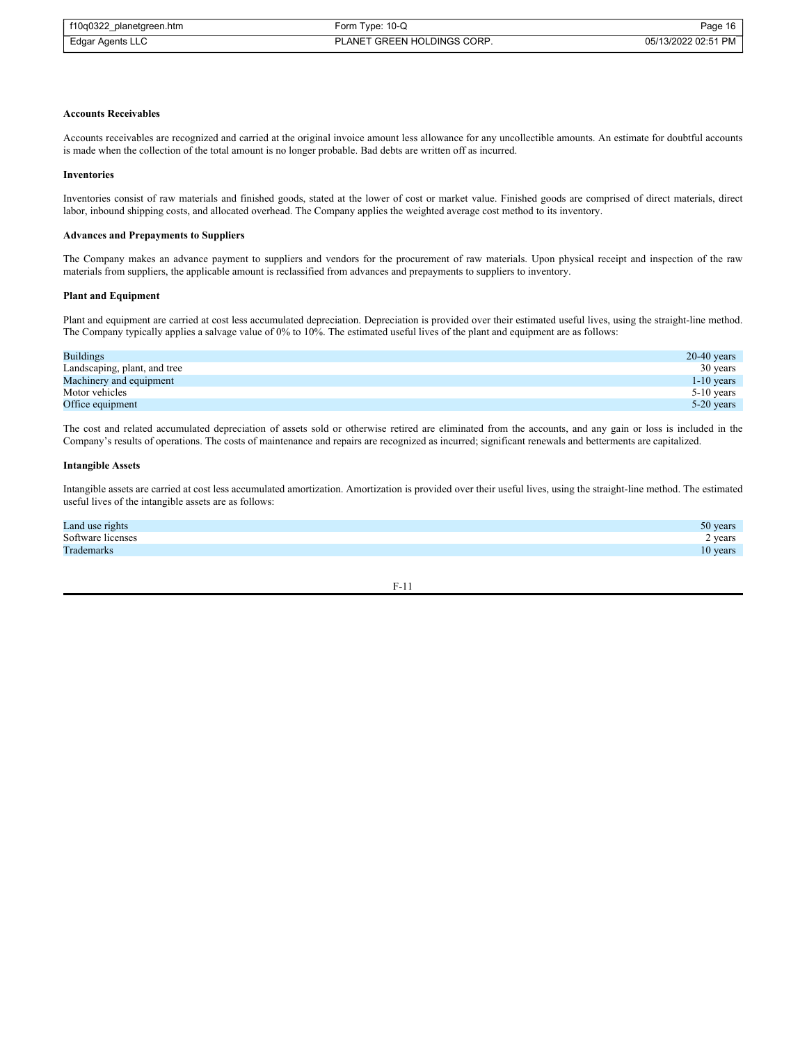| f10q0322_planetgreen.htm | Form Type: 10-Q             | Page 16             |
|--------------------------|-----------------------------|---------------------|
| Edgar Agents LLC         | PLANET GREEN HOLDINGS CORP. | 05/13/2022 02:51 PM |

### **Accounts Receivables**

Accounts receivables are recognized and carried at the original invoice amount less allowance for any uncollectible amounts. An estimate for doubtful accounts is made when the collection of the total amount is no longer probable. Bad debts are written off as incurred.

### **Inventories**

Inventories consist of raw materials and finished goods, stated at the lower of cost or market value. Finished goods are comprised of direct materials, direct labor, inbound shipping costs, and allocated overhead. The Company applies the weighted average cost method to its inventory.

#### **Advances and Prepayments to Suppliers**

The Company makes an advance payment to suppliers and vendors for the procurement of raw materials. Upon physical receipt and inspection of the raw materials from suppliers, the applicable amount is reclassified from advances and prepayments to suppliers to inventory.

## **Plant and Equipment**

Plant and equipment are carried at cost less accumulated depreciation. Depreciation is provided over their estimated useful lives, using the straight-line method. The Company typically applies a salvage value of 0% to 10%. The estimated useful lives of the plant and equipment are as follows:

| <b>Buildings</b>             | $20-40$ years |
|------------------------------|---------------|
| Landscaping, plant, and tree | 30 years      |
| Machinery and equipment      | $1-10$ years  |
| Motor vehicles               | $5-10$ years  |
| Office equipment             | $5-20$ vears  |

The cost and related accumulated depreciation of assets sold or otherwise retired are eliminated from the accounts, and any gain or loss is included in the Company's results of operations. The costs of maintenance and repairs are recognized as incurred; significant renewals and betterments are capitalized.

### **Intangible Assets**

Intangible assets are carried at cost less accumulated amortization. Amortization is provided over their useful lives, using the straight-line method. The estimated useful lives of the intangible assets are as follows:

| Land use rights   | vears     |
|-------------------|-----------|
| Software licenses | 2 years   |
| Trademarks        | $0$ vears |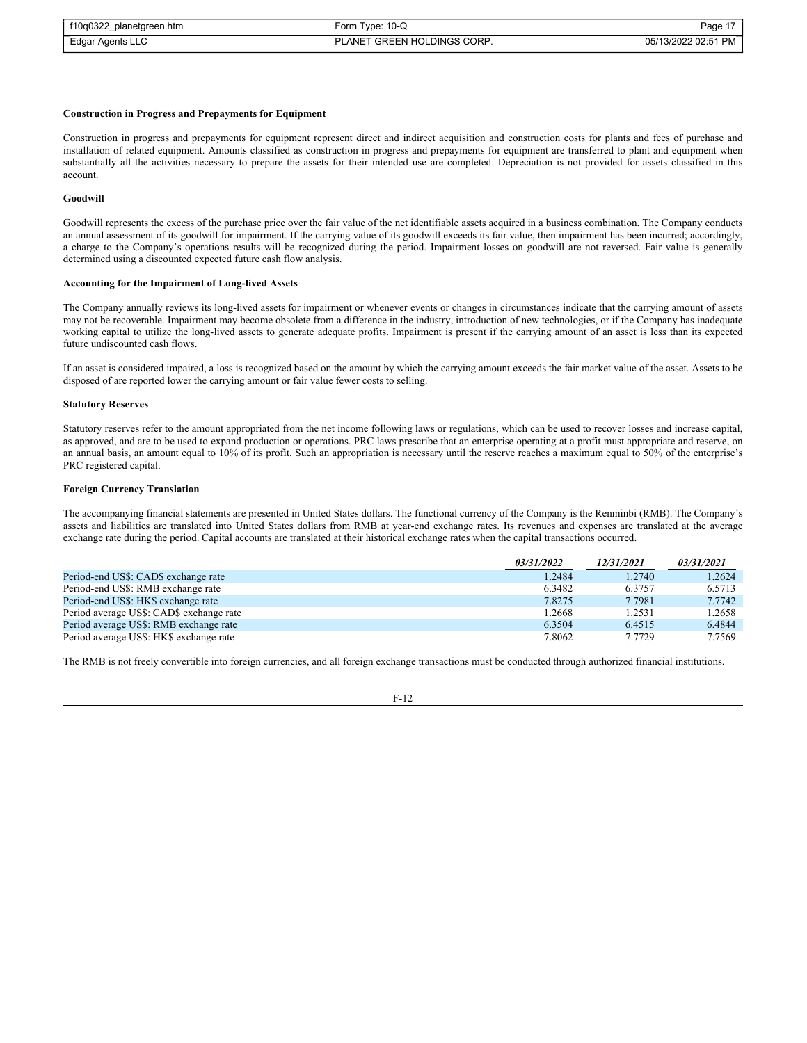| f10q0322 planetgreen.htm | Form Type: 10-Q             | Page 17             |
|--------------------------|-----------------------------|---------------------|
| Edgar Agents LLC         | PLANET GREEN HOLDINGS CORP. | 05/13/2022 02:51 PM |

### **Construction in Progress and Prepayments for Equipment**

Construction in progress and prepayments for equipment represent direct and indirect acquisition and construction costs for plants and fees of purchase and installation of related equipment. Amounts classified as construction in progress and prepayments for equipment are transferred to plant and equipment when substantially all the activities necessary to prepare the assets for their intended use are completed. Depreciation is not provided for assets classified in this account.

### **Goodwill**

Goodwill represents the excess of the purchase price over the fair value of the net identifiable assets acquired in a business combination. The Company conducts an annual assessment of its goodwill for impairment. If the carrying value of its goodwill exceeds its fair value, then impairment has been incurred; accordingly, a charge to the Company's operations results will be recognized during the period. Impairment losses on goodwill are not reversed. Fair value is generally determined using a discounted expected future cash flow analysis.

#### **Accounting for the Impairment of Long-lived Assets**

The Company annually reviews its long-lived assets for impairment or whenever events or changes in circumstances indicate that the carrying amount of assets may not be recoverable. Impairment may become obsolete from a difference in the industry, introduction of new technologies, or if the Company has inadequate working capital to utilize the long-lived assets to generate adequate profits. Impairment is present if the carrying amount of an asset is less than its expected future undiscounted cash flows.

If an asset is considered impaired, a loss is recognized based on the amount by which the carrying amount exceeds the fair market value of the asset. Assets to be disposed of are reported lower the carrying amount or fair value fewer costs to selling.

### **Statutory Reserves**

Statutory reserves refer to the amount appropriated from the net income following laws or regulations, which can be used to recover losses and increase capital, as approved, and are to be used to expand production or operations. PRC laws prescribe that an enterprise operating at a profit must appropriate and reserve, on an annual basis, an amount equal to 10% of its profit. Such an appropriation is necessary until the reserve reaches a maximum equal to 50% of the enterprise's PRC registered capital.

#### **Foreign Currency Translation**

The accompanying financial statements are presented in United States dollars. The functional currency of the Company is the Renminbi (RMB). The Company's assets and liabilities are translated into United States dollars from RMB at year-end exchange rates. Its revenues and expenses are translated at the average exchange rate during the period. Capital accounts are translated at their historical exchange rates when the capital transactions occurred.

|                                          | 03/31/2022 | 12/31/2021 | 03/31/2021 |
|------------------------------------------|------------|------------|------------|
| Period-end US\$: CAD\$ exchange rate     | 1.2484     | 1.2740     | 1.2624     |
| Period-end US\$: RMB exchange rate       | 6.3482     | 6.3757     | 6.5713     |
| Period-end US\$: HK\$ exchange rate      | 7.8275     | 7.7981     | 7.7742     |
| Period average US\$: CAD\$ exchange rate | 1.2668     | 1.2531     | 1.2658     |
| Period average US\$: RMB exchange rate   | 6.3504     | 6.4515     | 6.4844     |
| Period average US\$: HK\$ exchange rate  | 7.8062     | 7.7729     | 7.7569     |

The RMB is not freely convertible into foreign currencies, and all foreign exchange transactions must be conducted through authorized financial institutions.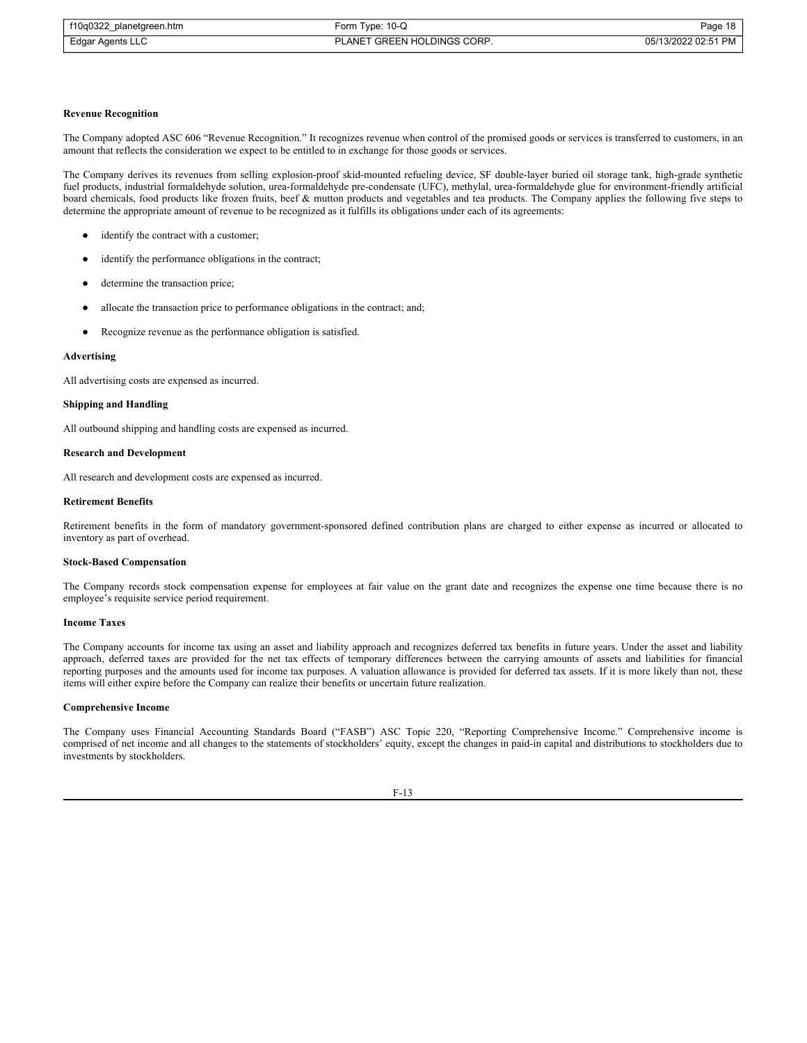| f10q0322_planetgreen.htm | Form Type: 10-Q             | Page 18             |
|--------------------------|-----------------------------|---------------------|
| Edgar Agents LLC         | PLANET GREEN HOLDINGS CORP. | 05/13/2022 02:51 PM |

### **Revenue Recognition**

The Company adopted ASC 606 "Revenue Recognition." It recognizes revenue when control of the promised goods or services is transferred to customers, in an amount that reflects the consideration we expect to be entitled to in exchange for those goods or services.

The Company derives its revenues from selling explosion-proof skid-mounted refueling device, SF double-layer buried oil storage tank, high-grade synthetic fuel products, industrial formaldehyde solution, urea-formaldehyde pre-condensate (UFC), methylal, urea-formaldehyde glue for environment-friendly artificial board chemicals, food products like frozen fruits, beef & mutton products and vegetables and tea products. The Company applies the following five steps to determine the appropriate amount of revenue to be recognized as it fulfills its obligations under each of its agreements:

- identify the contract with a customer;
- identify the performance obligations in the contract;
- determine the transaction price;
- allocate the transaction price to performance obligations in the contract; and;
- Recognize revenue as the performance obligation is satisfied.

#### **Advertising**

All advertising costs are expensed as incurred.

#### **Shipping and Handling**

All outbound shipping and handling costs are expensed as incurred.

#### **Research and Development**

All research and development costs are expensed as incurred.

### **Retirement Benefits**

Retirement benefits in the form of mandatory government-sponsored defined contribution plans are charged to either expense as incurred or allocated to inventory as part of overhead.

# **Stock-Based Compensation**

The Company records stock compensation expense for employees at fair value on the grant date and recognizes the expense one time because there is no employee's requisite service period requirement.

### **Income Taxes**

The Company accounts for income tax using an asset and liability approach and recognizes deferred tax benefits in future years. Under the asset and liability approach, deferred taxes are provided for the net tax effects of temporary differences between the carrying amounts of assets and liabilities for financial reporting purposes and the amounts used for income tax purposes. A valuation allowance is provided for deferred tax assets. If it is more likely than not, these items will either expire before the Company can realize their benefits or uncertain future realization.

#### **Comprehensive Income**

The Company uses Financial Accounting Standards Board ("FASB") ASC Topic 220, "Reporting Comprehensive Income." Comprehensive income is comprised of net income and all changes to the statements of stockholders' equity, except the changes in paid-in capital and distributions to stockholders due to investments by stockholders.

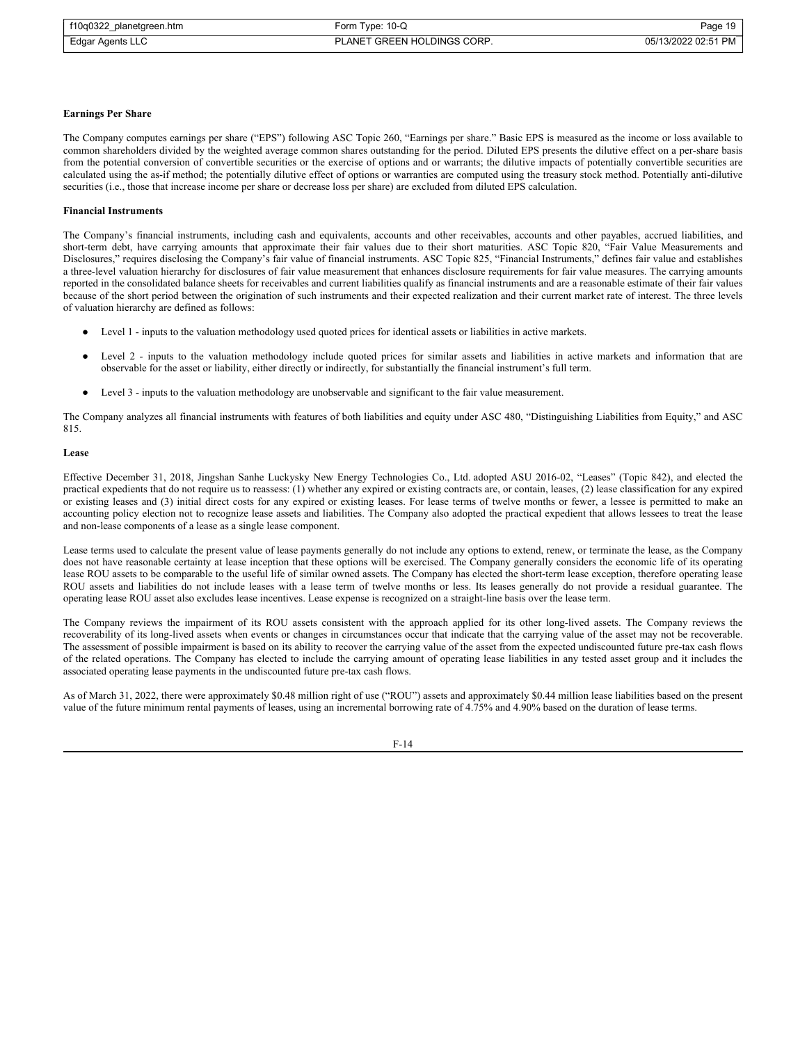| f10q0322_planetgreen.htm | Form Type: 10-Q             | Page 19             |
|--------------------------|-----------------------------|---------------------|
| Edgar Agents LLC         | PLANET GREEN HOLDINGS CORP. | 05/13/2022 02:51 PM |

### **Earnings Per Share**

The Company computes earnings per share ("EPS") following ASC Topic 260, "Earnings per share." Basic EPS is measured as the income or loss available to common shareholders divided by the weighted average common shares outstanding for the period. Diluted EPS presents the dilutive effect on a per-share basis from the potential conversion of convertible securities or the exercise of options and or warrants; the dilutive impacts of potentially convertible securities are calculated using the as-if method; the potentially dilutive effect of options or warranties are computed using the treasury stock method. Potentially anti-dilutive securities (i.e., those that increase income per share or decrease loss per share) are excluded from diluted EPS calculation.

### **Financial Instruments**

The Company's financial instruments, including cash and equivalents, accounts and other receivables, accounts and other payables, accrued liabilities, and short-term debt, have carrying amounts that approximate their fair values due to their short maturities. ASC Topic 820, "Fair Value Measurements and Disclosures," requires disclosing the Company's fair value of financial instruments. ASC Topic 825, "Financial Instruments," defines fair value and establishes a three-level valuation hierarchy for disclosures of fair value measurement that enhances disclosure requirements for fair value measures. The carrying amounts reported in the consolidated balance sheets for receivables and current liabilities qualify as financial instruments and are a reasonable estimate of their fair values because of the short period between the origination of such instruments and their expected realization and their current market rate of interest. The three levels of valuation hierarchy are defined as follows:

- Level 1 inputs to the valuation methodology used quoted prices for identical assets or liabilities in active markets.
- Level 2 inputs to the valuation methodology include quoted prices for similar assets and liabilities in active markets and information that are observable for the asset or liability, either directly or indirectly, for substantially the financial instrument's full term.
- Level 3 inputs to the valuation methodology are unobservable and significant to the fair value measurement.

The Company analyzes all financial instruments with features of both liabilities and equity under ASC 480, "Distinguishing Liabilities from Equity," and ASC 815.

#### **Lease**

Effective December 31, 2018, Jingshan Sanhe Luckysky New Energy Technologies Co., Ltd. adopted ASU 2016-02, "Leases" (Topic 842), and elected the practical expedients that do not require us to reassess: (1) whether any expired or existing contracts are, or contain, leases, (2) lease classification for any expired or existing leases and (3) initial direct costs for any expired or existing leases. For lease terms of twelve months or fewer, a lessee is permitted to make an accounting policy election not to recognize lease assets and liabilities. The Company also adopted the practical expedient that allows lessees to treat the lease and non-lease components of a lease as a single lease component.

Lease terms used to calculate the present value of lease payments generally do not include any options to extend, renew, or terminate the lease, as the Company does not have reasonable certainty at lease inception that these options will be exercised. The Company generally considers the economic life of its operating lease ROU assets to be comparable to the useful life of similar owned assets. The Company has elected the short-term lease exception, therefore operating lease ROU assets and liabilities do not include leases with a lease term of twelve months or less. Its leases generally do not provide a residual guarantee. The operating lease ROU asset also excludes lease incentives. Lease expense is recognized on a straight-line basis over the lease term.

The Company reviews the impairment of its ROU assets consistent with the approach applied for its other long-lived assets. The Company reviews the recoverability of its long-lived assets when events or changes in circumstances occur that indicate that the carrying value of the asset may not be recoverable. The assessment of possible impairment is based on its ability to recover the carrying value of the asset from the expected undiscounted future pre-tax cash flows of the related operations. The Company has elected to include the carrying amount of operating lease liabilities in any tested asset group and it includes the associated operating lease payments in the undiscounted future pre-tax cash flows.

As of March 31, 2022, there were approximately \$0.48 million right of use ("ROU") assets and approximately \$0.44 million lease liabilities based on the present value of the future minimum rental payments of leases, using an incremental borrowing rate of 4.75% and 4.90% based on the duration of lease terms.

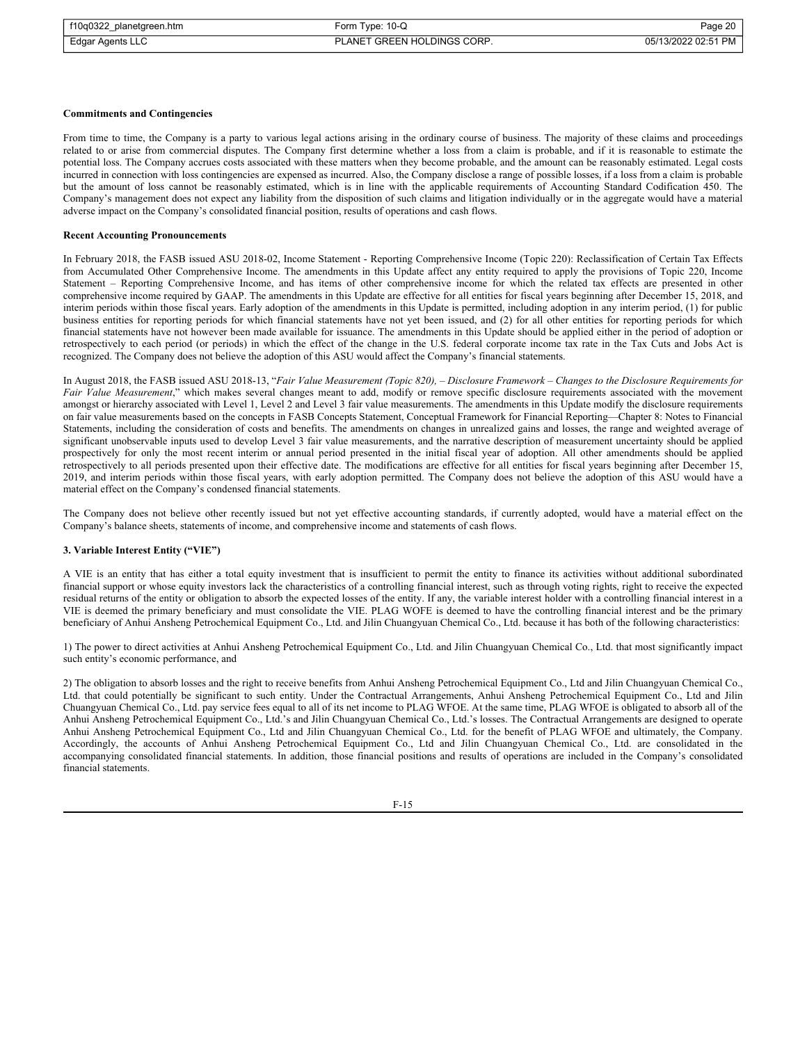| f10q0322_planetgreen.htm | Form Type: 10-Q             | Page 20             |
|--------------------------|-----------------------------|---------------------|
| Edgar Agents LLC         | PLANET GREEN HOLDINGS CORP. | 05/13/2022 02:51 PM |

### **Commitments and Contingencies**

From time to time, the Company is a party to various legal actions arising in the ordinary course of business. The majority of these claims and proceedings related to or arise from commercial disputes. The Company first determine whether a loss from a claim is probable, and if it is reasonable to estimate the potential loss. The Company accrues costs associated with these matters when they become probable, and the amount can be reasonably estimated. Legal costs incurred in connection with loss contingencies are expensed as incurred. Also, the Company disclose a range of possible losses, if a loss from a claim is probable but the amount of loss cannot be reasonably estimated, which is in line with the applicable requirements of Accounting Standard Codification 450. The Company's management does not expect any liability from the disposition of such claims and litigation individually or in the aggregate would have a material adverse impact on the Company's consolidated financial position, results of operations and cash flows.

### **Recent Accounting Pronouncements**

In February 2018, the FASB issued ASU 2018-02, Income Statement - Reporting Comprehensive Income (Topic 220): Reclassification of Certain Tax Effects from Accumulated Other Comprehensive Income. The amendments in this Update affect any entity required to apply the provisions of Topic 220, Income Statement – Reporting Comprehensive Income, and has items of other comprehensive income for which the related tax effects are presented in other comprehensive income required by GAAP. The amendments in this Update are effective for all entities for fiscal years beginning after December 15, 2018, and interim periods within those fiscal years. Early adoption of the amendments in this Update is permitted, including adoption in any interim period, (1) for public business entities for reporting periods for which financial statements have not yet been issued, and (2) for all other entities for reporting periods for which financial statements have not however been made available for issuance. The amendments in this Update should be applied either in the period of adoption or retrospectively to each period (or periods) in which the effect of the change in the U.S. federal corporate income tax rate in the Tax Cuts and Jobs Act is recognized. The Company does not believe the adoption of this ASU would affect the Company's financial statements.

In August 2018, the FASB issued ASU 2018-13, "*Fair Value Measurement (Topic 820), – Disclosure Framework – Changes to the Disclosure Requirements for Fair Value Measurement*," which makes several changes meant to add, modify or remove specific disclosure requirements associated with the movement amongst or hierarchy associated with Level 1, Level 2 and Level 3 fair value measurements. The amendments in this Update modify the disclosure requirements on fair value measurements based on the concepts in FASB Concepts Statement, Conceptual Framework for Financial Reporting—Chapter 8: Notes to Financial Statements, including the consideration of costs and benefits. The amendments on changes in unrealized gains and losses, the range and weighted average of significant unobservable inputs used to develop Level 3 fair value measurements, and the narrative description of measurement uncertainty should be applied prospectively for only the most recent interim or annual period presented in the initial fiscal year of adoption. All other amendments should be applied retrospectively to all periods presented upon their effective date. The modifications are effective for all entities for fiscal years beginning after December 15, 2019, and interim periods within those fiscal years, with early adoption permitted. The Company does not believe the adoption of this ASU would have a material effect on the Company's condensed financial statements.

The Company does not believe other recently issued but not yet effective accounting standards, if currently adopted, would have a material effect on the Company's balance sheets, statements of income, and comprehensive income and statements of cash flows.

### **3. Variable Interest Entity ("VIE")**

A VIE is an entity that has either a total equity investment that is insufficient to permit the entity to finance its activities without additional subordinated financial support or whose equity investors lack the characteristics of a controlling financial interest, such as through voting rights, right to receive the expected residual returns of the entity or obligation to absorb the expected losses of the entity. If any, the variable interest holder with a controlling financial interest in a VIE is deemed the primary beneficiary and must consolidate the VIE. PLAG WOFE is deemed to have the controlling financial interest and be the primary beneficiary of Anhui Ansheng Petrochemical Equipment Co., Ltd. and Jilin Chuangyuan Chemical Co., Ltd. because it has both of the following characteristics:

1) The power to direct activities at Anhui Ansheng Petrochemical Equipment Co., Ltd. and Jilin Chuangyuan Chemical Co., Ltd. that most significantly impact such entity's economic performance, and

2) The obligation to absorb losses and the right to receive benefits from Anhui Ansheng Petrochemical Equipment Co., Ltd and Jilin Chuangyuan Chemical Co., Ltd. that could potentially be significant to such entity. Under the Contractual Arrangements, Anhui Ansheng Petrochemical Equipment Co., Ltd and Jilin Chuangyuan Chemical Co., Ltd. pay service fees equal to all of its net income to PLAG WFOE. At the same time, PLAG WFOE is obligated to absorb all of the Anhui Ansheng Petrochemical Equipment Co., Ltd.'s and Jilin Chuangyuan Chemical Co., Ltd.'s losses. The Contractual Arrangements are designed to operate Anhui Ansheng Petrochemical Equipment Co., Ltd and Jilin Chuangyuan Chemical Co., Ltd. for the benefit of PLAG WFOE and ultimately, the Company. Accordingly, the accounts of Anhui Ansheng Petrochemical Equipment Co., Ltd and Jilin Chuangyuan Chemical Co., Ltd. are consolidated in the accompanying consolidated financial statements. In addition, those financial positions and results of operations are included in the Company's consolidated financial statements.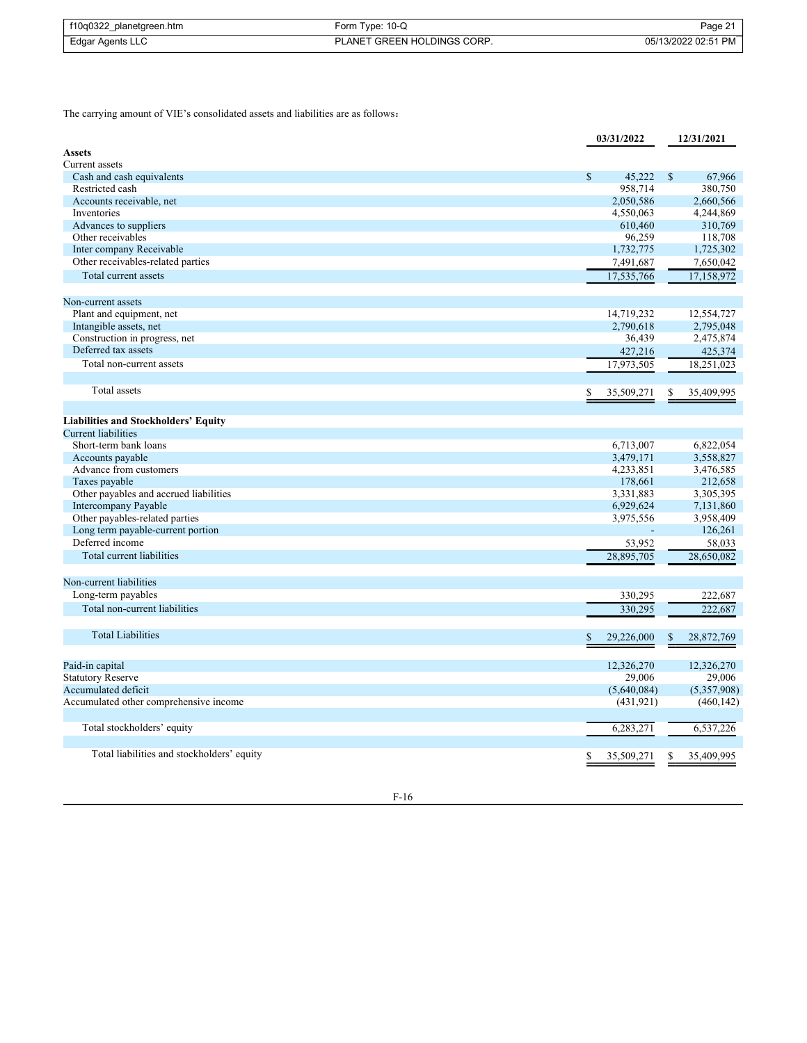| f10q0322<br>planetgreen.htm | Form Type: 10-Q                              | Page 2.                      |
|-----------------------------|----------------------------------------------|------------------------------|
| Edgar Agents LLC            | <b>「GREEN HOLDINGS CORP</b><br><b>PLANET</b> | 05/13/2022 02:51 PM<br>ּ וטט |

The carrying amount of VIE's consolidated assets and liabilities are as follows:

|                                                      | 03/31/2022       | 12/31/2021       |
|------------------------------------------------------|------------------|------------------|
| Assets                                               |                  |                  |
| Current assets                                       |                  |                  |
| Cash and cash equivalents                            | \$<br>45,222     | \$<br>67,966     |
| Restricted cash                                      | 958,714          | 380,750          |
| Accounts receivable, net                             | 2,050,586        | 2,660,566        |
| Inventories                                          | 4,550,063        | 4,244,869        |
| Advances to suppliers                                | 610,460          | 310,769          |
| Other receivables                                    | 96,259           | 118,708          |
| Inter company Receivable                             | 1,732,775        | 1,725,302        |
| Other receivables-related parties                    | 7,491,687        | 7,650,042        |
| Total current assets                                 | 17,535,766       | 17,158,972       |
| Non-current assets                                   |                  |                  |
| Plant and equipment, net                             | 14,719,232       | 12,554,727       |
| Intangible assets, net                               | 2,790,618        | 2,795,048        |
| Construction in progress, net                        | 36,439           | 2,475,874        |
| Deferred tax assets                                  | 427,216          | 425,374          |
| Total non-current assets                             |                  |                  |
|                                                      | 17,973,505       | 18,251,023       |
| <b>Total</b> assets                                  | \$<br>35,509,271 | 35,409,995<br>\$ |
|                                                      |                  |                  |
| <b>Liabilities and Stockholders' Equity</b>          |                  |                  |
| <b>Current liabilities</b>                           |                  |                  |
| Short-term bank loans                                | 6,713,007        | 6,822,054        |
| Accounts payable<br>Advance from customers           | 3,479,171        | 3,558,827        |
|                                                      | 4,233,851        | 3,476,585        |
| Taxes payable                                        | 178,661          | 212,658          |
| Other payables and accrued liabilities               | 3,331,883        | 3,305,395        |
| Intercompany Payable                                 | 6,929,624        | 7,131,860        |
| Other payables-related parties                       | 3,975,556        | 3,958,409        |
| Long term payable-current portion<br>Deferred income |                  | 126,261          |
|                                                      | 53,952           | 58,033           |
| Total current liabilities                            | 28,895,705       | 28,650,082       |
| Non-current liabilities                              |                  |                  |
| Long-term payables                                   | 330,295          | 222,687          |
| Total non-current liabilities                        | 330,295          | 222,687          |
| <b>Total Liabilities</b>                             |                  |                  |
|                                                      | \$<br>29,226,000 | \$<br>28,872,769 |
| Paid-in capital                                      | 12,326,270       | 12,326,270       |
| <b>Statutory Reserve</b>                             | 29,006           | 29,006           |
| Accumulated deficit                                  | (5,640,084)      | (5,357,908)      |
| Accumulated other comprehensive income               | (431, 921)       | (460, 142)       |
| Total stockholders' equity                           | 6,283,271        | 6,537,226        |
|                                                      |                  |                  |
| Total liabilities and stockholders' equity           | 35,509,271       | 35,409,995       |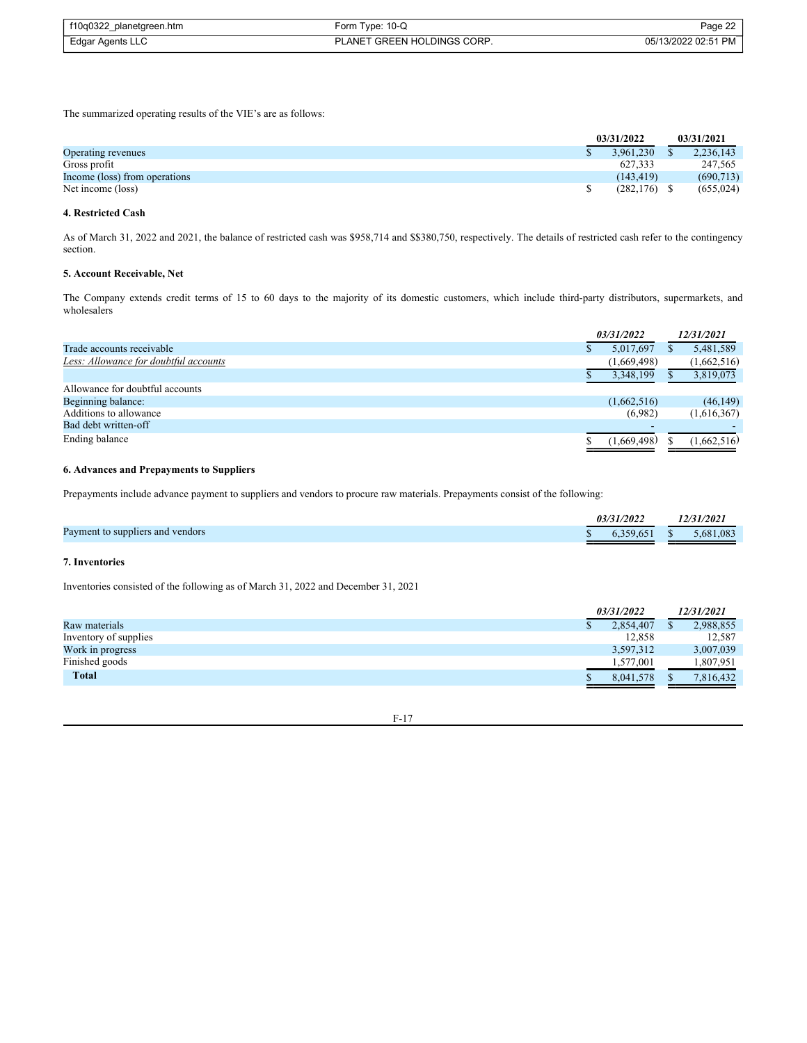| f10q0322 planetgreen.htm | Form Type: 10-Q             | Page 22             |
|--------------------------|-----------------------------|---------------------|
| Edgar Agents LLC         | PLANET GREEN HOLDINGS CORP. | 05/13/2022 02:51 PM |

The summarized operating results of the VIE's are as follows:

|                               | 03/31/2022 | 03/31/2021 |
|-------------------------------|------------|------------|
| Operating revenues            | 3.961.230  | 2,236,143  |
| Gross profit                  | 627,333    | 247,565    |
| Income (loss) from operations | (143, 419) | (690, 713) |
| Net income (loss)             | (282.176)  | (655.024)  |

# **4. Restricted Cash**

As of March 31, 2022 and 2021, the balance of restricted cash was \$958,714 and \$\$380,750, respectively. The details of restricted cash refer to the contingency section.

# **5. Account Receivable, Net**

The Company extends credit terms of 15 to 60 days to the majority of its domestic customers, which include third-party distributors, supermarkets, and wholesalers

|                                       | <i>03/31/2022</i> | 12/31/2021  |
|---------------------------------------|-------------------|-------------|
| Trade accounts receivable             | 5,017,697         | 5,481,589   |
| Less: Allowance for doubtful accounts | (1,669,498)       | (1,662,516) |
|                                       | 3,348,199         | 3,819,073   |
| Allowance for doubtful accounts       |                   |             |
| Beginning balance:                    | (1,662,516)       | (46, 149)   |
| Additions to allowance                | (6,982)           | (1,616,367) |
| Bad debt written-off                  |                   |             |
| Ending balance                        | (1,669,498)       | (1,662,516) |

# **6. Advances and Prepayments to Suppliers**

Prepayments include advance payment to suppliers and vendors to procure raw materials. Prepayments consist of the following:

|                                  | 03/31/2022 | 12/31/2021 |
|----------------------------------|------------|------------|
| Payment to suppliers and vendors |            | 5.681.083  |

# **7. Inventories**

Inventories consisted of the following as of March 31, 2022 and December 31, 2021

| 03/31/2022<br>12/31/2021 |                       |
|--------------------------|-----------------------|
| 2,988,855<br>2,854,407   | Raw materials         |
| 12.858<br>12.587         | Inventory of supplies |
| 3,597,312<br>3,007,039   | Work in progress      |
| 1,577,001<br>1,807,951   | Finished goods        |
| 8,041,578<br>7,816,432   | <b>Total</b>          |
|                          |                       |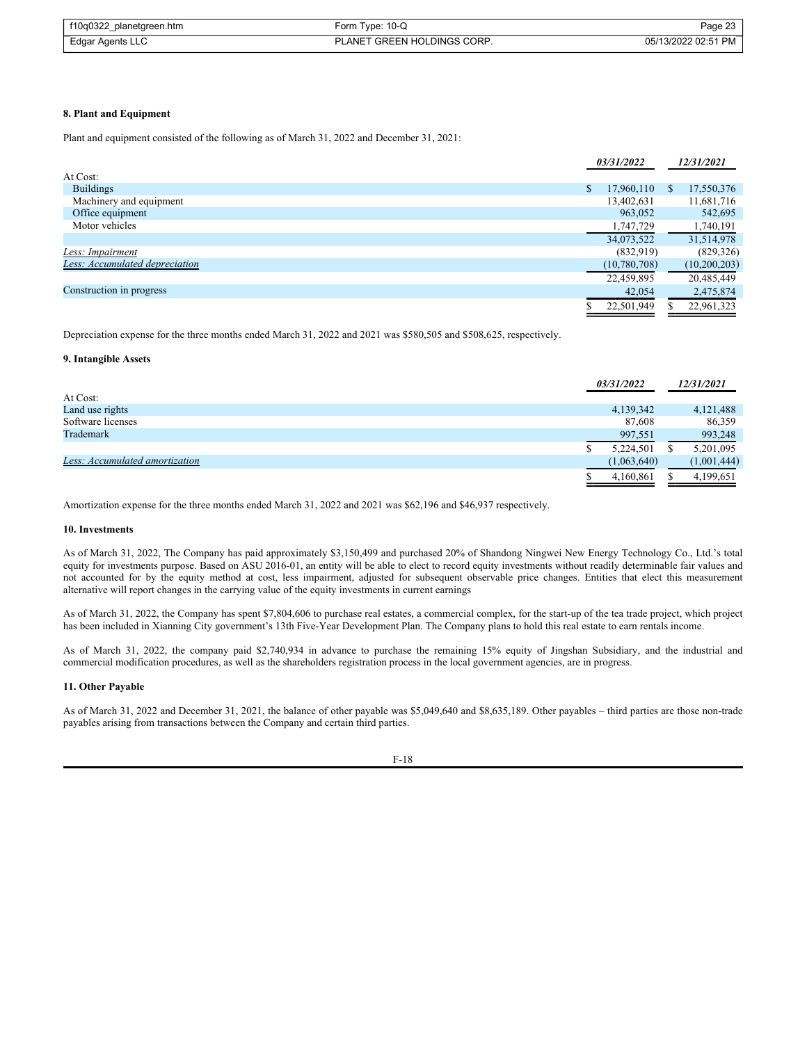| f10q0322_planetgreen.htm | Form Type: 10-Q             | Page 23             |
|--------------------------|-----------------------------|---------------------|
| Edgar Agents LLC         | PLANET GREEN HOLDINGS CORP. | 05/13/2022 02:51 PM |

# **8. Plant and Equipment**

Plant and equipment consisted of the following as of March 31, 2022 and December 31, 2021:

|                                | <i>03/31/2022</i> |              |    | 12/31/2021   |
|--------------------------------|-------------------|--------------|----|--------------|
| At Cost:                       |                   |              |    |              |
| <b>Buildings</b>               |                   | 17,960,110   | S. | 17,550,376   |
| Machinery and equipment        |                   | 13,402,631   |    | 11,681,716   |
| Office equipment               |                   | 963,052      |    | 542,695      |
| Motor vehicles                 |                   | 1,747,729    |    | 1,740,191    |
|                                |                   | 34,073,522   |    | 31,514,978   |
| Less: Impairment               |                   | (832,919)    |    | (829, 326)   |
| Less: Accumulated depreciation |                   | (10,780,708) |    | (10,200,203) |
|                                |                   | 22,459,895   |    | 20,485,449   |
| Construction in progress       |                   | 42,054       |    | 2,475,874    |
|                                |                   | 22,501,949   |    | 22,961,323   |

Depreciation expense for the three months ended March 31, 2022 and 2021 was \$580,505 and \$508,625, respectively.

# **9. Intangible Assets**

|                                | <i>03/31/2022</i> | 12/31/2021  |
|--------------------------------|-------------------|-------------|
| At Cost:                       |                   |             |
| Land use rights                | 4,139,342         | 4,121,488   |
| Software licenses              | 87,608            | 86,359      |
| Trademark                      | 997,551           | 993,248     |
|                                | 5,224,501         | 5,201,095   |
| Less: Accumulated amortization | (1,063,640)       | (1,001,444) |
|                                | 4,160,861         | 4,199,651   |

Amortization expense for the three months ended March 31, 2022 and 2021 was \$62,196 and \$46,937 respectively.

# **10. Investments**

As of March 31, 2022, The Company has paid approximately \$3,150,499 and purchased 20% of Shandong Ningwei New Energy Technology Co., Ltd.'s total equity for investments purpose. Based on ASU 2016-01, an entity will be able to elect to record equity investments without readily determinable fair values and not accounted for by the equity method at cost, less impairment, adjusted for subsequent observable price changes. Entities that elect this measurement alternative will report changes in the carrying value of the equity investments in current earnings

As of March 31, 2022, the Company has spent \$7,804,606 to purchase real estates, a commercial complex, for the start-up of the tea trade project, which project has been included in Xianning City government's 13th Five-Year Development Plan. The Company plans to hold this real estate to earn rentals income.

As of March 31, 2022, the company paid \$2,740,934 in advance to purchase the remaining 15% equity of Jingshan Subsidiary, and the industrial and commercial modification procedures, as well as the shareholders registration process in the local government agencies, are in progress.

# **11. Other Payable**

As of March 31, 2022 and December 31, 2021, the balance of other payable was \$5,049,640 and \$8,635,189. Other payables – third parties are those non-trade payables arising from transactions between the Company and certain third parties.

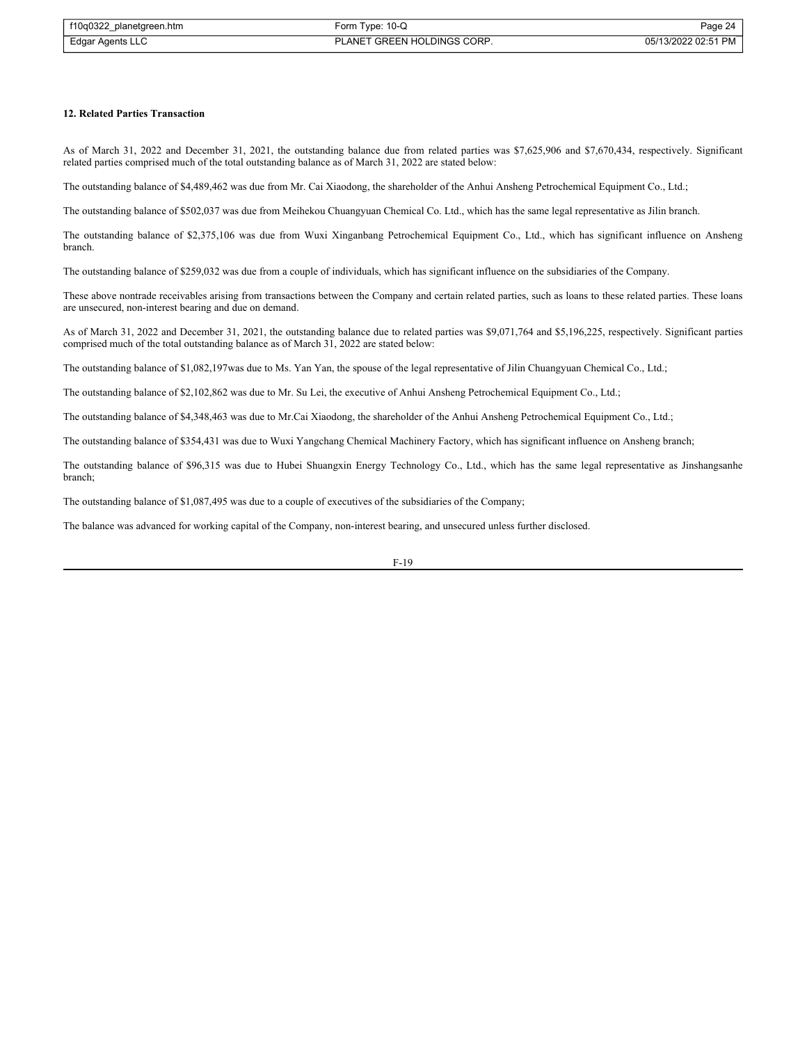# **12. Related Parties Transaction**

As of March 31, 2022 and December 31, 2021, the outstanding balance due from related parties was \$7,625,906 and \$7,670,434, respectively. Significant related parties comprised much of the total outstanding balance as of March 31, 2022 are stated below:

The outstanding balance of \$4,489,462 was due from Mr. Cai Xiaodong, the shareholder of the Anhui Ansheng Petrochemical Equipment Co., Ltd.;

The outstanding balance of \$502,037 was due from Meihekou Chuangyuan Chemical Co. Ltd., which has the same legal representative as Jilin branch.

The outstanding balance of \$2,375,106 was due from Wuxi Xinganbang Petrochemical Equipment Co., Ltd., which has significant influence on Ansheng branch.

The outstanding balance of \$259,032 was due from a couple of individuals, which has significant influence on the subsidiaries of the Company.

These above nontrade receivables arising from transactions between the Company and certain related parties, such as loans to these related parties. These loans are unsecured, non-interest bearing and due on demand.

As of March 31, 2022 and December 31, 2021, the outstanding balance due to related parties was \$9,071,764 and \$5,196,225, respectively. Significant parties comprised much of the total outstanding balance as of March 31, 2022 are stated below:

The outstanding balance of \$1,082,197was due to Ms. Yan Yan, the spouse of the legal representative of Jilin Chuangyuan Chemical Co., Ltd.;

The outstanding balance of \$2,102,862 was due to Mr. Su Lei, the executive of Anhui Ansheng Petrochemical Equipment Co., Ltd.;

The outstanding balance of \$4,348,463 was due to Mr.Cai Xiaodong, the shareholder of the Anhui Ansheng Petrochemical Equipment Co., Ltd.;

The outstanding balance of \$354,431 was due to Wuxi Yangchang Chemical Machinery Factory, which has significant influence on Ansheng branch;

The outstanding balance of \$96,315 was due to Hubei Shuangxin Energy Technology Co., Ltd., which has the same legal representative as Jinshangsanhe branch;

The outstanding balance of \$1,087,495 was due to a couple of executives of the subsidiaries of the Company;

The balance was advanced for working capital of the Company, non-interest bearing, and unsecured unless further disclosed.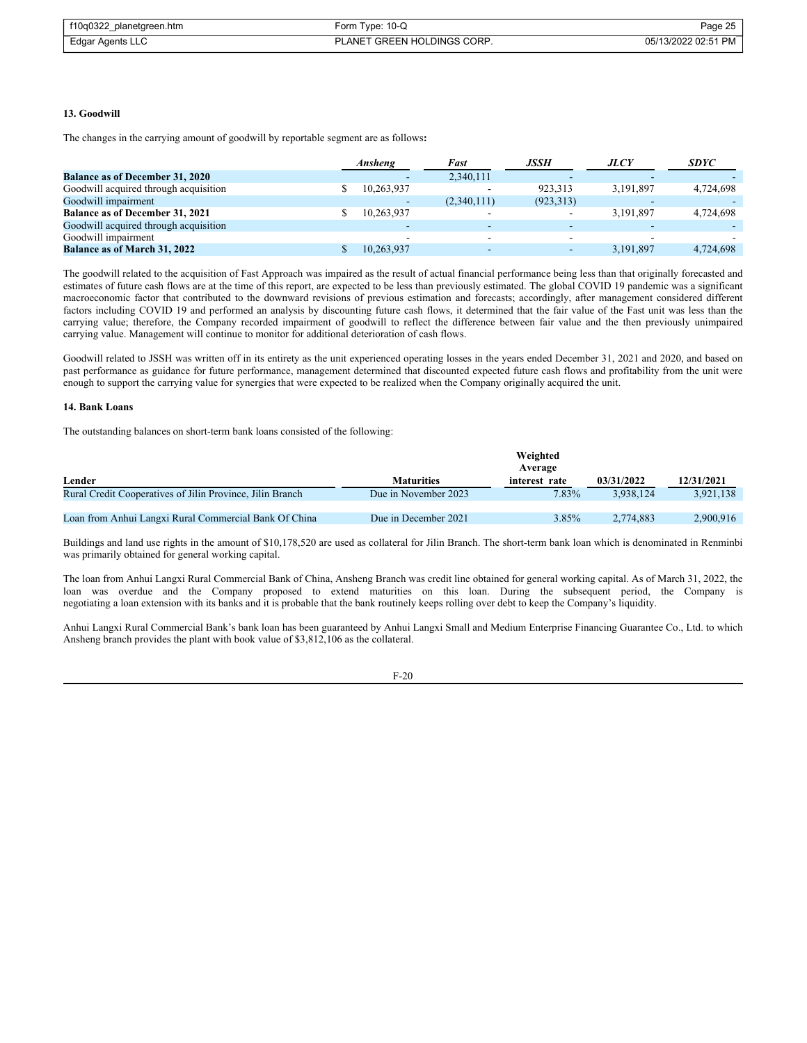| f10q0322_planetgreen.htm | Form Type: 10-Q             | Page 25             |
|--------------------------|-----------------------------|---------------------|
| Edgar Agents LLC         | PLANET GREEN HOLDINGS CORP. | 05/13/2022 02:51 PM |

# **13. Goodwill**

The changes in the carrying amount of goodwill by reportable segment are as follows**:** 

|            | Fast        | JSSH                     | <b>JLCY</b> | <b>SDYC</b> |
|------------|-------------|--------------------------|-------------|-------------|
|            | 2,340,111   |                          |             |             |
| 10.263.937 |             | 923.313                  | 3.191.897   | 4,724,698   |
|            | (2,340,111) | (923, 313)               |             |             |
| 10.263.937 | -           | $\overline{\phantom{0}}$ | 3.191.897   | 4,724,698   |
|            |             |                          |             |             |
|            |             |                          |             |             |
| 10.263.937 |             | -                        | 3,191,897   | 4,724,698   |
|            | Ansheng     |                          |             |             |

The goodwill related to the acquisition of Fast Approach was impaired as the result of actual financial performance being less than that originally forecasted and estimates of future cash flows are at the time of this report, are expected to be less than previously estimated. The global COVID 19 pandemic was a significant macroeconomic factor that contributed to the downward revisions of previous estimation and forecasts; accordingly, after management considered different factors including COVID 19 and performed an analysis by discounting future cash flows, it determined that the fair value of the Fast unit was less than the carrying value; therefore, the Company recorded impairment of goodwill to reflect the difference between fair value and the then previously unimpaired carrying value. Management will continue to monitor for additional deterioration of cash flows.

Goodwill related to JSSH was written off in its entirety as the unit experienced operating losses in the years ended December 31, 2021 and 2020, and based on past performance as guidance for future performance, management determined that discounted expected future cash flows and profitability from the unit were enough to support the carrying value for synergies that were expected to be realized when the Company originally acquired the unit.

# **14. Bank Loans**

The outstanding balances on short-term bank loans consisted of the following:

|                                                           | Weighted             |               |            |            |  |
|-----------------------------------------------------------|----------------------|---------------|------------|------------|--|
|                                                           |                      | Average       |            |            |  |
| Lender                                                    | <b>Maturities</b>    | interest rate | 03/31/2022 | 12/31/2021 |  |
| Rural Credit Cooperatives of Jilin Province, Jilin Branch | Due in November 2023 | $7.83\%$      | 3.938.124  | 3.921.138  |  |
|                                                           |                      |               |            |            |  |
| Loan from Anhui Langxi Rural Commercial Bank Of China     | Due in December 2021 | 3.85%         | 2,774,883  | 2,900,916  |  |

Buildings and land use rights in the amount of \$10,178,520 are used as collateral for Jilin Branch. The short-term bank loan which is denominated in Renminbi was primarily obtained for general working capital.

The loan from Anhui Langxi Rural Commercial Bank of China, Ansheng Branch was credit line obtained for general working capital. As of March 31, 2022, the loan was overdue and the Company proposed to extend maturities on this loan. During the subsequent period, the Company is negotiating a loan extension with its banks and it is probable that the bank routinely keeps rolling over debt to keep the Company's liquidity.

Anhui Langxi Rural Commercial Bank's bank loan has been guaranteed by Anhui Langxi Small and Medium Enterprise Financing Guarantee Co., Ltd. to which Ansheng branch provides the plant with book value of \$3,812,106 as the collateral.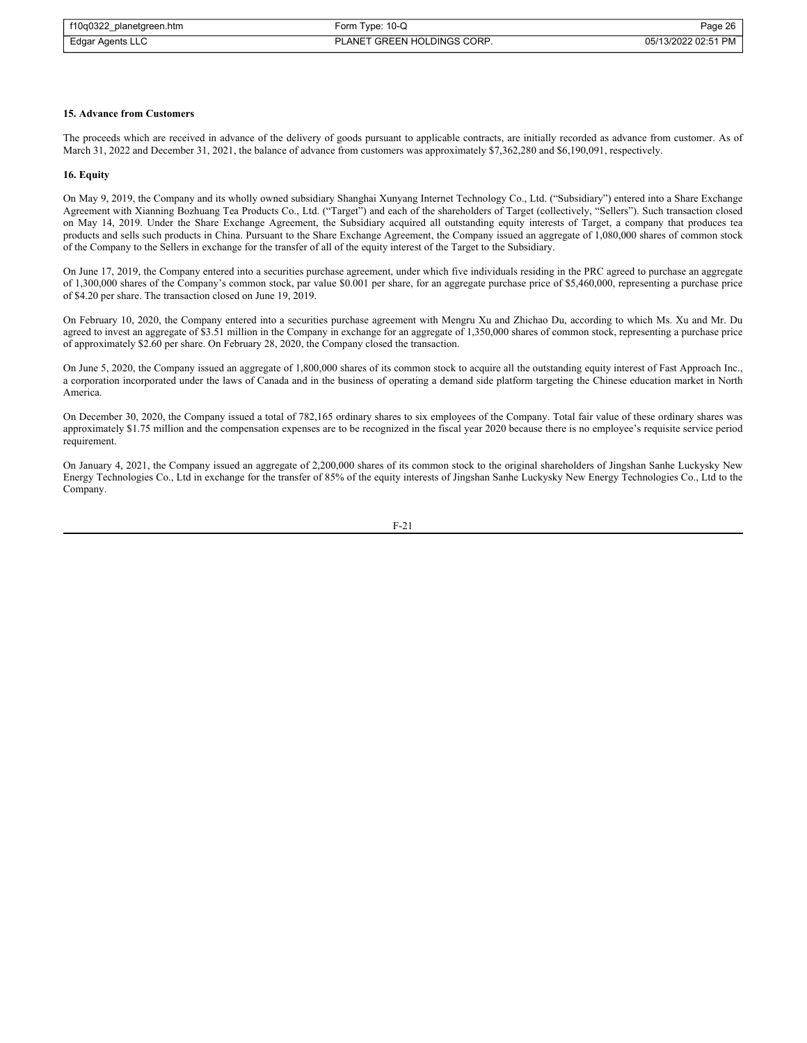| f10q0322 planetgreen.htm | Form Type: 10-Q             | Page 26             |
|--------------------------|-----------------------------|---------------------|
| Edgar Agents LLC         | PLANET GREEN HOLDINGS CORP. | 05/13/2022 02:51 PM |

### **15. Advance from Customers**

The proceeds which are received in advance of the delivery of goods pursuant to applicable contracts, are initially recorded as advance from customer. As of March 31, 2022 and December 31, 2021, the balance of advance from customers was approximately \$7,362,280 and \$6,190,091, respectively.

## **16. Equity**

On May 9, 2019, the Company and its wholly owned subsidiary Shanghai Xunyang Internet Technology Co., Ltd. ("Subsidiary") entered into a Share Exchange Agreement with Xianning Bozhuang Tea Products Co., Ltd. ("Target") and each of the shareholders of Target (collectively, "Sellers"). Such transaction closed on May 14, 2019. Under the Share Exchange Agreement, the Subsidiary acquired all outstanding equity interests of Target, a company that produces tea products and sells such products in China. Pursuant to the Share Exchange Agreement, the Company issued an aggregate of 1,080,000 shares of common stock of the Company to the Sellers in exchange for the transfer of all of the equity interest of the Target to the Subsidiary.

On June 17, 2019, the Company entered into a securities purchase agreement, under which five individuals residing in the PRC agreed to purchase an aggregate of 1,300,000 shares of the Company's common stock, par value \$0.001 per share, for an aggregate purchase price of \$5,460,000, representing a purchase price of \$4.20 per share. The transaction closed on June 19, 2019.

On February 10, 2020, the Company entered into a securities purchase agreement with Mengru Xu and Zhichao Du, according to which Ms. Xu and Mr. Du agreed to invest an aggregate of \$3.51 million in the Company in exchange for an aggregate of 1,350,000 shares of common stock, representing a purchase price of approximately \$2.60 per share. On February 28, 2020, the Company closed the transaction.

On June 5, 2020, the Company issued an aggregate of 1,800,000 shares of its common stock to acquire all the outstanding equity interest of Fast Approach Inc., a corporation incorporated under the laws of Canada and in the business of operating a demand side platform targeting the Chinese education market in North America.

On December 30, 2020, the Company issued a total of 782,165 ordinary shares to six employees of the Company. Total fair value of these ordinary shares was approximately \$1.75 million and the compensation expenses are to be recognized in the fiscal year 2020 because there is no employee's requisite service period requirement.

On January 4, 2021, the Company issued an aggregate of 2,200,000 shares of its common stock to the original shareholders of Jingshan Sanhe Luckysky New Energy Technologies Co., Ltd in exchange for the transfer of 85% of the equity interests of Jingshan Sanhe Luckysky New Energy Technologies Co., Ltd to the Company.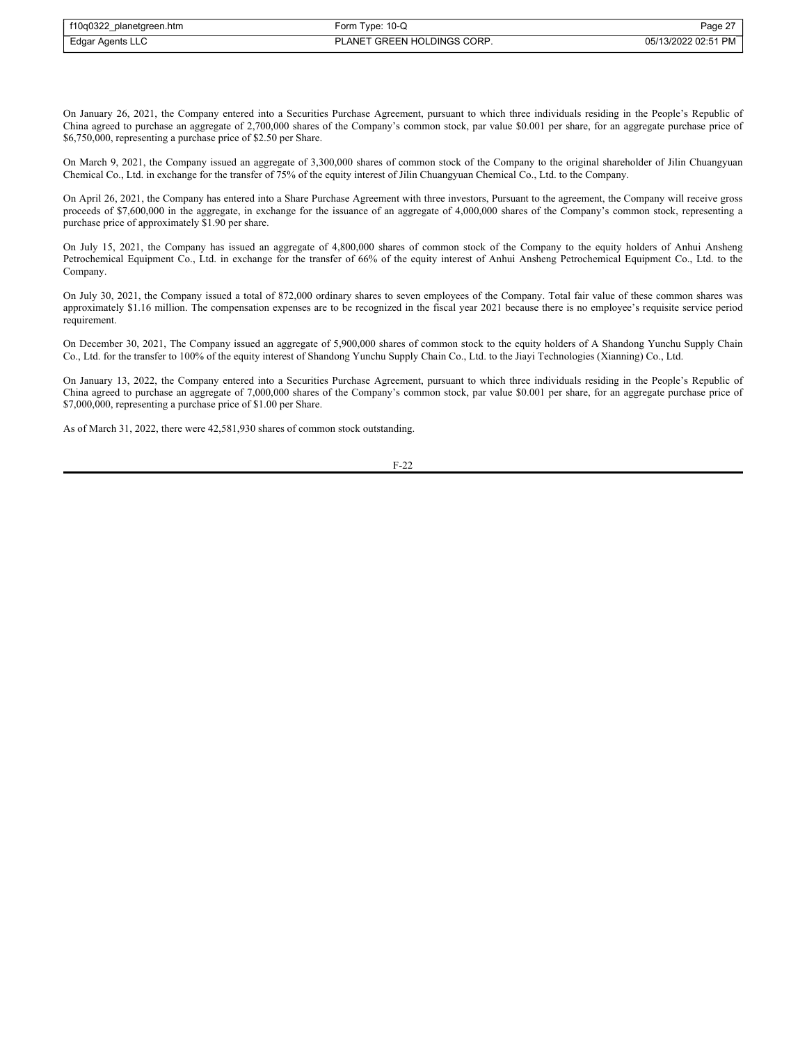| f10q0322 planetgreen.htm | Form Type: 10-Q             | Page 27             |
|--------------------------|-----------------------------|---------------------|
| Edgar Agents LLC         | PLANET GREEN HOLDINGS CORP. | 05/13/2022 02:51 PM |

On January 26, 2021, the Company entered into a Securities Purchase Agreement, pursuant to which three individuals residing in the People's Republic of China agreed to purchase an aggregate of 2,700,000 shares of the Company's common stock, par value \$0.001 per share, for an aggregate purchase price of \$6,750,000, representing a purchase price of \$2.50 per Share.

On March 9, 2021, the Company issued an aggregate of 3,300,000 shares of common stock of the Company to the original shareholder of Jilin Chuangyuan Chemical Co., Ltd. in exchange for the transfer of 75% of the equity interest of Jilin Chuangyuan Chemical Co., Ltd. to the Company.

On April 26, 2021, the Company has entered into a Share Purchase Agreement with three investors, Pursuant to the agreement, the Company will receive gross proceeds of \$7,600,000 in the aggregate, in exchange for the issuance of an aggregate of 4,000,000 shares of the Company's common stock, representing a purchase price of approximately \$1.90 per share.

On July 15, 2021, the Company has issued an aggregate of 4,800,000 shares of common stock of the Company to the equity holders of Anhui Ansheng Petrochemical Equipment Co., Ltd. in exchange for the transfer of 66% of the equity interest of Anhui Ansheng Petrochemical Equipment Co., Ltd. to the Company.

On July 30, 2021, the Company issued a total of 872,000 ordinary shares to seven employees of the Company. Total fair value of these common shares was approximately \$1.16 million. The compensation expenses are to be recognized in the fiscal year 2021 because there is no employee's requisite service period requirement.

On December 30, 2021, The Company issued an aggregate of 5,900,000 shares of common stock to the equity holders of A Shandong Yunchu Supply Chain Co., Ltd. for the transfer to 100% of the equity interest of Shandong Yunchu Supply Chain Co., Ltd. to the Jiayi Technologies (Xianning) Co., Ltd.

On January 13, 2022, the Company entered into a Securities Purchase Agreement, pursuant to which three individuals residing in the People's Republic of China agreed to purchase an aggregate of 7,000,000 shares of the Company's common stock, par value \$0.001 per share, for an aggregate purchase price of \$7,000,000, representing a purchase price of \$1.00 per Share.

As of March 31, 2022, there were 42,581,930 shares of common stock outstanding.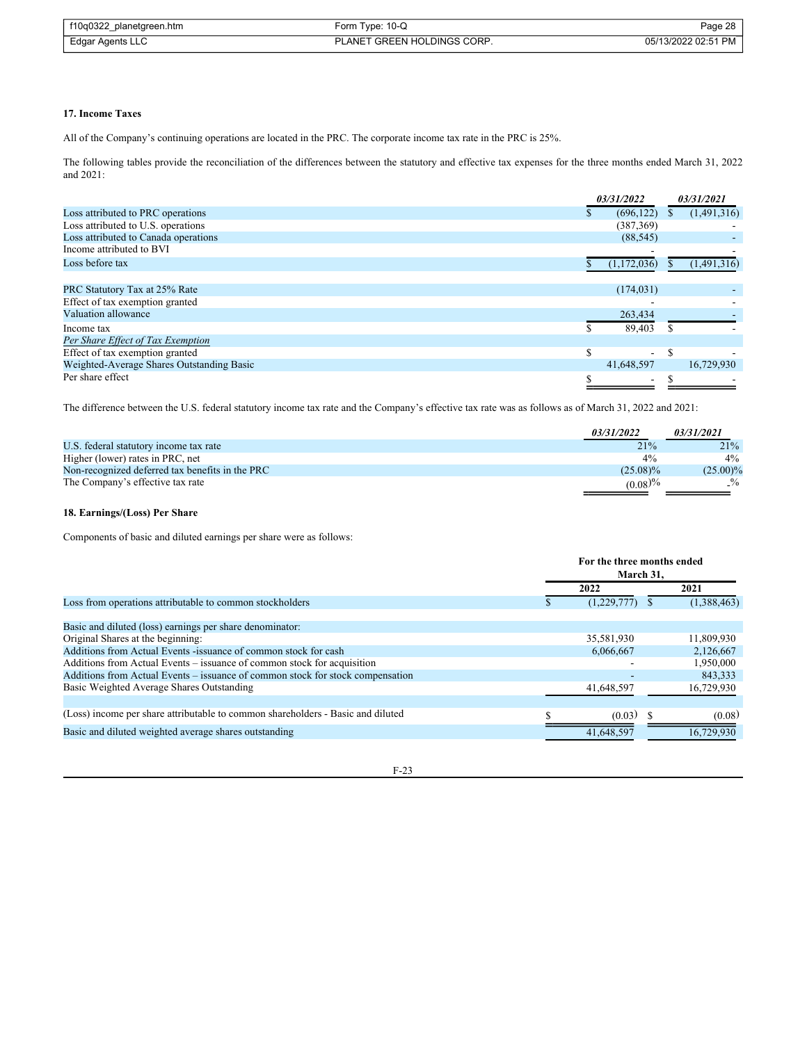| f10q0322_planetgreen.htm | Form Type: 10-Q             | Page 28             |
|--------------------------|-----------------------------|---------------------|
| Edgar Agents LLC         | PLANET GREEN HOLDINGS CORP. | 05/13/2022 02:51 PM |

### **17. Income Taxes**

All of the Company's continuing operations are located in the PRC. The corporate income tax rate in the PRC is 25%.

The following tables provide the reconciliation of the differences between the statutory and effective tax expenses for the three months ended March 31, 2022 and 2021:

|                                           | 03/31/2022    | 03/31/2021  |
|-------------------------------------------|---------------|-------------|
| Loss attributed to PRC operations         | (696, 122)    | (1,491,316) |
| Loss attributed to U.S. operations        | (387, 369)    |             |
| Loss attributed to Canada operations      | (88, 545)     |             |
| Income attributed to BVI                  |               |             |
| Loss before tax                           | (1, 172, 036) | (1,491,316) |
|                                           |               |             |
| PRC Statutory Tax at 25% Rate             | (174, 031)    |             |
| Effect of tax exemption granted           |               |             |
| Valuation allowance                       | 263,434       |             |
| Income tax                                | 89,403        |             |
| Per Share Effect of Tax Exemption         |               |             |
| Effect of tax exemption granted           | \$<br>٠       |             |
| Weighted-Average Shares Outstanding Basic | 41,648,597    | 16,729,930  |
| Per share effect                          |               |             |

The difference between the U.S. federal statutory income tax rate and the Company's effective tax rate was as follows as of March 31, 2022 and 2021:

|                                                 | 03/31/2022  | 03/31/2021    |
|-------------------------------------------------|-------------|---------------|
| U.S. federal statutory income tax rate          | 21%         | 21%           |
| Higher (lower) rates in PRC, net                | $4\%$       | $4\%$         |
| Non-recognized deferred tax benefits in the PRC | $(25.08)\%$ | $(25.00)\%$   |
| The Company's effective tax rate                | $(0.08)$ %  | $\frac{9}{6}$ |

# **18. Earnings/(Loss) Per Share**

Components of basic and diluted earnings per share were as follows:

|                                                                                 | For the three months ended<br>March 31, |  |             |
|---------------------------------------------------------------------------------|-----------------------------------------|--|-------------|
|                                                                                 | 2022                                    |  | 2021        |
| Loss from operations attributable to common stockholders                        | (1,229,777)                             |  | (1,388,463) |
|                                                                                 |                                         |  |             |
| Basic and diluted (loss) earnings per share denominator:                        |                                         |  |             |
| Original Shares at the beginning:                                               | 35,581,930                              |  | 11,809,930  |
| Additions from Actual Events - issuance of common stock for cash                | 6,066,667                               |  | 2,126,667   |
| Additions from Actual Events – issuance of common stock for acquisition         |                                         |  | 1,950,000   |
| Additions from Actual Events – issuance of common stock for stock compensation  |                                         |  | 843,333     |
| Basic Weighted Average Shares Outstanding                                       | 41,648,597                              |  | 16,729,930  |
|                                                                                 |                                         |  |             |
| (Loss) income per share attributable to common shareholders - Basic and diluted | (0.03)                                  |  | (0.08)      |
| Basic and diluted weighted average shares outstanding                           | 41,648,597                              |  | 16,729,930  |
|                                                                                 |                                         |  |             |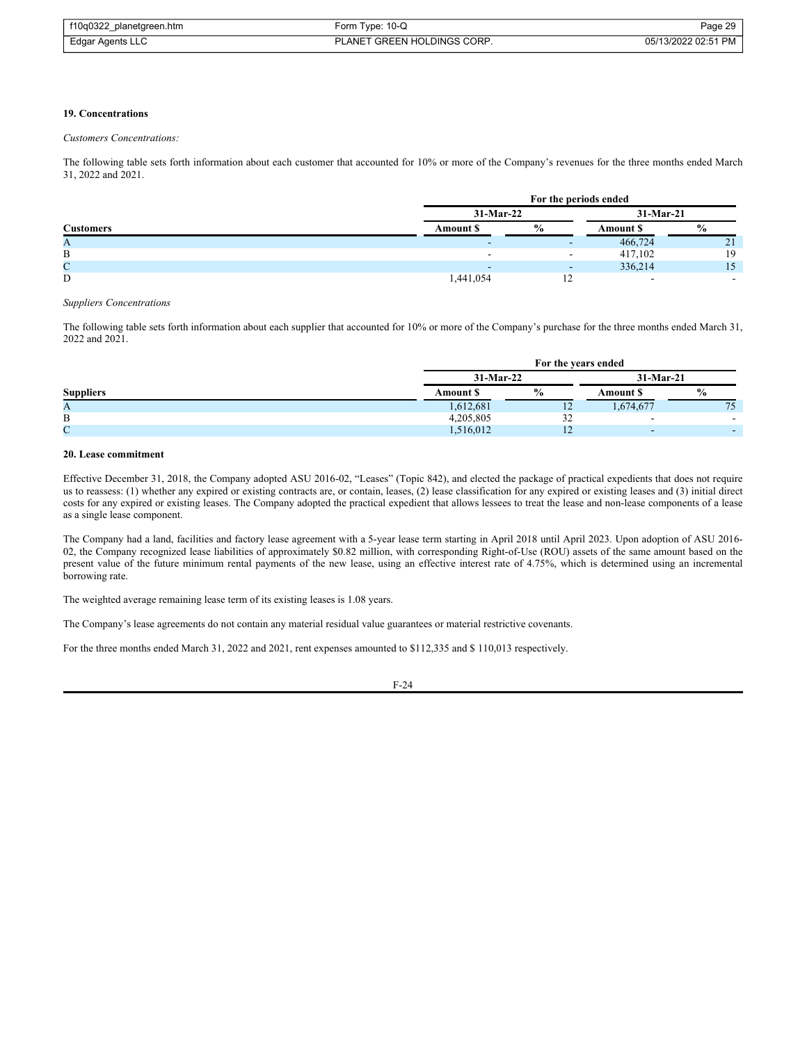| f10q0322 planetgreen.htm | Form Type: 10-Q             | Paqe 29             |
|--------------------------|-----------------------------|---------------------|
| Edgar Agents LLC         | PLANET GREEN HOLDINGS CORP. | 05/13/2022 02:51 PM |

### **19. Concentrations**

### *Customers Concentrations:*

The following table sets forth information about each customer that accounted for 10% or more of the Company's revenues for the three months ended March 31, 2022 and 2021.

|                  |                 | For the periods ended |                 |               |  |  |  |
|------------------|-----------------|-----------------------|-----------------|---------------|--|--|--|
|                  |                 | $31-Mar-22$           | $31-Mar-21$     |               |  |  |  |
| <b>Customers</b> | <b>Amount S</b> | $\frac{6}{9}$         | <b>Amount S</b> | $\frac{6}{9}$ |  |  |  |
| A                |                 |                       | 466,724         | $\sim$ 1      |  |  |  |
| B                |                 |                       | 417,102         | 19            |  |  |  |
| C                |                 | -                     | 336,214         |               |  |  |  |
| D                | 1,441,054       |                       |                 |               |  |  |  |

# *Suppliers Concentrations*

The following table sets forth information about each supplier that accounted for 10% or more of the Company's purchase for the three months ended March 31, 2022 and 2021.

|                  | For the years ended |                                  |                 |               |  |  |
|------------------|---------------------|----------------------------------|-----------------|---------------|--|--|
|                  | $31-Mar-22$         |                                  |                 | $31-Mar-21$   |  |  |
| <b>Suppliers</b> | Amount S            | $\frac{0}{0}$                    | <b>Amount S</b> | $\frac{0}{0}$ |  |  |
| A                | 1,612,681           | 12                               | 1,674,677       | 75            |  |  |
| B                | 4,205,805           | 32                               |                 |               |  |  |
| $\Gamma$<br>◡    | 1,516,012           | $\overline{2}$<br>$\overline{1}$ | -               |               |  |  |

### **20. Lease commitment**

Effective December 31, 2018, the Company adopted ASU 2016-02, "Leases" (Topic 842), and elected the package of practical expedients that does not require us to reassess: (1) whether any expired or existing contracts are, or contain, leases, (2) lease classification for any expired or existing leases and (3) initial direct costs for any expired or existing leases. The Company adopted the practical expedient that allows lessees to treat the lease and non-lease components of a lease as a single lease component.

The Company had a land, facilities and factory lease agreement with a 5-year lease term starting in April 2018 until April 2023. Upon adoption of ASU 2016- 02, the Company recognized lease liabilities of approximately \$0.82 million, with corresponding Right-of-Use (ROU) assets of the same amount based on the present value of the future minimum rental payments of the new lease, using an effective interest rate of 4.75%, which is determined using an incremental borrowing rate.

The weighted average remaining lease term of its existing leases is 1.08 years.

The Company's lease agreements do not contain any material residual value guarantees or material restrictive covenants.

For the three months ended March 31, 2022 and 2021, rent expenses amounted to \$112,335 and \$ 110,013 respectively.

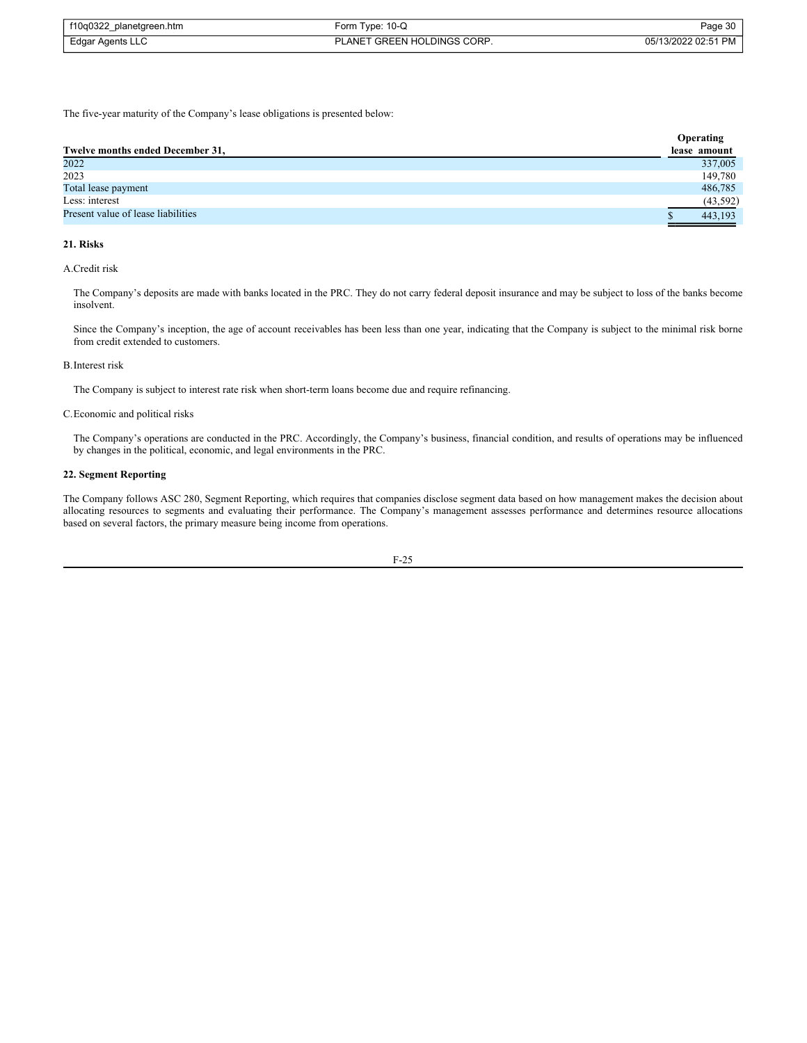| f10q0322 planetgreen.htm | Form Type: 10-Q             | Page 30             |
|--------------------------|-----------------------------|---------------------|
| Edgar Agents LLC         | PLANET GREEN HOLDINGS CORP. | 05/13/2022 02:51 PM |

The five-year maturity of the Company's lease obligations is presented below:

|                                    |  | Operating    |  |  |  |
|------------------------------------|--|--------------|--|--|--|
| Twelve months ended December 31,   |  | lease amount |  |  |  |
| 2022                               |  | 337,005      |  |  |  |
| 2023                               |  | 149,780      |  |  |  |
| Total lease payment                |  | 486,785      |  |  |  |
| Less: interest                     |  | (43, 592)    |  |  |  |
| Present value of lease liabilities |  | 443,193      |  |  |  |

# **21. Risks**

# A. Credit risk

The Company's deposits are made with banks located in the PRC. They do not carry federal deposit insurance and may be subject to loss of the banks become insolvent.

Since the Company's inception, the age of account receivables has been less than one year, indicating that the Company is subject to the minimal risk borne from credit extended to customers.

### B. Interest risk

The Company is subject to interest rate risk when short-term loans become due and require refinancing.

### C. Economic and political risks

The Company's operations are conducted in the PRC. Accordingly, the Company's business, financial condition, and results of operations may be influenced by changes in the political, economic, and legal environments in the PRC.

### **22. Segment Reporting**

The Company follows ASC 280, Segment Reporting, which requires that companies disclose segment data based on how management makes the decision about allocating resources to segments and evaluating their performance. The Company's management assesses performance and determines resource allocations based on several factors, the primary measure being income from operations.

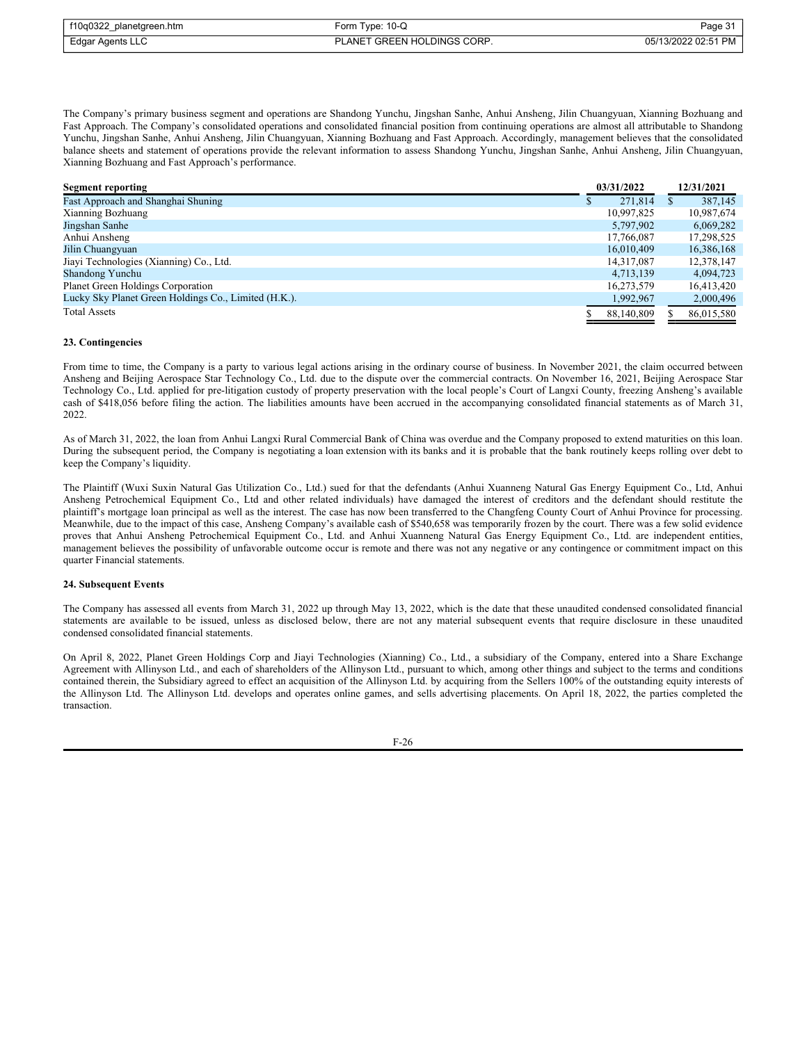| f10q0322 planetgreen.htm | Form Type: 10-Q             | Page 31             |
|--------------------------|-----------------------------|---------------------|
| Edgar Agents LLC         | PLANET GREEN HOLDINGS CORP. | 05/13/2022 02:51 PM |

The Company's primary business segment and operations are Shandong Yunchu, Jingshan Sanhe, Anhui Ansheng, Jilin Chuangyuan, Xianning Bozhuang and Fast Approach. The Company's consolidated operations and consolidated financial position from continuing operations are almost all attributable to Shandong Yunchu, Jingshan Sanhe, Anhui Ansheng, Jilin Chuangyuan, Xianning Bozhuang and Fast Approach. Accordingly, management believes that the consolidated balance sheets and statement of operations provide the relevant information to assess Shandong Yunchu, Jingshan Sanhe, Anhui Ansheng, Jilin Chuangyuan, Xianning Bozhuang and Fast Approach's performance.

| <b>Segment reporting</b>                             | 03/31/2022 | 12/31/2021 |
|------------------------------------------------------|------------|------------|
| Fast Approach and Shanghai Shuning                   | 271,814    | 387,145    |
| Xianning Bozhuang                                    | 10,997,825 | 10,987,674 |
| Jingshan Sanhe                                       | 5,797,902  | 6,069,282  |
| Anhui Ansheng                                        | 17,766,087 | 17,298,525 |
| Jilin Chuangyuan                                     | 16,010,409 | 16,386,168 |
| Jiayi Technologies (Xianning) Co., Ltd.              | 14,317,087 | 12,378,147 |
| Shandong Yunchu                                      | 4,713,139  | 4,094,723  |
| Planet Green Holdings Corporation                    | 16,273,579 | 16,413,420 |
| Lucky Sky Planet Green Holdings Co., Limited (H.K.). | 1,992,967  | 2,000,496  |
| <b>Total Assets</b>                                  | 88,140,809 | 86,015,580 |

### **23. Contingencies**

From time to time, the Company is a party to various legal actions arising in the ordinary course of business. In November 2021, the claim occurred between Ansheng and Beijing Aerospace Star Technology Co., Ltd. due to the dispute over the commercial contracts. On November 16, 2021, Beijing Aerospace Star Technology Co., Ltd. applied for pre-litigation custody of property preservation with the local people's Court of Langxi County, freezing Ansheng's available cash of \$418,056 before filing the action. The liabilities amounts have been accrued in the accompanying consolidated financial statements as of March 31, 2022.

As of March 31, 2022, the loan from Anhui Langxi Rural Commercial Bank of China was overdue and the Company proposed to extend maturities on this loan. During the subsequent period, the Company is negotiating a loan extension with its banks and it is probable that the bank routinely keeps rolling over debt to keep the Company's liquidity.

The Plaintiff (Wuxi Suxin Natural Gas Utilization Co., Ltd.) sued for that the defendants (Anhui Xuanneng Natural Gas Energy Equipment Co., Ltd, Anhui Ansheng Petrochemical Equipment Co., Ltd and other related individuals) have damaged the interest of creditors and the defendant should restitute the plaintiff's mortgage loan principal as well as the interest. The case has now been transferred to the Changfeng County Court of Anhui Province for processing. Meanwhile, due to the impact of this case, Ansheng Company's available cash of \$540,658 was temporarily frozen by the court. There was a few solid evidence proves that Anhui Ansheng Petrochemical Equipment Co., Ltd. and Anhui Xuanneng Natural Gas Energy Equipment Co., Ltd. are independent entities, management believes the possibility of unfavorable outcome occur is remote and there was not any negative or any contingence or commitment impact on this quarter Financial statements.

# **24. Subsequent Events**

The Company has assessed all events from March 31, 2022 up through May 13, 2022, which is the date that these unaudited condensed consolidated financial statements are available to be issued, unless as disclosed below, there are not any material subsequent events that require disclosure in these unaudited condensed consolidated financial statements.

On April 8, 2022, Planet Green Holdings Corp and Jiayi Technologies (Xianning) Co., Ltd., a subsidiary of the Company, entered into a Share Exchange Agreement with Allinyson Ltd., and each of shareholders of the Allinyson Ltd., pursuant to which, among other things and subject to the terms and conditions contained therein, the Subsidiary agreed to effect an acquisition of the Allinyson Ltd. by acquiring from the Sellers 100% of the outstanding equity interests of the Allinyson Ltd. The Allinyson Ltd. develops and operates online games, and sells advertising placements. On April 18, 2022, the parties completed the transaction.

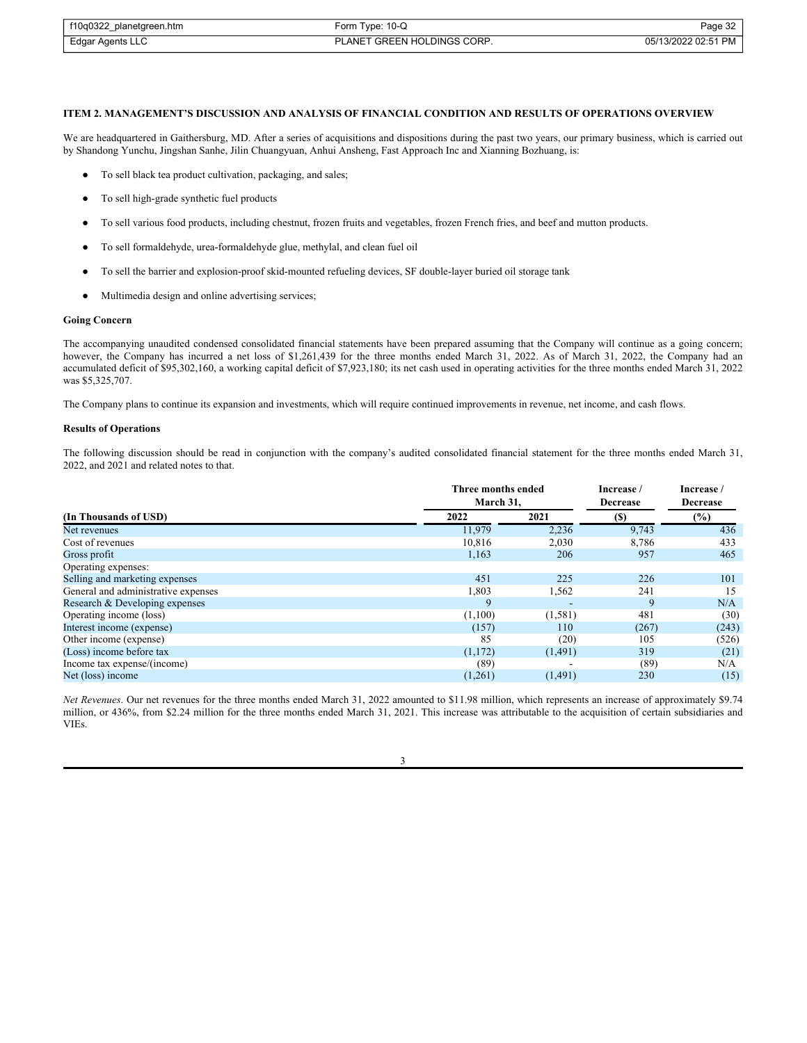| f10q0322_planetgreen.htm | Form Type: 10-Q             | Page 32             |
|--------------------------|-----------------------------|---------------------|
| Edgar Agents LLC         | PLANET GREEN HOLDINGS CORP. | 05/13/2022 02:51 PM |

### **ITEM 2. MANAGEMENT'S DISCUSSION AND ANALYSIS OF FINANCIAL CONDITION AND RESULTS OF OPERATIONS OVERVIEW**

We are headquartered in Gaithersburg, MD. After a series of acquisitions and dispositions during the past two years, our primary business, which is carried out by Shandong Yunchu, Jingshan Sanhe, Jilin Chuangyuan, Anhui Ansheng, Fast Approach Inc and Xianning Bozhuang, is:

- To sell black tea product cultivation, packaging, and sales;
- To sell high-grade synthetic fuel products
- To sell various food products, including chestnut, frozen fruits and vegetables, frozen French fries, and beef and mutton products.
- To sell formaldehyde, urea-formaldehyde glue, methylal, and clean fuel oil
- To sell the barrier and explosion-proof skid-mounted refueling devices, SF double-layer buried oil storage tank
- Multimedia design and online advertising services;

### **Going Concern**

The accompanying unaudited condensed consolidated financial statements have been prepared assuming that the Company will continue as a going concern; however, the Company has incurred a net loss of \$1,261,439 for the three months ended March 31, 2022. As of March 31, 2022, the Company had an accumulated deficit of \$95,302,160, a working capital deficit of \$7,923,180; its net cash used in operating activities for the three months ended March 31, 2022 was \$5,325,707.

The Company plans to continue its expansion and investments, which will require continued improvements in revenue, net income, and cash flows.

### **Results of Operations**

The following discussion should be read in conjunction with the company's audited consolidated financial statement for the three months ended March 31, 2022, and 2021 and related notes to that.

|                                     |         | Three months ended<br>March 31. |       | Increase /<br><b>Decrease</b> |  |
|-------------------------------------|---------|---------------------------------|-------|-------------------------------|--|
| (In Thousands of USD)               | 2022    | 2021                            | (S)   | (%)                           |  |
| Net revenues                        | 11,979  | 2,236                           | 9,743 | 436                           |  |
| Cost of revenues                    | 10.816  | 2,030                           | 8,786 | 433                           |  |
| Gross profit                        | 1,163   | 206                             | 957   | 465                           |  |
| Operating expenses:                 |         |                                 |       |                               |  |
| Selling and marketing expenses      | 451     | 225                             | 226   | 101                           |  |
| General and administrative expenses | 1,803   | 1,562                           | 241   | 15                            |  |
| Research & Developing expenses      | 9       |                                 | -9    | N/A                           |  |
| Operating income (loss)             | (1,100) | (1,581)                         | 481   | (30)                          |  |
| Interest income (expense)           | (157)   | 110                             | (267) | (243)                         |  |
| Other income (expense)              | 85      | (20)                            | 105   | (526)                         |  |
| (Loss) income before tax            | (1,172) | (1,491)                         | 319   | (21)                          |  |
| Income tax expense/(income)         | (89)    |                                 | (89)  | N/A                           |  |
| Net (loss) income                   | (1,261) | (1, 491)                        | 230   | (15)                          |  |

*Net Revenues*. Our net revenues for the three months ended March 31, 2022 amounted to \$11.98 million, which represents an increase of approximately \$9.74 million, or 436%, from \$2.24 million for the three months ended March 31, 2021. This increase was attributable to the acquisition of certain subsidiaries and VIEs.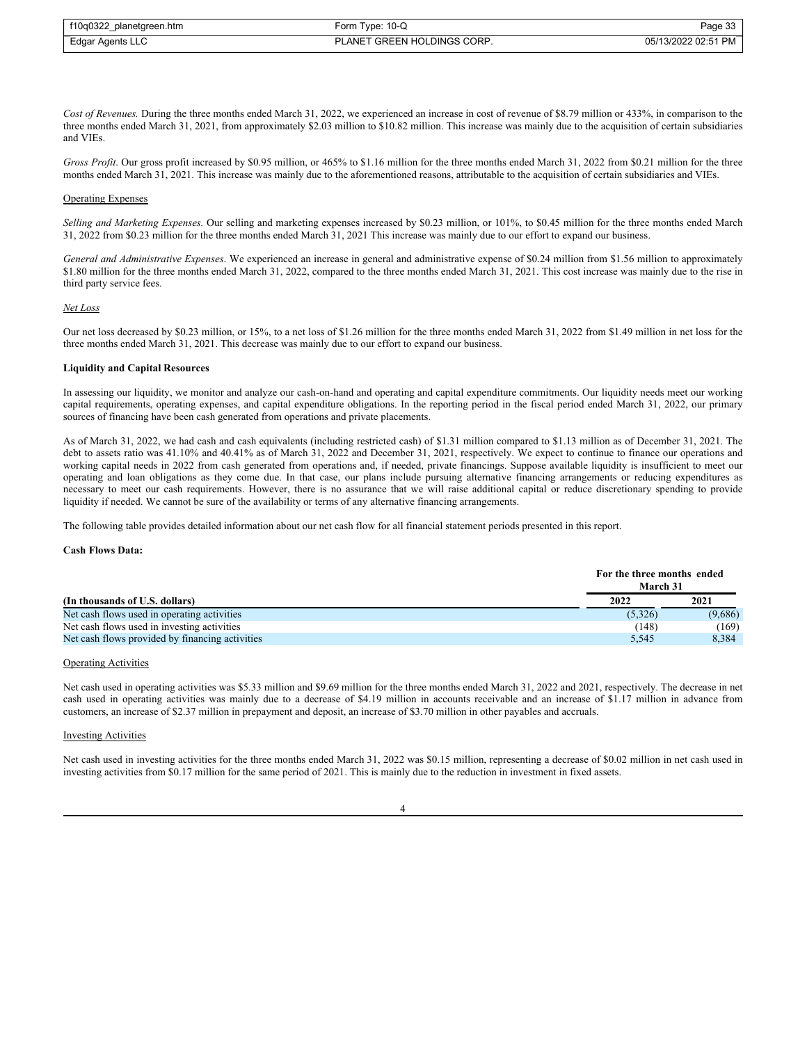| f10q0322<br>planetgreen.htm | <b>Type: 10-Q</b><br>Form              | Page 33             |
|-----------------------------|----------------------------------------|---------------------|
| Edgar Agents LLC            | : GREEN HOLDINGS CORP.<br><b>LANET</b> | 05/13/2022 02:51 PM |

Cost of Revenues. During the three months ended March 31, 2022, we experienced an increase in cost of revenue of \$8.79 million or 433%, in comparison to the three months ended March 31, 2021, from approximately \$2.03 million to \$10.82 million. This increase was mainly due to the acquisition of certain subsidiaries and VIEs.

*Gross Profit*. Our gross profit increased by \$0.95 million, or 465% to \$1.16 million for the three months ended March 31, 2022 from \$0.21 million for the three months ended March 31, 2021. This increase was mainly due to the aforementioned reasons, attributable to the acquisition of certain subsidiaries and VIEs.

### Operating Expenses

*Selling and Marketing Expenses.* Our selling and marketing expenses increased by \$0.23 million, or 101%, to \$0.45 million for the three months ended March 31, 2022 from \$0.23 million for the three months ended March 31, 2021 This increase was mainly due to our effort to expand our business.

*General and Administrative Expenses*. We experienced an increase in general and administrative expense of \$0.24 million from \$1.56 million to approximately \$1.80 million for the three months ended March 31, 2022, compared to the three months ended March 31, 2021. This cost increase was mainly due to the rise in third party service fees.

#### *Net Loss*

Our net loss decreased by \$0.23 million, or 15%, to a net loss of \$1.26 million for the three months ended March 31, 2022 from \$1.49 million in net loss for the three months ended March 31, 2021. This decrease was mainly due to our effort to expand our business.

### **Liquidity and Capital Resources**

In assessing our liquidity, we monitor and analyze our cash-on-hand and operating and capital expenditure commitments. Our liquidity needs meet our working capital requirements, operating expenses, and capital expenditure obligations. In the reporting period in the fiscal period ended March 31, 2022, our primary sources of financing have been cash generated from operations and private placements.

As of March 31, 2022, we had cash and cash equivalents (including restricted cash) of \$1.31 million compared to \$1.13 million as of December 31, 2021. The debt to assets ratio was 41.10% and 40.41% as of March 31, 2022 and December 31, 2021, respectively. We expect to continue to finance our operations and working capital needs in 2022 from cash generated from operations and, if needed, private financings. Suppose available liquidity is insufficient to meet our operating and loan obligations as they come due. In that case, our plans include pursuing alternative financing arrangements or reducing expenditures as necessary to meet our cash requirements. However, there is no assurance that we will raise additional capital or reduce discretionary spending to provide liquidity if needed. We cannot be sure of the availability or terms of any alternative financing arrangements.

The following table provides detailed information about our net cash flow for all financial statement periods presented in this report.

### **Cash Flows Data:**

|                                                 |         | For the three months ended<br>March 31 |  |
|-------------------------------------------------|---------|----------------------------------------|--|
| (In thousands of U.S. dollars)                  | 2022    | 2021                                   |  |
| Net cash flows used in operating activities     | (5,326) | (9,686)                                |  |
| Net cash flows used in investing activities     | (148)   | (169)                                  |  |
| Net cash flows provided by financing activities | 5.545   | 8,384                                  |  |

### Operating Activities

Net cash used in operating activities was \$5.33 million and \$9.69 million for the three months ended March 31, 2022 and 2021, respectively. The decrease in net cash used in operating activities was mainly due to a decrease of \$4.19 million in accounts receivable and an increase of \$1.17 million in advance from customers, an increase of \$2.37 million in prepayment and deposit, an increase of \$3.70 million in other payables and accruals.

### Investing Activities

Net cash used in investing activities for the three months ended March 31, 2022 was \$0.15 million, representing a decrease of \$0.02 million in net cash used in investing activities from \$0.17 million for the same period of 2021. This is mainly due to the reduction in investment in fixed assets.

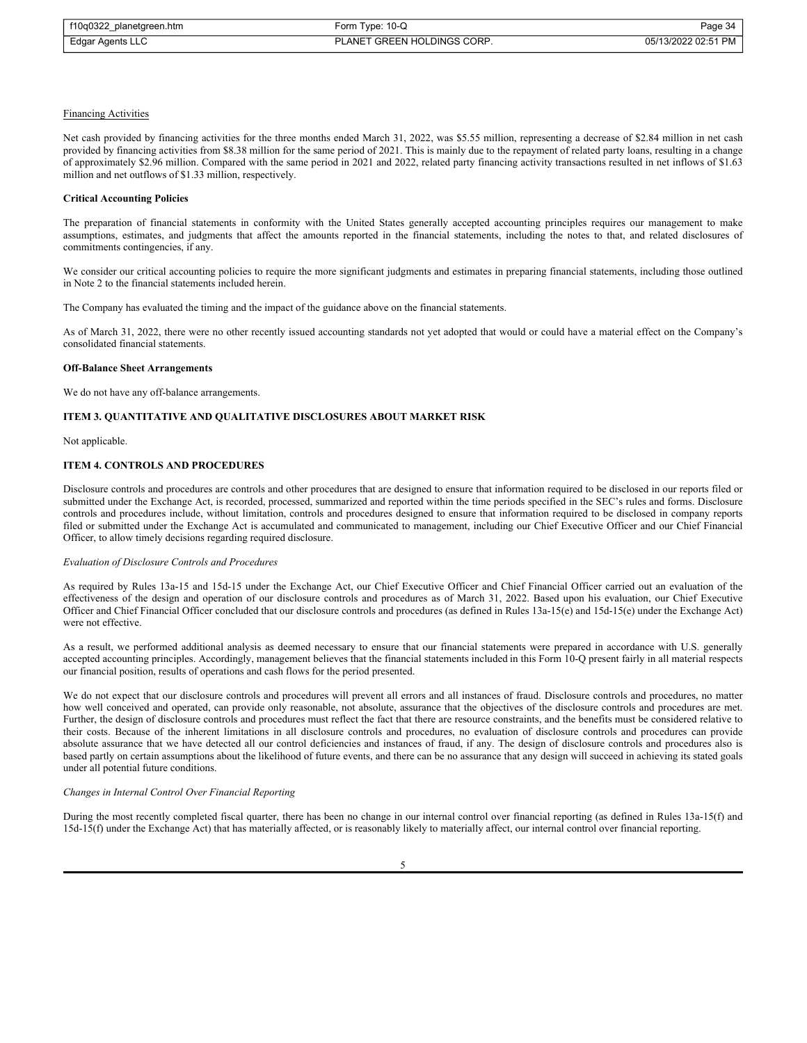| f10q0322_planetgreen.htm | Form Type: 10-Q             | Page 34             |
|--------------------------|-----------------------------|---------------------|
| Edgar Agents LLC         | PLANET GREEN HOLDINGS CORP. | 05/13/2022 02:51 PM |

### Financing Activities

Net cash provided by financing activities for the three months ended March 31, 2022, was \$5.55 million, representing a decrease of \$2.84 million in net cash provided by financing activities from \$8.38 million for the same period of 2021. This is mainly due to the repayment of related party loans, resulting in a change of approximately \$2.96 million. Compared with the same period in 2021 and 2022, related party financing activity transactions resulted in net inflows of \$1.63 million and net outflows of \$1.33 million, respectively.

#### **Critical Accounting Policies**

The preparation of financial statements in conformity with the United States generally accepted accounting principles requires our management to make assumptions, estimates, and judgments that affect the amounts reported in the financial statements, including the notes to that, and related disclosures of commitments contingencies, if any.

We consider our critical accounting policies to require the more significant judgments and estimates in preparing financial statements, including those outlined in Note 2 to the financial statements included herein.

The Company has evaluated the timing and the impact of the guidance above on the financial statements.

As of March 31, 2022, there were no other recently issued accounting standards not yet adopted that would or could have a material effect on the Company's consolidated financial statements.

# **Off-Balance Sheet Arrangements**

We do not have any off-balance arrangements.

### **ITEM 3. QUANTITATIVE AND QUALITATIVE DISCLOSURES ABOUT MARKET RISK**

Not applicable.

### **ITEM 4. CONTROLS AND PROCEDURES**

Disclosure controls and procedures are controls and other procedures that are designed to ensure that information required to be disclosed in our reports filed or submitted under the Exchange Act, is recorded, processed, summarized and reported within the time periods specified in the SEC's rules and forms. Disclosure controls and procedures include, without limitation, controls and procedures designed to ensure that information required to be disclosed in company reports filed or submitted under the Exchange Act is accumulated and communicated to management, including our Chief Executive Officer and our Chief Financial Officer, to allow timely decisions regarding required disclosure.

### *Evaluation of Disclosure Controls and Procedures*

As required by Rules 13a-15 and 15d-15 under the Exchange Act, our Chief Executive Officer and Chief Financial Officer carried out an evaluation of the effectiveness of the design and operation of our disclosure controls and procedures as of March 31, 2022. Based upon his evaluation, our Chief Executive Officer and Chief Financial Officer concluded that our disclosure controls and procedures (as defined in Rules 13a-15(e) and 15d-15(e) under the Exchange Act) were not effective.

As a result, we performed additional analysis as deemed necessary to ensure that our financial statements were prepared in accordance with U.S. generally accepted accounting principles. Accordingly, management believes that the financial statements included in this Form 10-Q present fairly in all material respects our financial position, results of operations and cash flows for the period presented.

We do not expect that our disclosure controls and procedures will prevent all errors and all instances of fraud. Disclosure controls and procedures, no matter how well conceived and operated, can provide only reasonable, not absolute, assurance that the objectives of the disclosure controls and procedures are met. Further, the design of disclosure controls and procedures must reflect the fact that there are resource constraints, and the benefits must be considered relative to their costs. Because of the inherent limitations in all disclosure controls and procedures, no evaluation of disclosure controls and procedures can provide absolute assurance that we have detected all our control deficiencies and instances of fraud, if any. The design of disclosure controls and procedures also is based partly on certain assumptions about the likelihood of future events, and there can be no assurance that any design will succeed in achieving its stated goals under all potential future conditions.

#### *Changes in Internal Control Over Financial Reporting*

During the most recently completed fiscal quarter, there has been no change in our internal control over financial reporting (as defined in Rules 13a-15(f) and 15d-15(f) under the Exchange Act) that has materially affected, or is reasonably likely to materially affect, our internal control over financial reporting.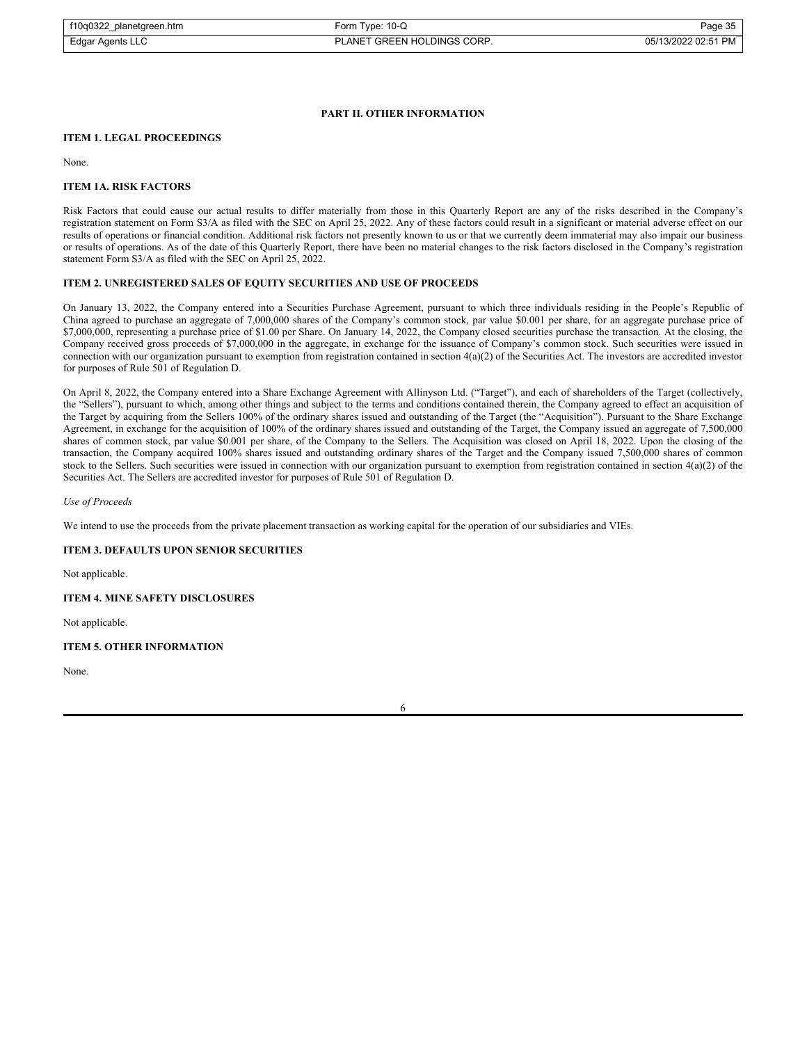| f10q0322_planetgreen.htm | Form Type: 10-Q             | Page 35             |
|--------------------------|-----------------------------|---------------------|
| Edgar Agents LLC         | PLANET GREEN HOLDINGS CORP. | 05/13/2022 02:51 PM |

# **PART II. OTHER INFORMATION**

# **ITEM 1. LEGAL PROCEEDINGS**

None.

# **ITEM 1A. RISK FACTORS**

Risk Factors that could cause our actual results to differ materially from those in this Quarterly Report are any of the risks described in the Company's registration statement on Form S3/A as filed with the SEC on April 25, 2022. Any of these factors could result in a significant or material adverse effect on our results of operations or financial condition. Additional risk factors not presently known to us or that we currently deem immaterial may also impair our business or results of operations. As of the date of this Quarterly Report, there have been no material changes to the risk factors disclosed in the Company's registration statement Form S3/A as filed with the SEC on April 25, 2022.

# **ITEM 2. UNREGISTERED SALES OF EQUITY SECURITIES AND USE OF PROCEEDS**

On January 13, 2022, the Company entered into a Securities Purchase Agreement, pursuant to which three individuals residing in the People's Republic of China agreed to purchase an aggregate of 7,000,000 shares of the Company's common stock, par value \$0.001 per share, for an aggregate purchase price of \$7,000,000, representing a purchase price of \$1.00 per Share. On January 14, 2022, the Company closed securities purchase the transaction. At the closing, the Company received gross proceeds of \$7,000,000 in the aggregate, in exchange for the issuance of Company's common stock. Such securities were issued in connection with our organization pursuant to exemption from registration contained in section 4(a)(2) of the Securities Act. The investors are accredited investor for purposes of Rule 501 of Regulation D.

On April 8, 2022, the Company entered into a Share Exchange Agreement with Allinyson Ltd. ("Target"), and each of shareholders of the Target (collectively, the "Sellers"), pursuant to which, among other things and subject to the terms and conditions contained therein, the Company agreed to effect an acquisition of the Target by acquiring from the Sellers 100% of the ordinary shares issued and outstanding of the Target (the "Acquisition"). Pursuant to the Share Exchange Agreement, in exchange for the acquisition of 100% of the ordinary shares issued and outstanding of the Target, the Company issued an aggregate of 7,500,000 shares of common stock, par value \$0.001 per share, of the Company to the Sellers. The Acquisition was closed on April 18, 2022. Upon the closing of the transaction, the Company acquired 100% shares issued and outstanding ordinary shares of the Target and the Company issued 7,500,000 shares of common stock to the Sellers. Such securities were issued in connection with our organization pursuant to exemption from registration contained in section 4(a)(2) of the Securities Act. The Sellers are accredited investor for purposes of Rule 501 of Regulation D.

# *Use of Proceeds*

We intend to use the proceeds from the private placement transaction as working capital for the operation of our subsidiaries and VIEs.

# **ITEM 3. DEFAULTS UPON SENIOR SECURITIES**

Not applicable.

# **ITEM 4. MINE SAFETY DISCLOSURES**

Not applicable.

# **ITEM 5. OTHER INFORMATION**

None.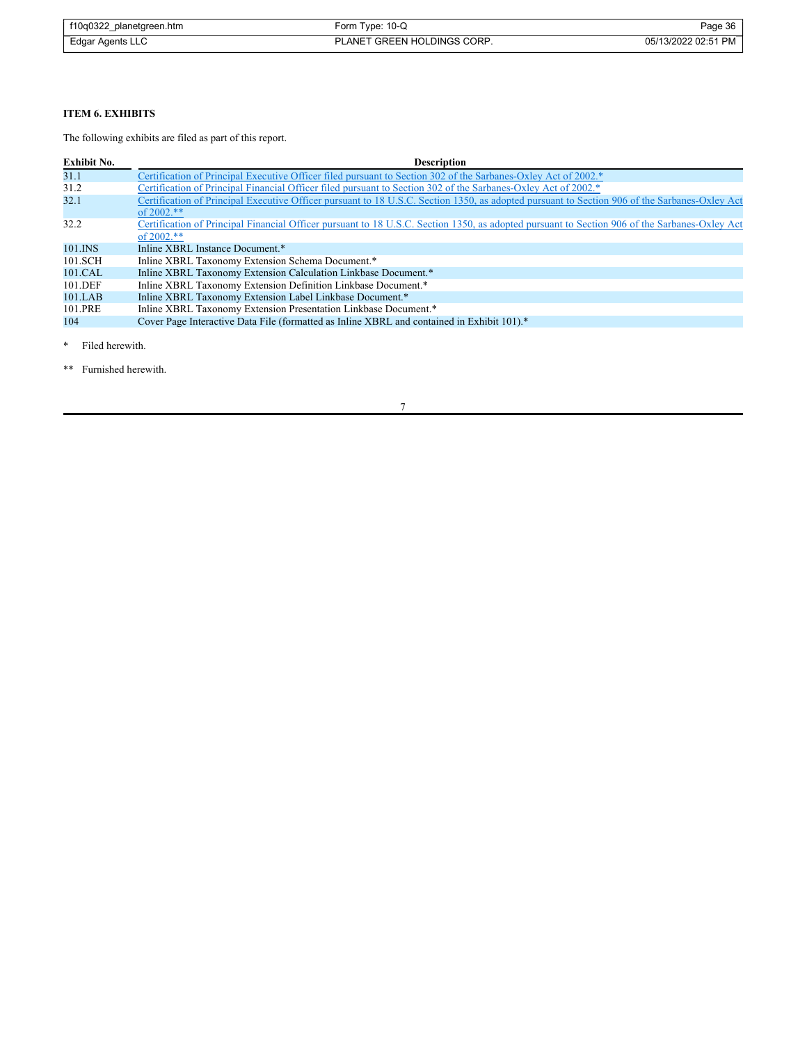| f10q0322_planetgreen.htm | Form Type: 10-Q             | Page 36             |
|--------------------------|-----------------------------|---------------------|
| Edgar Agents LLC         | PLANET GREEN HOLDINGS CORP. | 05/13/2022 02:51 PM |

# **ITEM 6. EXHIBITS**

The following exhibits are filed as part of this report.

| Exhibit No. | <b>Description</b>                                                                                                                            |
|-------------|-----------------------------------------------------------------------------------------------------------------------------------------------|
| 31.1        | Certification of Principal Executive Officer filed pursuant to Section 302 of the Sarbanes-Oxley Act of 2002.*                                |
| 31.2        | Certification of Principal Financial Officer filed pursuant to Section 302 of the Sarbanes-Oxley Act of 2002.*                                |
| 32.1        | Certification of Principal Executive Officer pursuant to 18 U.S.C. Section 1350, as adopted pursuant to Section 906 of the Sarbanes-Oxley Act |
|             | of $2002.**$                                                                                                                                  |
| 32.2        | Certification of Principal Financial Officer pursuant to 18 U.S.C. Section 1350, as adopted pursuant to Section 906 of the Sarbanes-Oxley Act |
|             | of $2002.**$                                                                                                                                  |
| 101.INS     | Inline XBRL Instance Document.*                                                                                                               |
| 101.SCH     | Inline XBRL Taxonomy Extension Schema Document.*                                                                                              |
| 101.CAL     | Inline XBRL Taxonomy Extension Calculation Linkbase Document.*                                                                                |
| 101.DEF     | Inline XBRL Taxonomy Extension Definition Linkbase Document.*                                                                                 |
| 101.LAB     | Inline XBRL Taxonomy Extension Label Linkbase Document.*                                                                                      |
| 101.PRE     | Inline XBRL Taxonomy Extension Presentation Linkbase Document.*                                                                               |
| 104         | Cover Page Interactive Data File (formatted as Inline XBRL and contained in Exhibit 101).*                                                    |
|             |                                                                                                                                               |

\* Filed herewith.

\*\* Furnished herewith.

7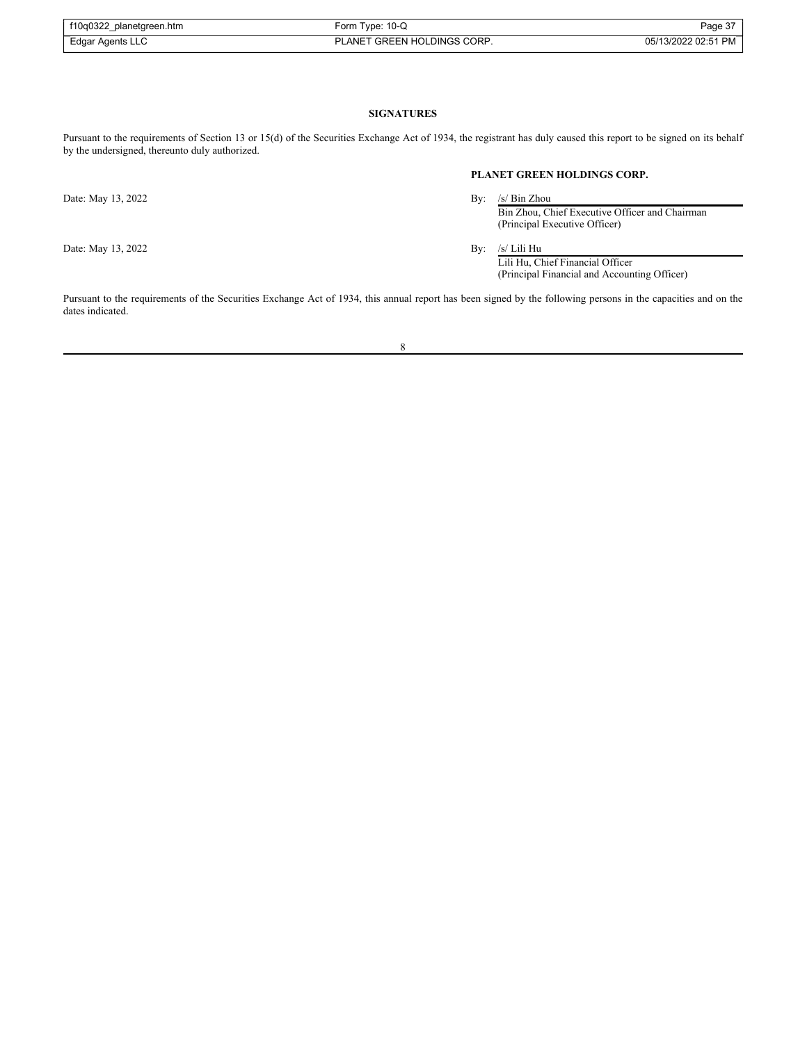| f10q0322 planetgreen.htm | Form Type: 10-Q             | Paqe 37             |
|--------------------------|-----------------------------|---------------------|
| Edgar Agents LLC         | PLANET GREEN HOLDINGS CORP. | 05/13/2022 02:51 PM |

# **SIGNATURES**

Pursuant to the requirements of Section 13 or 15(d) of the Securities Exchange Act of 1934, the registrant has duly caused this report to be signed on its behalf by the undersigned, thereunto duly authorized.

**PLANET GREEN HOLDINGS CORP.**

Date: May 13, 2022 By: /s/ Bin Zhou

Bin Zhou, Chief Executive Officer and Chairman (Principal Executive Officer)

Date: May 13, 2022 By: /s/ Lili Hu

Lili Hu, Chief Financial Officer (Principal Financial and Accounting Officer)

Pursuant to the requirements of the Securities Exchange Act of 1934, this annual report has been signed by the following persons in the capacities and on the dates indicated.

8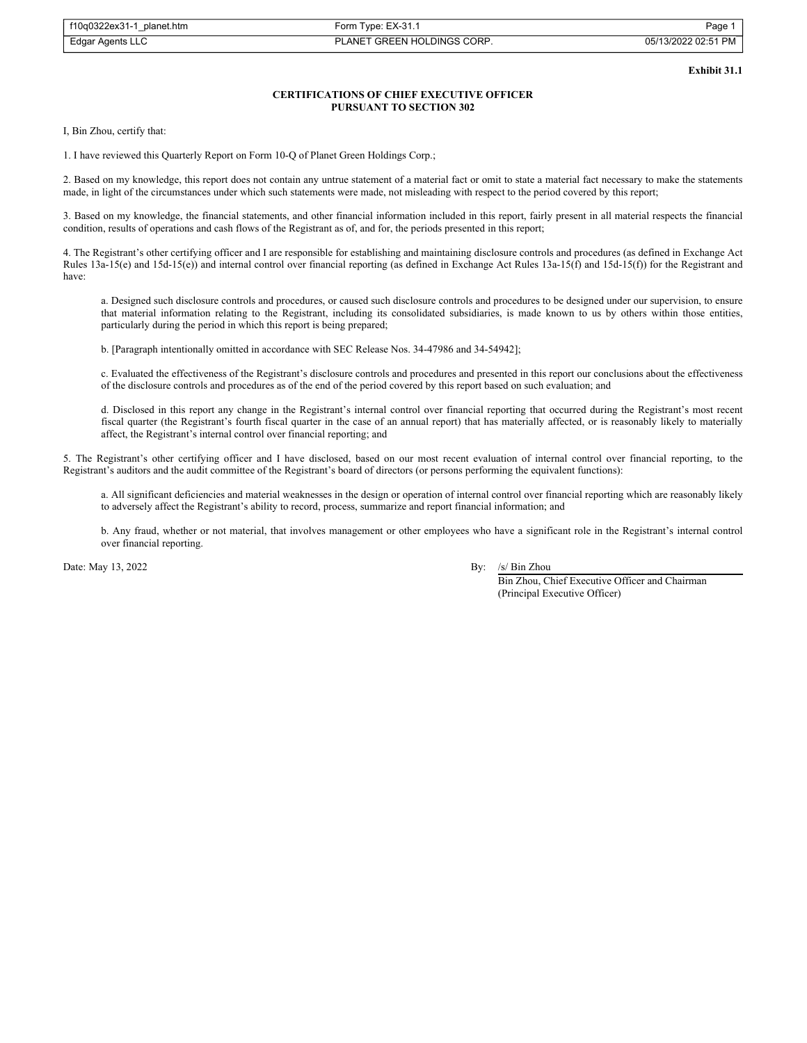**Exhibit 31.1**

# **CERTIFICATIONS OF CHIEF EXECUTIVE OFFICER PURSUANT TO SECTION 302**

I, Bin Zhou, certify that:

1. I have reviewed this Quarterly Report on Form 10-Q of Planet Green Holdings Corp.;

2. Based on my knowledge, this report does not contain any untrue statement of a material fact or omit to state a material fact necessary to make the statements made, in light of the circumstances under which such statements were made, not misleading with respect to the period covered by this report;

3. Based on my knowledge, the financial statements, and other financial information included in this report, fairly present in all material respects the financial condition, results of operations and cash flows of the Registrant as of, and for, the periods presented in this report;

4. The Registrant's other certifying officer and I are responsible for establishing and maintaining disclosure controls and procedures (as defined in Exchange Act Rules 13a-15(e) and 15d-15(e)) and internal control over financial reporting (as defined in Exchange Act Rules 13a-15(f) and 15d-15(f)) for the Registrant and have:

a. Designed such disclosure controls and procedures, or caused such disclosure controls and procedures to be designed under our supervision, to ensure that material information relating to the Registrant, including its consolidated subsidiaries, is made known to us by others within those entities, particularly during the period in which this report is being prepared;

b. [Paragraph intentionally omitted in accordance with SEC Release Nos. 34-47986 and 34-54942];

c. Evaluated the effectiveness of the Registrant's disclosure controls and procedures and presented in this report our conclusions about the effectiveness of the disclosure controls and procedures as of the end of the period covered by this report based on such evaluation; and

d. Disclosed in this report any change in the Registrant's internal control over financial reporting that occurred during the Registrant's most recent fiscal quarter (the Registrant's fourth fiscal quarter in the case of an annual report) that has materially affected, or is reasonably likely to materially affect, the Registrant's internal control over financial reporting; and

5. The Registrant's other certifying officer and I have disclosed, based on our most recent evaluation of internal control over financial reporting, to the Registrant's auditors and the audit committee of the Registrant's board of directors (or persons performing the equivalent functions):

a. All significant deficiencies and material weaknesses in the design or operation of internal control over financial reporting which are reasonably likely to adversely affect the Registrant's ability to record, process, summarize and report financial information; and

b. Any fraud, whether or not material, that involves management or other employees who have a significant role in the Registrant's internal control over financial reporting.

Date: May 13, 2022 By: /s/ Bin Zhou

Bin Zhou, Chief Executive Officer and Chairman (Principal Executive Officer)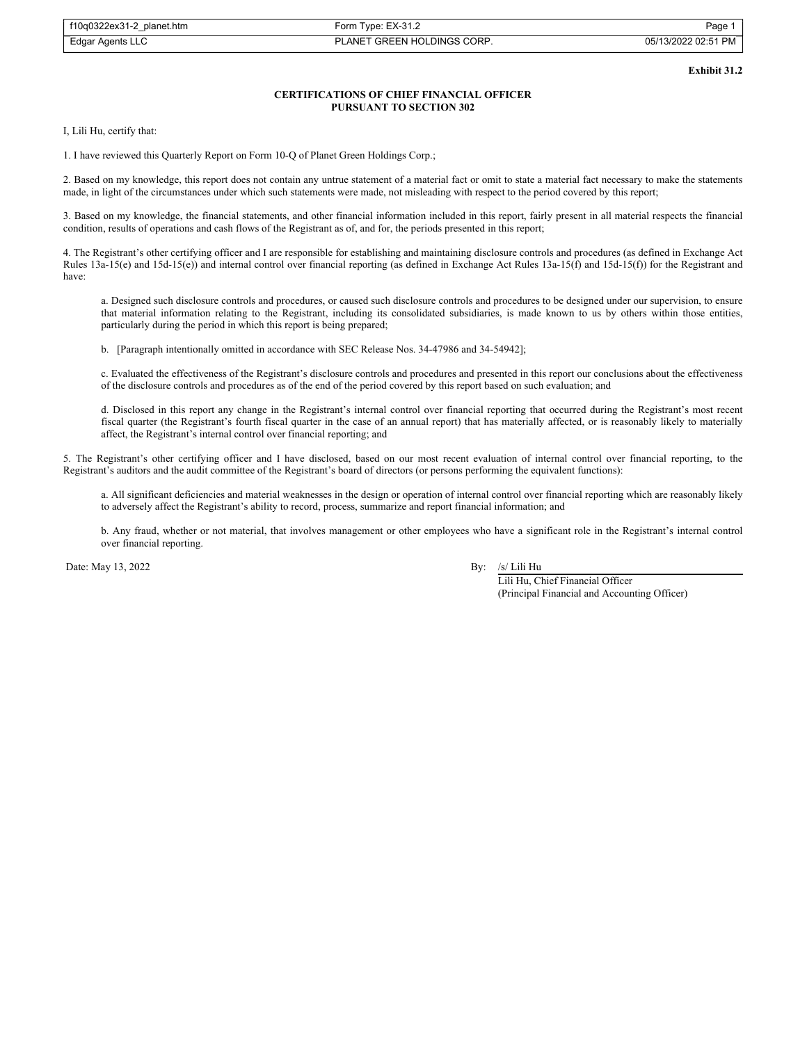| $f10q0322ex31-2$ planet.htm | Form Type: EX-31.2          | Page                |
|-----------------------------|-----------------------------|---------------------|
| Edgar Agents LLC            | PLANET GREEN HOLDINGS CORP. | 05/13/2022 02:51 PM |

**Exhibit 31.2**

### **CERTIFICATIONS OF CHIEF FINANCIAL OFFICER PURSUANT TO SECTION 302**

I, Lili Hu, certify that:

1. I have reviewed this Quarterly Report on Form 10-Q of Planet Green Holdings Corp.;

2. Based on my knowledge, this report does not contain any untrue statement of a material fact or omit to state a material fact necessary to make the statements made, in light of the circumstances under which such statements were made, not misleading with respect to the period covered by this report;

3. Based on my knowledge, the financial statements, and other financial information included in this report, fairly present in all material respects the financial condition, results of operations and cash flows of the Registrant as of, and for, the periods presented in this report;

4. The Registrant's other certifying officer and I are responsible for establishing and maintaining disclosure controls and procedures (as defined in Exchange Act Rules 13a-15(e) and 15d-15(e)) and internal control over financial reporting (as defined in Exchange Act Rules 13a-15(f) and 15d-15(f)) for the Registrant and have:

a. Designed such disclosure controls and procedures, or caused such disclosure controls and procedures to be designed under our supervision, to ensure that material information relating to the Registrant, including its consolidated subsidiaries, is made known to us by others within those entities, particularly during the period in which this report is being prepared;

b. [Paragraph intentionally omitted in accordance with SEC Release Nos. 34-47986 and 34-54942];

c. Evaluated the effectiveness of the Registrant's disclosure controls and procedures and presented in this report our conclusions about the effectiveness of the disclosure controls and procedures as of the end of the period covered by this report based on such evaluation; and

d. Disclosed in this report any change in the Registrant's internal control over financial reporting that occurred during the Registrant's most recent fiscal quarter (the Registrant's fourth fiscal quarter in the case of an annual report) that has materially affected, or is reasonably likely to materially affect, the Registrant's internal control over financial reporting; and

5. The Registrant's other certifying officer and I have disclosed, based on our most recent evaluation of internal control over financial reporting, to the Registrant's auditors and the audit committee of the Registrant's board of directors (or persons performing the equivalent functions):

a. All significant deficiencies and material weaknesses in the design or operation of internal control over financial reporting which are reasonably likely to adversely affect the Registrant's ability to record, process, summarize and report financial information; and

b. Any fraud, whether or not material, that involves management or other employees who have a significant role in the Registrant's internal control over financial reporting.

Date: May 13, 2022 By: /s/ Lili Hu

Lili Hu, Chief Financial Officer (Principal Financial and Accounting Officer)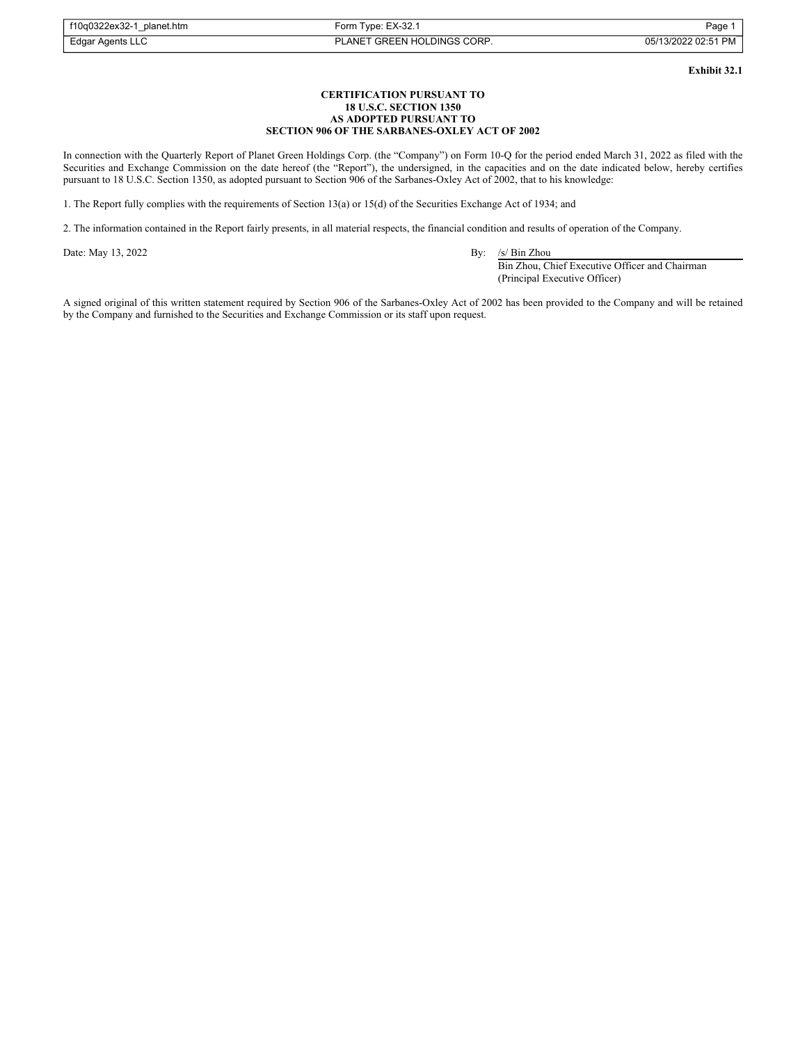**Exhibit 32.1**

### **CERTIFICATION PURSUANT TO 18 U.S.C. SECTION 1350 AS ADOPTED PURSUANT TO SECTION 906 OF THE SARBANES-OXLEY ACT OF 2002**

In connection with the Quarterly Report of Planet Green Holdings Corp. (the "Company") on Form 10-Q for the period ended March 31, 2022 as filed with the Securities and Exchange Commission on the date hereof (the "Report"), the undersigned, in the capacities and on the date indicated below, hereby certifies pursuant to 18 U.S.C. Section 1350, as adopted pursuant to Section 906 of the Sarbanes-Oxley Act of 2002, that to his knowledge:

1. The Report fully complies with the requirements of Section 13(a) or 15(d) of the Securities Exchange Act of 1934; and

2. The information contained in the Report fairly presents, in all material respects, the financial condition and results of operation of the Company.

Date: May  $13, 2022$  By:

| $/s/$ Bin Zhou                                 |
|------------------------------------------------|
| Bin Zhou, Chief Executive Officer and Chairman |
| (Principal Executive Officer)                  |

A signed original of this written statement required by Section 906 of the Sarbanes-Oxley Act of 2002 has been provided to the Company and will be retained by the Company and furnished to the Securities and Exchange Commission or its staff upon request.